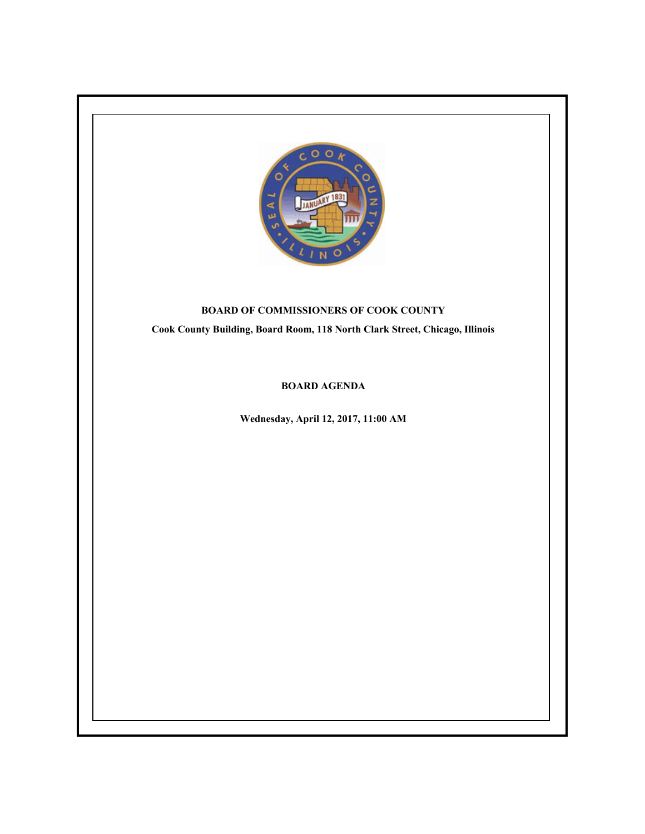

## **BOARD OF COMMISSIONERS OF COOK COUNTY**

**Cook County Building, Board Room, 118 North Clark Street, Chicago, Illinois**

## **BOARD AGENDA**

**Wednesday, April 12, 2017, 11:00 AM**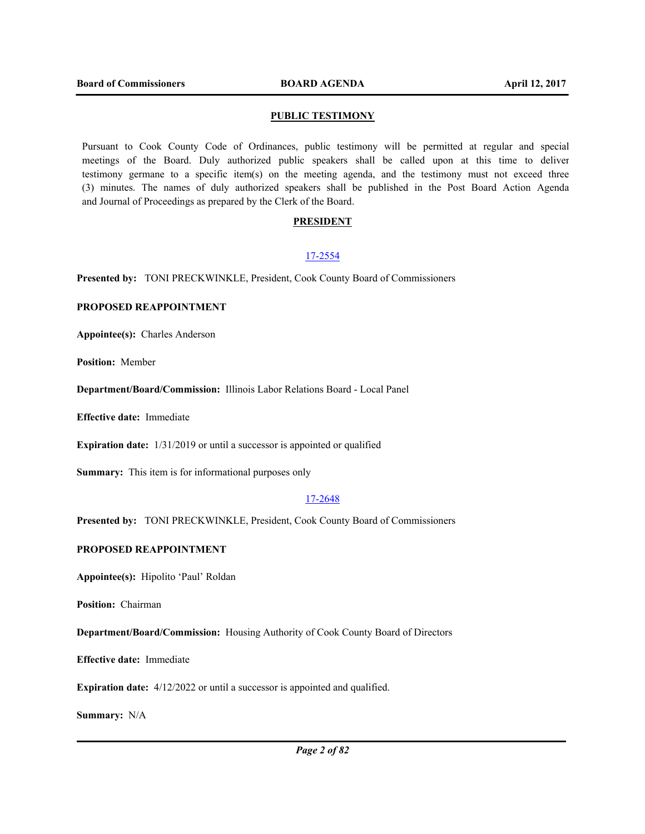#### **PUBLIC TESTIMONY**

Pursuant to Cook County Code of Ordinances, public testimony will be permitted at regular and special meetings of the Board. Duly authorized public speakers shall be called upon at this time to deliver testimony germane to a specific item(s) on the meeting agenda, and the testimony must not exceed three (3) minutes. The names of duly authorized speakers shall be published in the Post Board Action Agenda and Journal of Proceedings as prepared by the Clerk of the Board.

#### **PRESIDENT**

#### 17-2554

**Presented by:** TONI PRECKWINKLE, President, Cook County Board of Commissioners

## **PROPOSED REAPPOINTMENT**

**Appointee(s):** Charles Anderson

**Position:** Member

**Department/Board/Commission:** Illinois Labor Relations Board - Local Panel

**Effective date:** Immediate

**Expiration date:** 1/31/2019 or until a successor is appointed or qualified

**Summary:** This item is for informational purposes only

#### 17-2648

**Presented by:** TONI PRECKWINKLE, President, Cook County Board of Commissioners

#### **PROPOSED REAPPOINTMENT**

**Appointee(s):** Hipolito 'Paul' Roldan

**Position:** Chairman

**Department/Board/Commission:** Housing Authority of Cook County Board of Directors

**Effective date:** Immediate

**Expiration date:** 4/12/2022 or until a successor is appointed and qualified.

**Summary:** N/A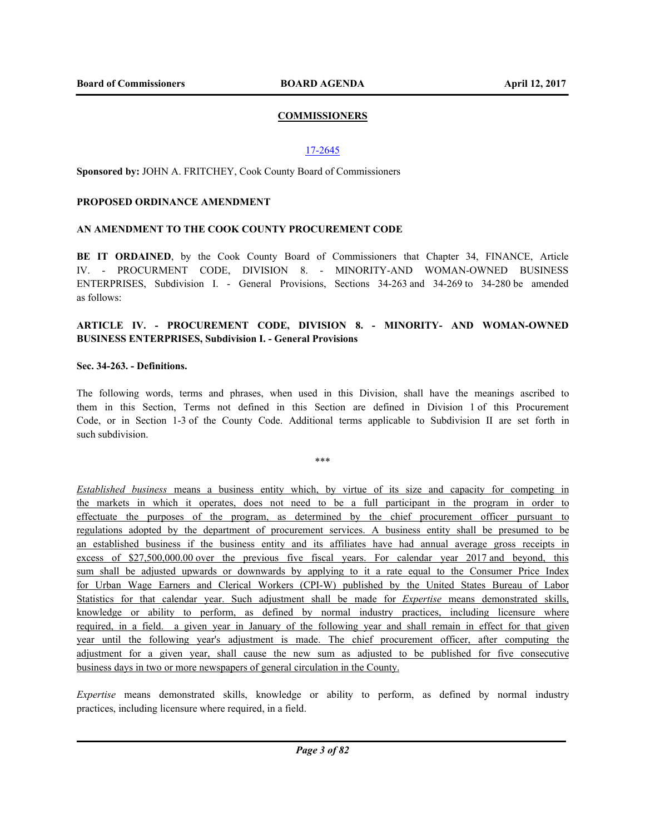## **COMMISSIONERS**

## 17-2645

**Sponsored by:** JOHN A. FRITCHEY, Cook County Board of Commissioners

#### **PROPOSED ORDINANCE AMENDMENT**

## **AN AMENDMENT TO THE COOK COUNTY PROCUREMENT CODE**

BE IT ORDAINED, by the Cook County Board of Commissioners that Chapter 34, FINANCE, Article IV. - PROCURMENT CODE, DIVISION 8. - MINORITY-AND WOMAN-OWNED BUSINESS ENTERPRISES, Subdivision I. - General Provisions, Sections 34-263 and 34-269 to 34-280 be amended as follows:

## **ARTICLE IV. - PROCUREMENT CODE, DIVISION 8. - MINORITY- AND WOMAN-OWNED BUSINESS ENTERPRISES, Subdivision I. - General Provisions**

## **Sec. 34-263. - Definitions.**

The following words, terms and phrases, when used in this Division, shall have the meanings ascribed to them in this Section, Terms not defined in this Section are defined in Division 1 of this Procurement Code, or in Section 1-3 of the County Code. Additional terms applicable to Subdivision II are set forth in such subdivision.

\*\*\*

*Established business* means a business entity which, by virtue of its size and capacity for competing in the markets in which it operates, does not need to be a full participant in the program in order to effectuate the purposes of the program, as determined by the chief procurement officer pursuant to regulations adopted by the department of procurement services. A business entity shall be presumed to be an established business if the business entity and its affiliates have had annual average gross receipts in excess of \$27,500,000.00 over the previous five fiscal years. For calendar year 2017 and beyond, this sum shall be adjusted upwards or downwards by applying to it a rate equal to the Consumer Price Index for Urban Wage Earners and Clerical Workers (CPI-W) published by the United States Bureau of Labor Statistics for that calendar year. Such adjustment shall be made for *Expertise* means demonstrated skills, knowledge or ability to perform, as defined by normal industry practices, including licensure where required, in a field. a given year in January of the following year and shall remain in effect for that given year until the following year's adjustment is made. The chief procurement officer, after computing the adjustment for a given year, shall cause the new sum as adjusted to be published for five consecutive business days in two or more newspapers of general circulation in the County.

*Expertise* means demonstrated skills, knowledge or ability to perform, as defined by normal industry practices, including licensure where required, in a field.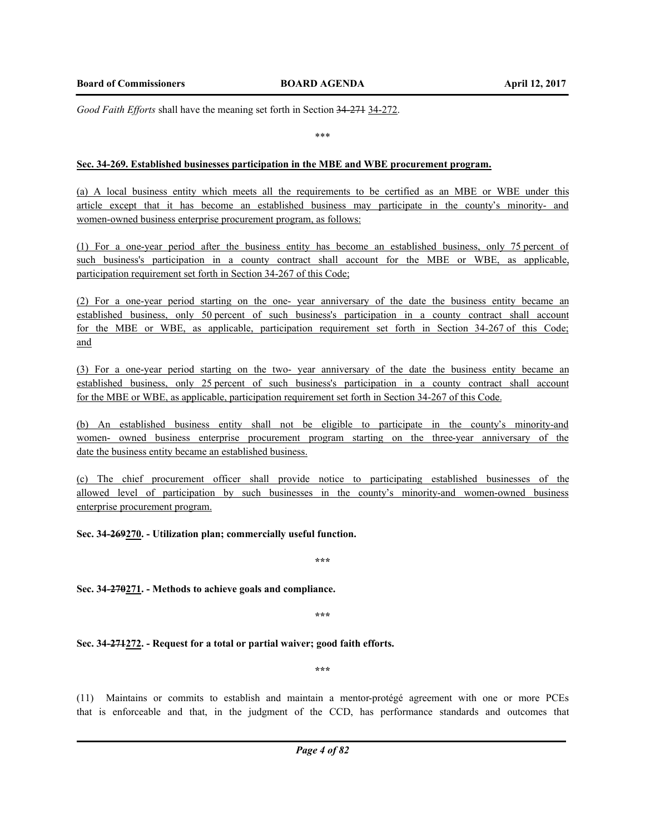*Good Faith Efforts* shall have the meaning set forth in Section 34-271 34-272.

\*\*\*

## **Sec. 34-269. Established businesses participation in the MBE and WBE procurement program.**

(a) A local business entity which meets all the requirements to be certified as an MBE or WBE under this article except that it has become an established business may participate in the county's minority- and women-owned business enterprise procurement program, as follows:

(1) For a one-year period after the business entity has become an established business, only 75 percent of such business's participation in a county contract shall account for the MBE or WBE, as applicable, participation requirement set forth in Section 34-267 of this Code;

(2) For a one-year period starting on the one- year anniversary of the date the business entity became an established business, only 50 percent of such business's participation in a county contract shall account for the MBE or WBE, as applicable, participation requirement set forth in Section 34-267 of this Code; and

(3) For a one-year period starting on the two- year anniversary of the date the business entity became an established business, only 25 percent of such business's participation in a county contract shall account for the MBE or WBE, as applicable, participation requirement set forth in Section 34-267 of this Code.

(b) An established business entity shall not be eligible to participate in the county's minority-and women- owned business enterprise procurement program starting on the three-year anniversary of the date the business entity became an established business.

(c) The chief procurement officer shall provide notice to participating established businesses of the allowed level of participation by such businesses in the county's minority-and women-owned business enterprise procurement program.

**Sec. 34-269270. - Utilization plan; commercially useful function.** 

**\*\*\***

**Sec. 34-270271. - Methods to achieve goals and compliance.** 

**\*\*\***

**Sec. 34-271272. - Request for a total or partial waiver; good faith efforts.** 

**\*\*\***

(11) Maintains or commits to establish and maintain a mentor-protégé agreement with one or more PCEs that is enforceable and that, in the judgment of the CCD, has performance standards and outcomes that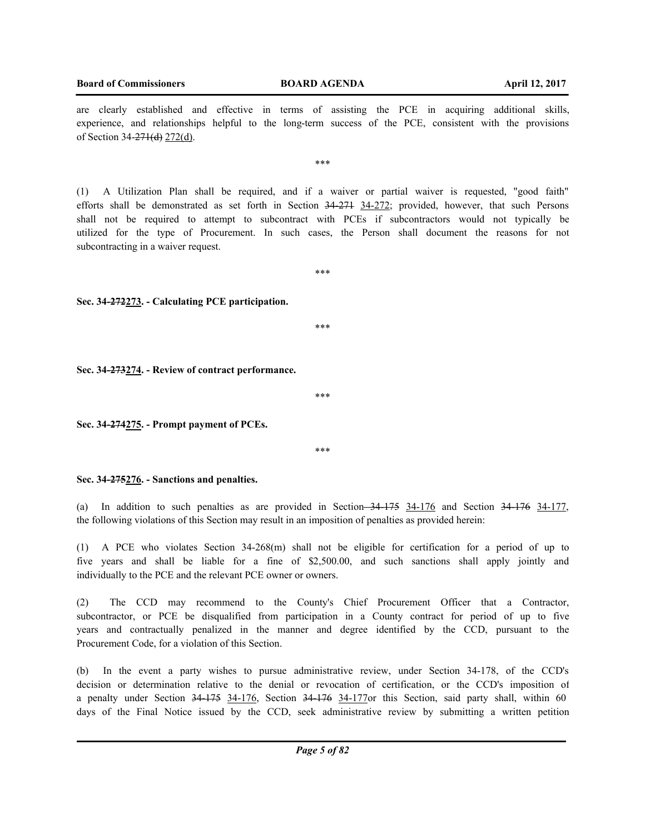**Board of Commissioners BOARD AGENDA April 12, 2017**

are clearly established and effective in terms of assisting the PCE in acquiring additional skills, experience, and relationships helpful to the long-term success of the PCE, consistent with the provisions of Section 34-271(d) 272(d).

\*\*\*

(1) A Utilization Plan shall be required, and if a waiver or partial waiver is requested, "good faith" efforts shall be demonstrated as set forth in Section 34-271 34-272; provided, however, that such Persons shall not be required to attempt to subcontract with PCEs if subcontractors would not typically be utilized for the type of Procurement. In such cases, the Person shall document the reasons for not subcontracting in a waiver request.

\*\*\*

**Sec. 34-272273. - Calculating PCE participation.** 

\*\*\*

**Sec. 34-273274. - Review of contract performance.** 

\*\*\*

**Sec. 34-274275. - Prompt payment of PCEs.** 

\*\*\*

**Sec. 34-275276. - Sanctions and penalties.** 

(a) In addition to such penalties as are provided in Section 34-175 34-176 and Section 34-176 34-177, the following violations of this Section may result in an imposition of penalties as provided herein:

(1) A PCE who violates Section 34-268(m) shall not be eligible for certification for a period of up to five years and shall be liable for a fine of \$2,500.00, and such sanctions shall apply jointly and individually to the PCE and the relevant PCE owner or owners.

(2) The CCD may recommend to the County's Chief Procurement Officer that a Contractor, subcontractor, or PCE be disqualified from participation in a County contract for period of up to five years and contractually penalized in the manner and degree identified by the CCD, pursuant to the Procurement Code, for a violation of this Section.

(b) In the event a party wishes to pursue administrative review, under Section 34-178, of the CCD's decision or determination relative to the denial or revocation of certification, or the CCD's imposition of a penalty under Section  $34-175$   $34-176$ , Section  $34-176$   $34-177$  or this Section, said party shall, within 60 days of the Final Notice issued by the CCD, seek administrative review by submitting a written petition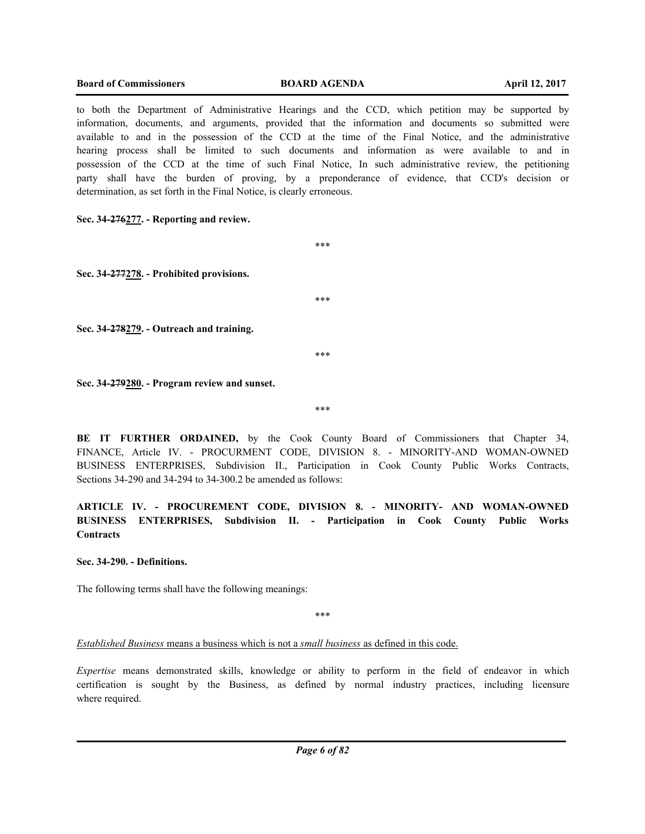#### **Board of Commissioners BOARD AGENDA April 12, 2017**

to both the Department of Administrative Hearings and the CCD, which petition may be supported by information, documents, and arguments, provided that the information and documents so submitted were available to and in the possession of the CCD at the time of the Final Notice, and the administrative hearing process shall be limited to such documents and information as were available to and in possession of the CCD at the time of such Final Notice, In such administrative review, the petitioning party shall have the burden of proving, by a preponderance of evidence, that CCD's decision or determination, as set forth in the Final Notice, is clearly erroneous.

\*\*\*

\*\*\*

\*\*\*

**Sec. 34-276277. - Reporting and review.** 

**Sec. 34-277278. - Prohibited provisions.** 

**Sec. 34-278279. - Outreach and training.** 

**Sec. 34-279280. - Program review and sunset.** 

\*\*\*

**BE IT FURTHER ORDAINED,** by the Cook County Board of Commissioners that Chapter 34, FINANCE, Article IV. - PROCURMENT CODE, DIVISION 8. - MINORITY-AND WOMAN-OWNED BUSINESS ENTERPRISES, Subdivision II., Participation in Cook County Public Works Contracts, Sections 34-290 and 34-294 to 34-300.2 be amended as follows:

**ARTICLE IV. - PROCUREMENT CODE, DIVISION 8. - MINORITY- AND WOMAN-OWNED BUSINESS ENTERPRISES, Subdivision II. - Participation in Cook County Public Works Contracts**

**Sec. 34-290. - Definitions.**

The following terms shall have the following meanings:

\*\*\*

*Established Business* means a business which is not a *small business* as defined in this code.

*Expertise* means demonstrated skills, knowledge or ability to perform in the field of endeavor in which certification is sought by the Business, as defined by normal industry practices, including licensure where required.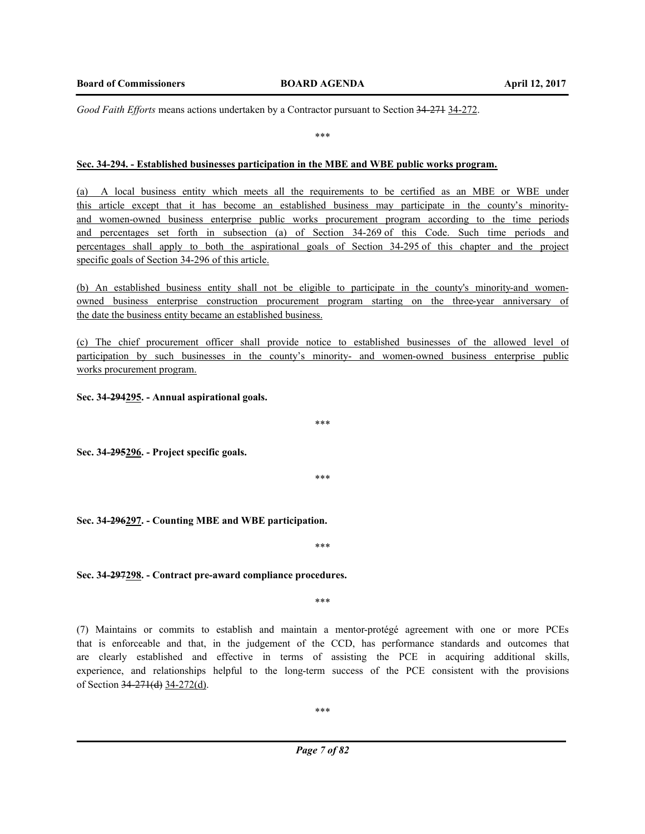*Good Faith Efforts* means actions undertaken by a Contractor pursuant to Section 34-271 34-272.

\*\*\*

#### **Sec. 34-294. - Established businesses participation in the MBE and WBE public works program.**

(a) A local business entity which meets all the requirements to be certified as an MBE or WBE under this article except that it has become an established business may participate in the county's minorityand women-owned business enterprise public works procurement program according to the time periods and percentages set forth in subsection (a) of Section 34-269 of this Code. Such time periods and percentages shall apply to both the aspirational goals of Section 34-295 of this chapter and the project specific goals of Section 34-296 of this article.

(b) An established business entity shall not be eligible to participate in the county's minority-and womenowned business enterprise construction procurement program starting on the three-year anniversary of the date the business entity became an established business.

(c) The chief procurement officer shall provide notice to established businesses of the allowed level of participation by such businesses in the county's minority- and women-owned business enterprise public works procurement program.

**Sec. 34-294295. - Annual aspirational goals.** 

**Sec. 34-295296. - Project specific goals.** 

\*\*\*

\*\*\*

**Sec. 34-296297. - Counting MBE and WBE participation.** 

**Sec. 34-297298. - Contract pre-award compliance procedures.** 

\*\*\*

\*\*\*

(7) Maintains or commits to establish and maintain a mentor-protégé agreement with one or more PCEs that is enforceable and that, in the judgement of the CCD, has performance standards and outcomes that are clearly established and effective in terms of assisting the PCE in acquiring additional skills, experience, and relationships helpful to the long-term success of the PCE consistent with the provisions of Section 34-271(d) 34-272(d).

\*\*\*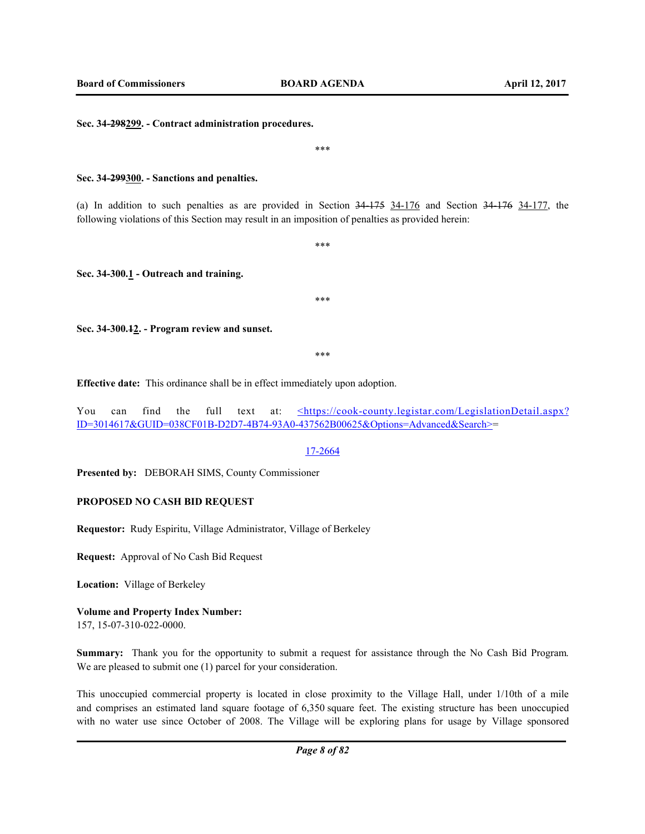\*\*\*

**Sec. 34-298299. - Contract administration procedures.** 

**Sec. 34-299300. - Sanctions and penalties.** 

(a) In addition to such penalties as are provided in Section 34-175 34-176 and Section 34-176 34-177, the following violations of this Section may result in an imposition of penalties as provided herein:

\*\*\*

**Sec. 34-300.1 - Outreach and training.** 

\*\*\*

**Sec. 34-300.12. - Program review and sunset.** 

\*\*\*

**Effective date:** This ordinance shall be in effect immediately upon adoption.

You can find the full text at: <https://cook-county.legistar.com/LegislationDetail.aspx? ID=3014617&GUID=038CF01B-D2D7-4B74-93A0-437562B00625&Options=Advanced&Search>=

17-2664

**Presented by:** DEBORAH SIMS, County Commissioner

#### **PROPOSED NO CASH BID REQUEST**

**Requestor:** Rudy Espiritu, Village Administrator, Village of Berkeley

**Request:** Approval of No Cash Bid Request

**Location:** Village of Berkeley

# **Volume and Property Index Number:**

157, 15-07-310-022-0000.

**Summary:** Thank you for the opportunity to submit a request for assistance through the No Cash Bid Program. We are pleased to submit one (1) parcel for your consideration.

This unoccupied commercial property is located in close proximity to the Village Hall, under 1/10th of a mile and comprises an estimated land square footage of 6,350 square feet. The existing structure has been unoccupied with no water use since October of 2008. The Village will be exploring plans for usage by Village sponsored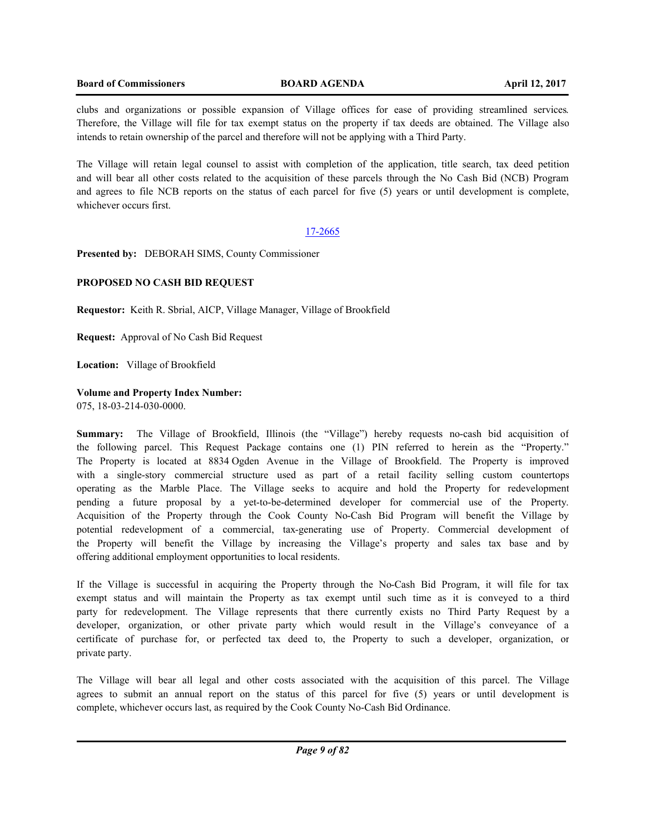## **Board of Commissioners BOARD AGENDA April 12, 2017**

clubs and organizations or possible expansion of Village offices for ease of providing streamlined services. Therefore, the Village will file for tax exempt status on the property if tax deeds are obtained. The Village also intends to retain ownership of the parcel and therefore will not be applying with a Third Party.

The Village will retain legal counsel to assist with completion of the application, title search, tax deed petition and will bear all other costs related to the acquisition of these parcels through the No Cash Bid (NCB) Program and agrees to file NCB reports on the status of each parcel for five (5) years or until development is complete, whichever occurs first.

## 17-2665

**Presented by:** DEBORAH SIMS, County Commissioner

## **PROPOSED NO CASH BID REQUEST**

**Requestor:** Keith R. Sbrial, AICP, Village Manager, Village of Brookfield

**Request:** Approval of No Cash Bid Request

**Location:** Village of Brookfield

## **Volume and Property Index Number:**

075, 18-03-214-030-0000.

**Summary:** The Village of Brookfield, Illinois (the "Village") hereby requests no-cash bid acquisition of the following parcel. This Request Package contains one (1) PIN referred to herein as the "Property." The Property is located at 8834 Ogden Avenue in the Village of Brookfield. The Property is improved with a single-story commercial structure used as part of a retail facility selling custom countertops operating as the Marble Place. The Village seeks to acquire and hold the Property for redevelopment pending a future proposal by a yet-to-be-determined developer for commercial use of the Property. Acquisition of the Property through the Cook County No-Cash Bid Program will benefit the Village by potential redevelopment of a commercial, tax-generating use of Property. Commercial development of the Property will benefit the Village by increasing the Village's property and sales tax base and by offering additional employment opportunities to local residents.

If the Village is successful in acquiring the Property through the No-Cash Bid Program, it will file for tax exempt status and will maintain the Property as tax exempt until such time as it is conveyed to a third party for redevelopment. The Village represents that there currently exists no Third Party Request by a developer, organization, or other private party which would result in the Village's conveyance of a certificate of purchase for, or perfected tax deed to, the Property to such a developer, organization, or private party.

The Village will bear all legal and other costs associated with the acquisition of this parcel. The Village agrees to submit an annual report on the status of this parcel for five (5) years or until development is complete, whichever occurs last, as required by the Cook County No-Cash Bid Ordinance.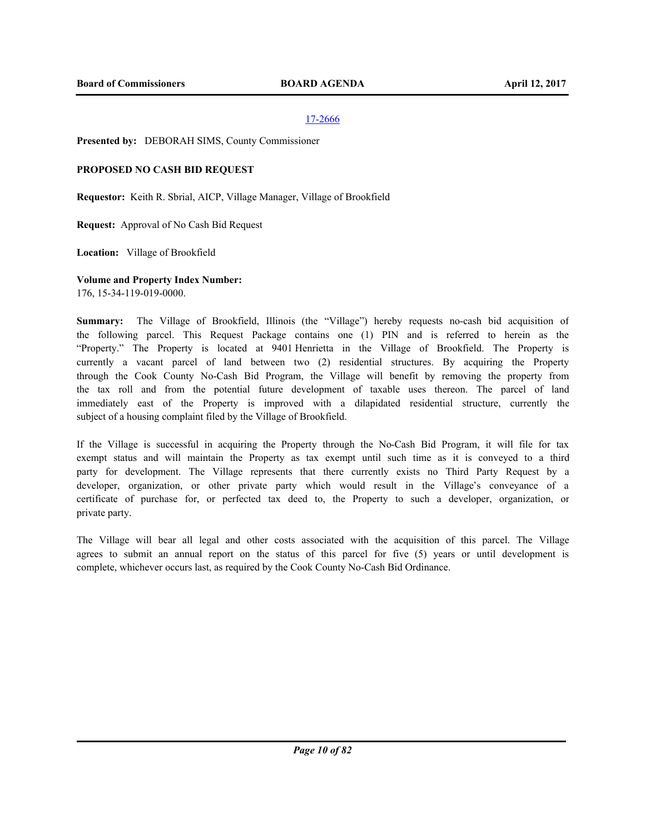**Presented by:** DEBORAH SIMS, County Commissioner

## **PROPOSED NO CASH BID REQUEST**

**Requestor:** Keith R. Sbrial, AICP, Village Manager, Village of Brookfield

**Request:** Approval of No Cash Bid Request

**Location:** Village of Brookfield

**Volume and Property Index Number:**

176, 15-34-119-019-0000.

**Summary:** The Village of Brookfield, Illinois (the "Village") hereby requests no-cash bid acquisition of the following parcel. This Request Package contains one (1) PIN and is referred to herein as the "Property." The Property is located at 9401 Henrietta in the Village of Brookfield. The Property is currently a vacant parcel of land between two (2) residential structures. By acquiring the Property through the Cook County No-Cash Bid Program, the Village will benefit by removing the property from the tax roll and from the potential future development of taxable uses thereon. The parcel of land immediately east of the Property is improved with a dilapidated residential structure, currently the subject of a housing complaint filed by the Village of Brookfield.

If the Village is successful in acquiring the Property through the No-Cash Bid Program, it will file for tax exempt status and will maintain the Property as tax exempt until such time as it is conveyed to a third party for development. The Village represents that there currently exists no Third Party Request by a developer, organization, or other private party which would result in the Village's conveyance of a certificate of purchase for, or perfected tax deed to, the Property to such a developer, organization, or private party.

The Village will bear all legal and other costs associated with the acquisition of this parcel. The Village agrees to submit an annual report on the status of this parcel for five (5) years or until development is complete, whichever occurs last, as required by the Cook County No-Cash Bid Ordinance.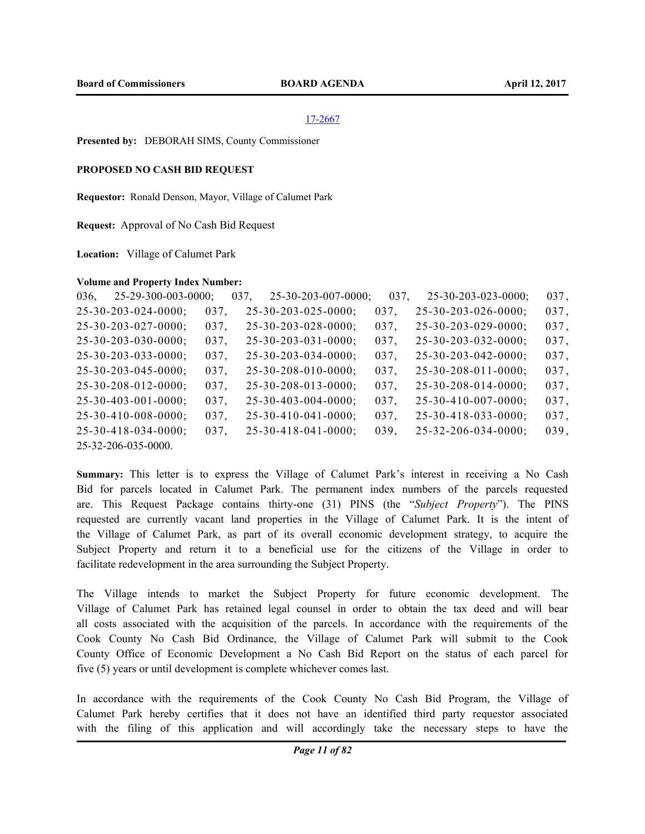**Presented by:** DEBORAH SIMS, County Commissioner

## **PROPOSED NO CASH BID REQUEST**

**Requestor:** Ronald Denson, Mayor, Village of Calumet Park

**Request:** Approval of No Cash Bid Request

**Location:** Village of Calumet Park

#### **Volume and Property Index Number:**

| 036, | $25 - 29 - 300 - 003 - 0000$ ; |      | 037, | $25 - 30 - 203 - 007 - 0000$ ; | 037, | $25 - 30 - 203 - 023 - 0000$ ; | 037, |
|------|--------------------------------|------|------|--------------------------------|------|--------------------------------|------|
|      | $25 - 30 - 203 - 024 - 0000$ ; | 037, |      | $25 - 30 - 203 - 025 - 0000$ ; | 037. | $25 - 30 - 203 - 026 - 0000$ ; | 037, |
|      | $25 - 30 - 203 - 027 - 0000$ ; | 037, |      | $25 - 30 - 203 - 028 - 0000$ ; | 037, | $25 - 30 - 203 - 029 - 0000$ ; | 037, |
|      | $25 - 30 - 203 - 030 - 0000$ ; | 037, |      | $25 - 30 - 203 - 031 - 0000$ ; | 037, | $25 - 30 - 203 - 032 - 0000$ ; | 037, |
|      | $25 - 30 - 203 - 033 - 0000$ ; | 037, |      | $25 - 30 - 203 - 034 - 0000$ ; | 037, | $25 - 30 - 203 - 042 - 0000$ ; | 037, |
|      | $25 - 30 - 203 - 045 - 0000$ ; | 037, |      | $25 - 30 - 208 - 010 - 0000$ ; | 037, | $25 - 30 - 208 - 011 - 0000$ ; | 037, |
|      | $25 - 30 - 208 - 012 - 0000$ ; | 037, |      | $25 - 30 - 208 - 013 - 0000$ ; | 037, | $25 - 30 - 208 - 014 - 0000$ ; | 037, |
|      | $25 - 30 - 403 - 001 - 0000$ ; | 037, |      | $25 - 30 - 403 - 004 - 0000$ ; | 037, | $25 - 30 - 410 - 007 - 0000$ ; | 037, |
|      | $25 - 30 - 410 - 008 - 0000$ ; | 037, |      | $25 - 30 - 410 - 041 - 0000$ ; | 037, | $25 - 30 - 418 - 033 - 0000$ ; | 037, |
|      | $25 - 30 - 418 - 034 - 0000$ ; | 037, |      | $25 - 30 - 418 - 041 - 0000$ ; | 039, | $25 - 32 - 206 - 034 - 0000$ ; | 039, |
|      | 25-32-206-035-0000.            |      |      |                                |      |                                |      |

**Summary:** This letter is to express the Village of Calumet Park's interest in receiving a No Cash Bid for parcels located in Calumet Park. The permanent index numbers of the parcels requested are. This Request Package contains thirty-one (31) PINS (the "*Subject Property*"). The PINS requested are currently vacant land properties in the Village of Calumet Park. It is the intent of the Village of Calumet Park, as part of its overall economic development strategy, to acquire the Subject Property and return it to a beneficial use for the citizens of the Village in order to facilitate redevelopment in the area surrounding the Subject Property.

The Village intends to market the Subject Property for future economic development. The Village of Calumet Park has retained legal counsel in order to obtain the tax deed and will bear all costs associated with the acquisition of the parcels. In accordance with the requirements of the Cook County No Cash Bid Ordinance, the Village of Calumet Park will submit to the Cook County Office of Economic Development a No Cash Bid Report on the status of each parcel for five (5) years or until development is complete whichever comes last.

In accordance with the requirements of the Cook County No Cash Bid Program, the Village of Calumet Park hereby certifies that it does not have an identified third party requestor associated with the filing of this application and will accordingly take the necessary steps to have the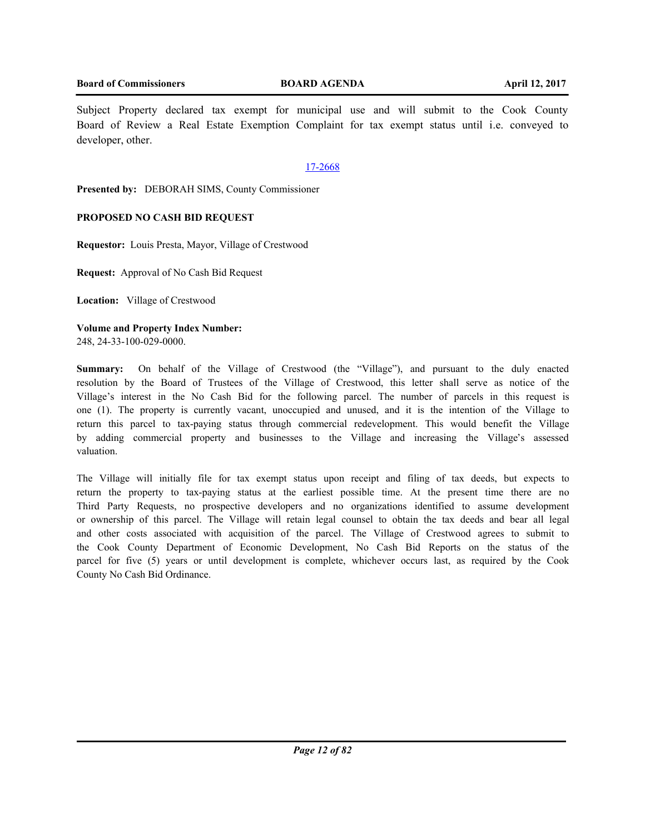Subject Property declared tax exempt for municipal use and will submit to the Cook County Board of Review a Real Estate Exemption Complaint for tax exempt status until i.e. conveyed to developer, other.

## 17-2668

**Presented by:** DEBORAH SIMS, County Commissioner

## **PROPOSED NO CASH BID REQUEST**

**Requestor:** Louis Presta, Mayor, Village of Crestwood

**Request:** Approval of No Cash Bid Request

**Location:** Village of Crestwood

**Volume and Property Index Number:** 248, 24-33-100-029-0000.

**Summary:** On behalf of the Village of Crestwood (the "Village"), and pursuant to the duly enacted resolution by the Board of Trustees of the Village of Crestwood, this letter shall serve as notice of the Village's interest in the No Cash Bid for the following parcel. The number of parcels in this request is one (1). The property is currently vacant, unoccupied and unused, and it is the intention of the Village to return this parcel to tax-paying status through commercial redevelopment. This would benefit the Village by adding commercial property and businesses to the Village and increasing the Village's assessed valuation.

The Village will initially file for tax exempt status upon receipt and filing of tax deeds, but expects to return the property to tax-paying status at the earliest possible time. At the present time there are no Third Party Requests, no prospective developers and no organizations identified to assume development or ownership of this parcel. The Village will retain legal counsel to obtain the tax deeds and bear all legal and other costs associated with acquisition of the parcel. The Village of Crestwood agrees to submit to the Cook County Department of Economic Development, No Cash Bid Reports on the status of the parcel for five (5) years or until development is complete, whichever occurs last, as required by the Cook County No Cash Bid Ordinance.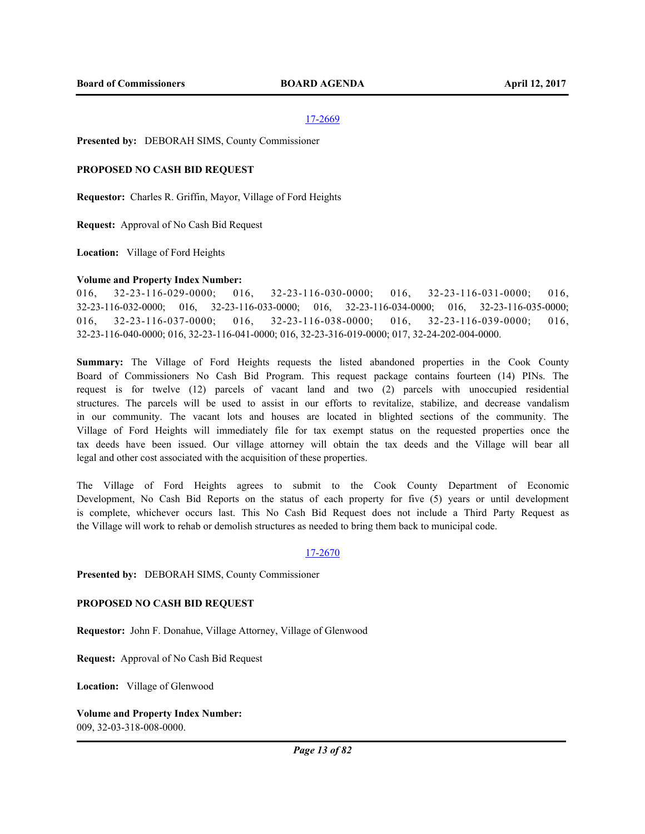**Presented by:** DEBORAH SIMS, County Commissioner

#### **PROPOSED NO CASH BID REQUEST**

**Requestor:** Charles R. Griffin, Mayor, Village of Ford Heights

**Request:** Approval of No Cash Bid Request

**Location:** Village of Ford Heights

#### **Volume and Property Index Number:**

016, 32-23-116-029-0000; 016, 32-23-116-030-0000; 016, 32-23-116-031-0000; 016, 32-23-116-032-0000; 016, 32-23-116-033-0000; 016, 32-23-116-034-0000; 016, 32-23-116-035-0000; 016, 32-23-116-037-0000; 016, 32-23-116-038-0000; 016, 32-23-116-039-0000; 016, 32-23-116-040-0000; 016, 32-23-116-041-0000; 016, 32-23-316-019-0000; 017, 32-24-202-004-0000.

**Summary:** The Village of Ford Heights requests the listed abandoned properties in the Cook County Board of Commissioners No Cash Bid Program. This request package contains fourteen (14) PINs. The request is for twelve (12) parcels of vacant land and two (2) parcels with unoccupied residential structures. The parcels will be used to assist in our efforts to revitalize, stabilize, and decrease vandalism in our community. The vacant lots and houses are located in blighted sections of the community. The Village of Ford Heights will immediately file for tax exempt status on the requested properties once the tax deeds have been issued. Our village attorney will obtain the tax deeds and the Village will bear all legal and other cost associated with the acquisition of these properties.

The Village of Ford Heights agrees to submit to the Cook County Department of Economic Development, No Cash Bid Reports on the status of each property for five (5) years or until development is complete, whichever occurs last. This No Cash Bid Request does not include a Third Party Request as the Village will work to rehab or demolish structures as needed to bring them back to municipal code.

#### 17-2670

**Presented by:** DEBORAH SIMS, County Commissioner

#### **PROPOSED NO CASH BID REQUEST**

**Requestor:** John F. Donahue, Village Attorney, Village of Glenwood

**Request:** Approval of No Cash Bid Request

**Location:** Village of Glenwood

**Volume and Property Index Number:** 009, 32-03-318-008-0000.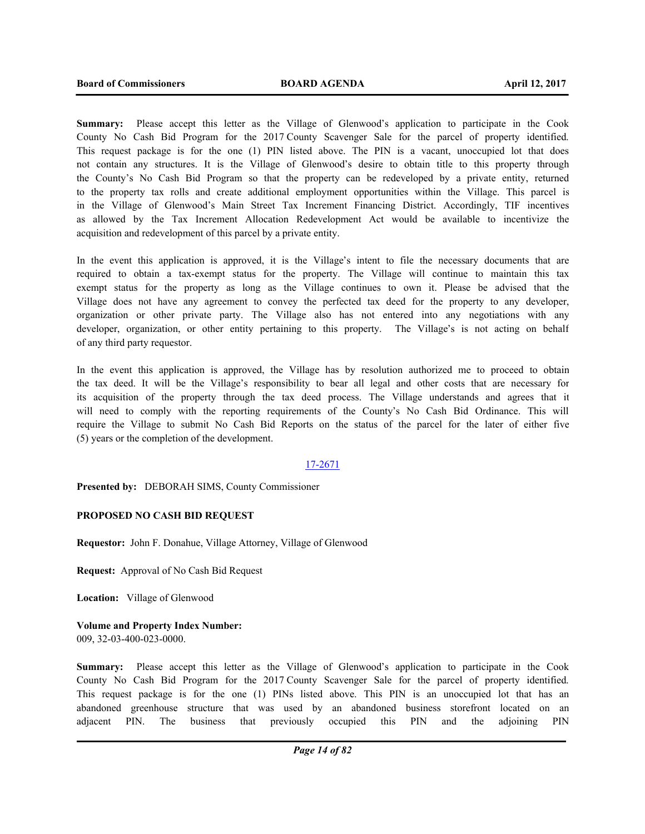**Summary:** Please accept this letter as the Village of Glenwood's application to participate in the Cook County No Cash Bid Program for the 2017 County Scavenger Sale for the parcel of property identified. This request package is for the one (1) PIN listed above. The PIN is a vacant, unoccupied lot that does not contain any structures. It is the Village of Glenwood's desire to obtain title to this property through the County's No Cash Bid Program so that the property can be redeveloped by a private entity, returned to the property tax rolls and create additional employment opportunities within the Village. This parcel is in the Village of Glenwood's Main Street Tax Increment Financing District. Accordingly, TIF incentives as allowed by the Tax Increment Allocation Redevelopment Act would be available to incentivize the acquisition and redevelopment of this parcel by a private entity.

In the event this application is approved, it is the Village's intent to file the necessary documents that are required to obtain a tax-exempt status for the property. The Village will continue to maintain this tax exempt status for the property as long as the Village continues to own it. Please be advised that the Village does not have any agreement to convey the perfected tax deed for the property to any developer, organization or other private party. The Village also has not entered into any negotiations with any developer, organization, or other entity pertaining to this property. The Village's is not acting on behalf of any third party requestor.

In the event this application is approved, the Village has by resolution authorized me to proceed to obtain the tax deed. It will be the Village's responsibility to bear all legal and other costs that are necessary for its acquisition of the property through the tax deed process. The Village understands and agrees that it will need to comply with the reporting requirements of the County's No Cash Bid Ordinance. This will require the Village to submit No Cash Bid Reports on the status of the parcel for the later of either five (5) years or the completion of the development.

## 17-2671

**Presented by:** DEBORAH SIMS, County Commissioner

## **PROPOSED NO CASH BID REQUEST**

**Requestor:** John F. Donahue, Village Attorney, Village of Glenwood

**Request:** Approval of No Cash Bid Request

**Location:** Village of Glenwood

**Volume and Property Index Number:** 009, 32-03-400-023-0000.

**Summary:** Please accept this letter as the Village of Glenwood's application to participate in the Cook County No Cash Bid Program for the 2017 County Scavenger Sale for the parcel of property identified. This request package is for the one (1) PINs listed above. This PIN is an unoccupied lot that has an abandoned greenhouse structure that was used by an abandoned business storefront located on an adjacent PIN. The business that previously occupied this PIN and the adjoining PIN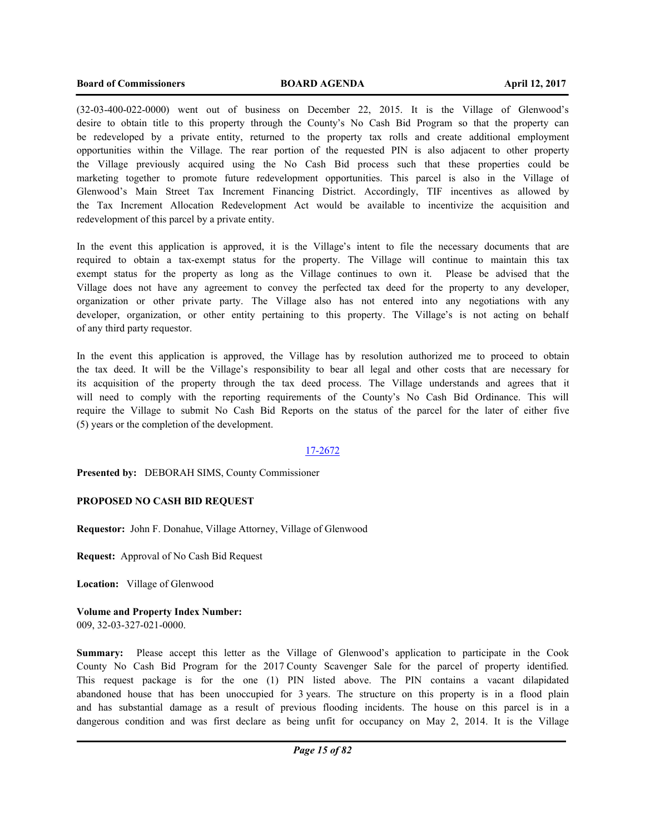(32-03-400-022-0000) went out of business on December 22, 2015. It is the Village of Glenwood's desire to obtain title to this property through the County's No Cash Bid Program so that the property can be redeveloped by a private entity, returned to the property tax rolls and create additional employment opportunities within the Village. The rear portion of the requested PIN is also adjacent to other property the Village previously acquired using the No Cash Bid process such that these properties could be marketing together to promote future redevelopment opportunities. This parcel is also in the Village of Glenwood's Main Street Tax Increment Financing District. Accordingly, TIF incentives as allowed by the Tax Increment Allocation Redevelopment Act would be available to incentivize the acquisition and redevelopment of this parcel by a private entity.

In the event this application is approved, it is the Village's intent to file the necessary documents that are required to obtain a tax-exempt status for the property. The Village will continue to maintain this tax exempt status for the property as long as the Village continues to own it. Please be advised that the Village does not have any agreement to convey the perfected tax deed for the property to any developer, organization or other private party. The Village also has not entered into any negotiations with any developer, organization, or other entity pertaining to this property. The Village's is not acting on behalf of any third party requestor.

In the event this application is approved, the Village has by resolution authorized me to proceed to obtain the tax deed. It will be the Village's responsibility to bear all legal and other costs that are necessary for its acquisition of the property through the tax deed process. The Village understands and agrees that it will need to comply with the reporting requirements of the County's No Cash Bid Ordinance. This will require the Village to submit No Cash Bid Reports on the status of the parcel for the later of either five (5) years or the completion of the development.

## 17-2672

**Presented by:** DEBORAH SIMS, County Commissioner

## **PROPOSED NO CASH BID REQUEST**

**Requestor:** John F. Donahue, Village Attorney, Village of Glenwood

**Request:** Approval of No Cash Bid Request

**Location:** Village of Glenwood

**Volume and Property Index Number:** 009, 32-03-327-021-0000.

**Summary:** Please accept this letter as the Village of Glenwood's application to participate in the Cook County No Cash Bid Program for the 2017 County Scavenger Sale for the parcel of property identified. This request package is for the one (1) PIN listed above. The PIN contains a vacant dilapidated abandoned house that has been unoccupied for 3 years. The structure on this property is in a flood plain and has substantial damage as a result of previous flooding incidents. The house on this parcel is in a dangerous condition and was first declare as being unfit for occupancy on May 2, 2014. It is the Village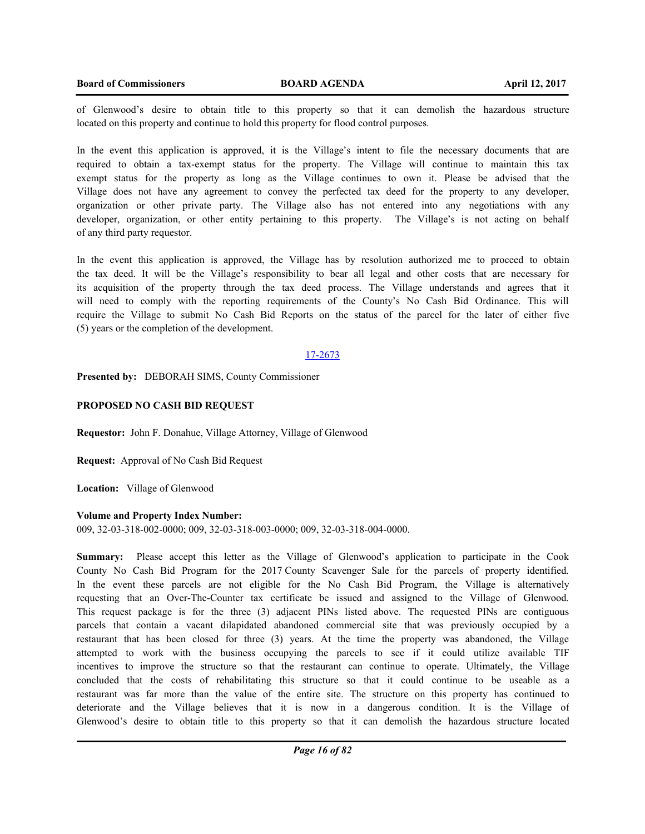of Glenwood's desire to obtain title to this property so that it can demolish the hazardous structure located on this property and continue to hold this property for flood control purposes.

In the event this application is approved, it is the Village's intent to file the necessary documents that are required to obtain a tax-exempt status for the property. The Village will continue to maintain this tax exempt status for the property as long as the Village continues to own it. Please be advised that the Village does not have any agreement to convey the perfected tax deed for the property to any developer, organization or other private party. The Village also has not entered into any negotiations with any developer, organization, or other entity pertaining to this property. The Village's is not acting on behalf of any third party requestor.

In the event this application is approved, the Village has by resolution authorized me to proceed to obtain the tax deed. It will be the Village's responsibility to bear all legal and other costs that are necessary for its acquisition of the property through the tax deed process. The Village understands and agrees that it will need to comply with the reporting requirements of the County's No Cash Bid Ordinance. This will require the Village to submit No Cash Bid Reports on the status of the parcel for the later of either five (5) years or the completion of the development.

#### 17-2673

**Presented by:** DEBORAH SIMS, County Commissioner

#### **PROPOSED NO CASH BID REQUEST**

**Requestor:** John F. Donahue, Village Attorney, Village of Glenwood

**Request:** Approval of No Cash Bid Request

**Location:** Village of Glenwood

#### **Volume and Property Index Number:**

009, 32-03-318-002-0000; 009, 32-03-318-003-0000; 009, 32-03-318-004-0000.

**Summary:** Please accept this letter as the Village of Glenwood's application to participate in the Cook County No Cash Bid Program for the 2017 County Scavenger Sale for the parcels of property identified. In the event these parcels are not eligible for the No Cash Bid Program, the Village is alternatively requesting that an Over-The-Counter tax certificate be issued and assigned to the Village of Glenwood. This request package is for the three (3) adjacent PINs listed above. The requested PINs are contiguous parcels that contain a vacant dilapidated abandoned commercial site that was previously occupied by a restaurant that has been closed for three (3) years. At the time the property was abandoned, the Village attempted to work with the business occupying the parcels to see if it could utilize available TIF incentives to improve the structure so that the restaurant can continue to operate. Ultimately, the Village concluded that the costs of rehabilitating this structure so that it could continue to be useable as a restaurant was far more than the value of the entire site. The structure on this property has continued to deteriorate and the Village believes that it is now in a dangerous condition. It is the Village of Glenwood's desire to obtain title to this property so that it can demolish the hazardous structure located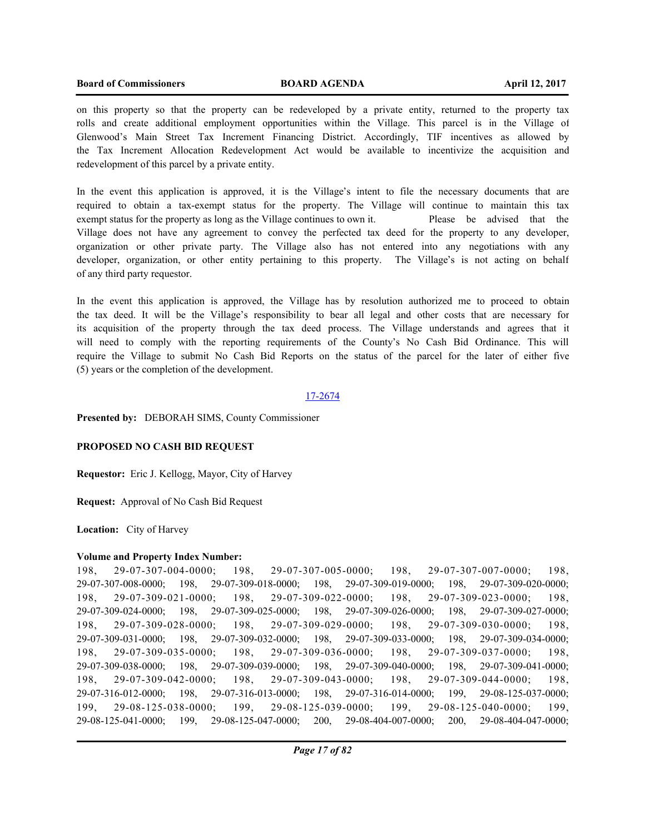on this property so that the property can be redeveloped by a private entity, returned to the property tax rolls and create additional employment opportunities within the Village. This parcel is in the Village of Glenwood's Main Street Tax Increment Financing District. Accordingly, TIF incentives as allowed by the Tax Increment Allocation Redevelopment Act would be available to incentivize the acquisition and redevelopment of this parcel by a private entity.

In the event this application is approved, it is the Village's intent to file the necessary documents that are required to obtain a tax-exempt status for the property. The Village will continue to maintain this tax exempt status for the property as long as the Village continues to own it. Please be advised that the Village does not have any agreement to convey the perfected tax deed for the property to any developer, organization or other private party. The Village also has not entered into any negotiations with any developer, organization, or other entity pertaining to this property. The Village's is not acting on behalf of any third party requestor.

In the event this application is approved, the Village has by resolution authorized me to proceed to obtain the tax deed. It will be the Village's responsibility to bear all legal and other costs that are necessary for its acquisition of the property through the tax deed process. The Village understands and agrees that it will need to comply with the reporting requirements of the County's No Cash Bid Ordinance. This will require the Village to submit No Cash Bid Reports on the status of the parcel for the later of either five (5) years or the completion of the development.

## 17-2674

**Presented by:** DEBORAH SIMS, County Commissioner

### **PROPOSED NO CASH BID REQUEST**

**Requestor:** Eric J. Kellogg, Mayor, City of Harvey

**Request:** Approval of No Cash Bid Request

**Location:** City of Harvey

#### **Volume and Property Index Number:**

198, 29-07-307-004-0000; 198, 29-07-307-005-0000; 198, 29-07-307-007-0000; 198, 29-07-307-008-0000; 198, 29-07-309-018-0000; 198, 29-07-309-019-0000; 198, 29-07-309-020-0000; 198, 29-07-309-021-0000; 198, 29-07-309-022-0000; 198, 29-07-309-023-0000; 198, 29-07-309-024-0000; 198, 29-07-309-025-0000; 198, 29-07-309-026-0000; 198, 29-07-309-027-0000; 198, 29-07-309-028-0000; 198, 29-07-309-029-0000; 198, 29-07-309-030-0000; 198, 29-07-309-031-0000; 198, 29-07-309-032-0000; 198, 29-07-309-033-0000; 198, 29-07-309-034-0000; 198, 29-07-309-035-0000; 198, 29-07-309-036-0000; 198, 29-07-309-037-0000; 198, 29-07-309-038-0000; 198, 29-07-309-039-0000; 198, 29-07-309-040-0000; 198, 29-07-309-041-0000; 198, 29-07-309-042-0000; 198, 29-07-309-043-0000; 198, 29-07-309-044-0000; 198, 29-07-316-012-0000; 198, 29-07-316-013-0000; 198, 29-07-316-014-0000; 199, 29-08-125-037-0000; 199, 29-08-125-038-0000; 199, 29-08-125-039-0000; 199, 29-08-125-040-0000; 199, 29-08-125-041-0000; 199, 29-08-125-047-0000; 200, 29-08-404-007-0000; 200, 29-08-404-047-0000;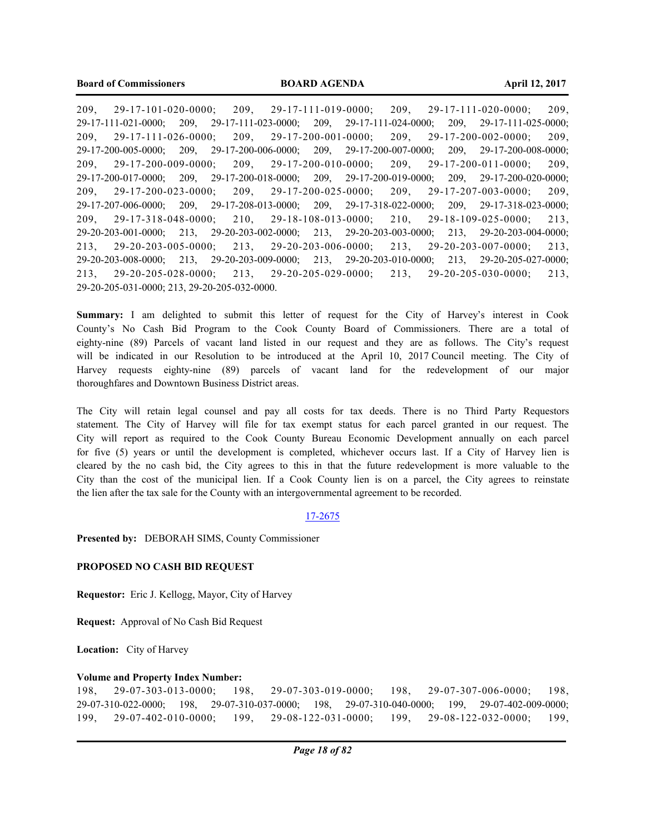209, 29-17-101-020-0000; 209, 29-17-111-019-0000; 209, 29-17-111-020-0000; 209, 29-17-111-021-0000; 209, 29-17-111-023-0000; 209, 29-17-111-024-0000; 209, 29-17-111-025-0000; 209, 29-17-111-026-0000; 209, 29-17-200-001-0000; 209, 29-17-200-002-0000; 209, 29-17-200-005-0000; 209, 29-17-200-006-0000; 209, 29-17-200-007-0000; 209, 29-17-200-008-0000; 209, 29-17-200-009-0000; 209, 29-17-200-010-0000; 209, 29-17-200-011-0000; 209, 29-17-200-017-0000; 209, 29-17-200-018-0000; 209, 29-17-200-019-0000; 209, 29-17-200-020-0000; 209, 29-17-200-023-0000; 209, 29-17-200-025-0000; 209, 29-17-207-003-0000; 209, 29-17-207-006-0000; 209, 29-17-208-013-0000; 209, 29-17-318-022-0000; 209, 29-17-318-023-0000; 209, 29-17-318-048-0000; 210, 29-18-108-013-0000; 210, 29-18-109-025-0000; 213, 29-20-203-001-0000; 213, 29-20-203-002-0000; 213, 29-20-203-003-0000; 213, 29-20-203-004-0000; 213, 29-20-203-005-0000; 213, 29-20-203-006-0000; 213, 29-20-203-007-0000; 213, 29-20-203-008-0000; 213, 29-20-203-009-0000; 213, 29-20-203-010-0000; 213, 29-20-205-027-0000; 213, 29-20-205-028-0000; 213, 29-20-205-029-0000; 213, 29-20-205-030-0000; 213, 29-20-205-031-0000; 213, 29-20-205-032-0000.

**Summary:** I am delighted to submit this letter of request for the City of Harvey's interest in Cook County's No Cash Bid Program to the Cook County Board of Commissioners. There are a total of eighty-nine (89) Parcels of vacant land listed in our request and they are as follows. The City's request will be indicated in our Resolution to be introduced at the April 10, 2017 Council meeting. The City of Harvey requests eighty-nine (89) parcels of vacant land for the redevelopment of our major thoroughfares and Downtown Business District areas.

The City will retain legal counsel and pay all costs for tax deeds. There is no Third Party Requestors statement. The City of Harvey will file for tax exempt status for each parcel granted in our request. The City will report as required to the Cook County Bureau Economic Development annually on each parcel for five (5) years or until the development is completed, whichever occurs last. If a City of Harvey lien is cleared by the no cash bid, the City agrees to this in that the future redevelopment is more valuable to the City than the cost of the municipal lien. If a Cook County lien is on a parcel, the City agrees to reinstate the lien after the tax sale for the County with an intergovernmental agreement to be recorded.

## 17-2675

**Presented by:** DEBORAH SIMS, County Commissioner

## **PROPOSED NO CASH BID REQUEST**

**Requestor:** Eric J. Kellogg, Mayor, City of Harvey

**Request:** Approval of No Cash Bid Request

**Location:** City of Harvey

#### **Volume and Property Index Number:**

198, 29-07-303-013-0000; 198, 29-07-303-019-0000; 198, 29-07-307-006-0000; 198, 29-07-310-022-0000; 198, 29-07-310-037-0000; 198, 29-07-310-040-0000; 199, 29-07-402-009-0000; 199, 29-07-402-010-0000; 199, 29-08-122-031-0000; 199, 29-08-122-032-0000; 199,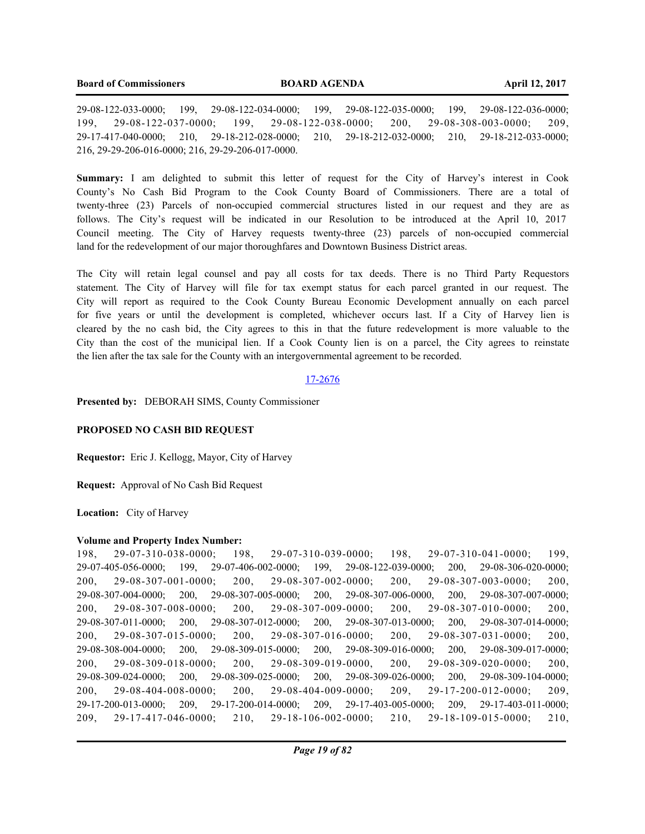29-08-122-033-0000; 199, 29-08-122-034-0000; 199, 29-08-122-035-0000; 199, 29-08-122-036-0000; 199, 29-08-122-037-0000; 199, 29-08-122-038-0000; 200, 29-08-308-003-0000; 209, 29-17-417-040-0000; 210, 29-18-212-028-0000; 210, 29-18-212-032-0000; 210, 29-18-212-033-0000; 216, 29-29-206-016-0000; 216, 29-29-206-017-0000.

**Summary:** I am delighted to submit this letter of request for the City of Harvey's interest in Cook County's No Cash Bid Program to the Cook County Board of Commissioners. There are a total of twenty-three (23) Parcels of non-occupied commercial structures listed in our request and they are as follows. The City's request will be indicated in our Resolution to be introduced at the April 10, 2017 Council meeting. The City of Harvey requests twenty-three (23) parcels of non-occupied commercial land for the redevelopment of our major thoroughfares and Downtown Business District areas.

The City will retain legal counsel and pay all costs for tax deeds. There is no Third Party Requestors statement. The City of Harvey will file for tax exempt status for each parcel granted in our request. The City will report as required to the Cook County Bureau Economic Development annually on each parcel for five years or until the development is completed, whichever occurs last. If a City of Harvey lien is cleared by the no cash bid, the City agrees to this in that the future redevelopment is more valuable to the City than the cost of the municipal lien. If a Cook County lien is on a parcel, the City agrees to reinstate the lien after the tax sale for the County with an intergovernmental agreement to be recorded.

#### 17-2676

**Presented by:** DEBORAH SIMS, County Commissioner

#### **PROPOSED NO CASH BID REQUEST**

**Requestor:** Eric J. Kellogg, Mayor, City of Harvey

**Request:** Approval of No Cash Bid Request

**Location:** City of Harvey

#### **Volume and Property Index Number:**

198, 29-07-310-038-0000; 198, 29-07-310-039-0000; 198, 29-07-310-041-0000; 199, 29-07-405-056-0000; 199, 29-07-406-002-0000; 199, 29-08-122-039-0000; 200, 29-08-306-020-0000; 200, 29-08-307-001-0000; 200, 29-08-307-002-0000; 200, 29-08-307-003-0000; 200, 29-08-307-004-0000; 200, 29-08-307-005-0000; 200, 29-08-307-006-0000, 200, 29-08-307-007-0000; 200, 29-08-307-008-0000; 200, 29-08-307-009-0000; 200, 29-08-307-010-0000; 200, 29-08-307-011-0000; 200, 29-08-307-012-0000; 200, 29-08-307-013-0000; 200, 29-08-307-014-0000; 200, 29-08-307-015-0000; 200, 29-08-307-016-0000; 200, 29-08-307-031-0000; 200, 29-08-308-004-0000; 200, 29-08-309-015-0000; 200, 29-08-309-016-0000; 200, 29-08-309-017-0000; 200, 29-08-309-018-0000; 200, 29-08-309-019-0000, 200, 29-08-309-020-0000; 200, 29-08-309-024-0000; 200, 29-08-309-025-0000; 200, 29-08-309-026-0000; 200, 29-08-309-104-0000; 200, 29-08-404-008-0000; 200, 29-08-404-009-0000; 209, 29-17-200-012-0000; 209, 29-17-200-013-0000; 209, 29-17-200-014-0000; 209, 29-17-403-005-0000; 209, 29-17-403-011-0000; 209, 29-17-417-046-0000; 210, 29-18-106-002-0000; 210, 29-18-109-015-0000; 210,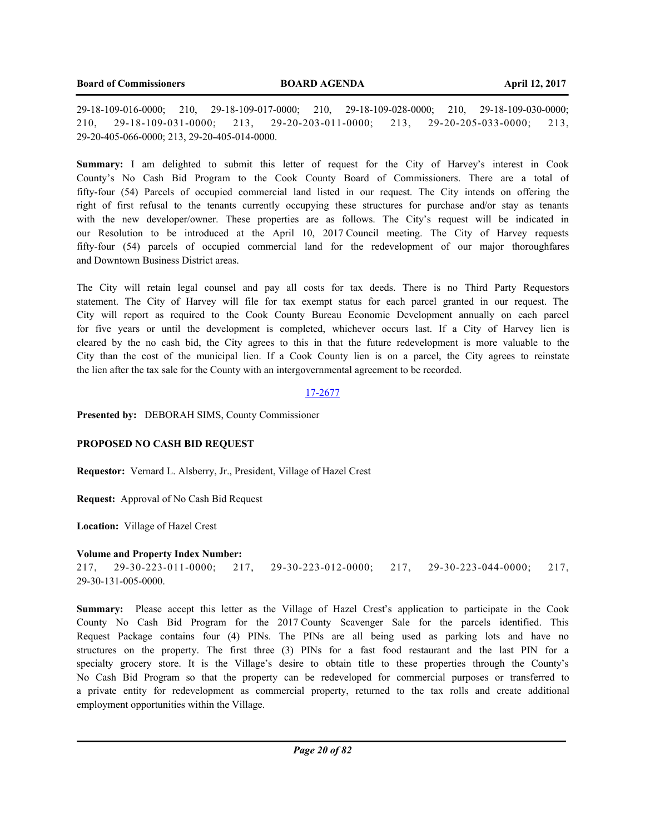29-18-109-016-0000; 210, 29-18-109-017-0000; 210, 29-18-109-028-0000; 210, 29-18-109-030-0000; 210, 29-18-109-031-0000; 213, 29-20-203-011-0000; 213, 29-20-205-033-0000; 213, 29-20-405-066-0000; 213, 29-20-405-014-0000.

**Summary:** I am delighted to submit this letter of request for the City of Harvey's interest in Cook County's No Cash Bid Program to the Cook County Board of Commissioners. There are a total of fifty-four (54) Parcels of occupied commercial land listed in our request. The City intends on offering the right of first refusal to the tenants currently occupying these structures for purchase and/or stay as tenants with the new developer/owner. These properties are as follows. The City's request will be indicated in our Resolution to be introduced at the April 10, 2017 Council meeting. The City of Harvey requests fifty-four (54) parcels of occupied commercial land for the redevelopment of our major thoroughfares and Downtown Business District areas.

The City will retain legal counsel and pay all costs for tax deeds. There is no Third Party Requestors statement. The City of Harvey will file for tax exempt status for each parcel granted in our request. The City will report as required to the Cook County Bureau Economic Development annually on each parcel for five years or until the development is completed, whichever occurs last. If a City of Harvey lien is cleared by the no cash bid, the City agrees to this in that the future redevelopment is more valuable to the City than the cost of the municipal lien. If a Cook County lien is on a parcel, the City agrees to reinstate the lien after the tax sale for the County with an intergovernmental agreement to be recorded.

## 17-2677

**Presented by:** DEBORAH SIMS, County Commissioner

## **PROPOSED NO CASH BID REQUEST**

**Requestor:** Vernard L. Alsberry, Jr., President, Village of Hazel Crest

**Request:** Approval of No Cash Bid Request

**Location:** Village of Hazel Crest

#### **Volume and Property Index Number:**

217, 29-30-223-011-0000; 217, 29-30-223-012-0000; 217, 29-30-223-044-0000; 217, 29-30-131-005-0000.

**Summary:** Please accept this letter as the Village of Hazel Crest's application to participate in the Cook County No Cash Bid Program for the 2017 County Scavenger Sale for the parcels identified. This Request Package contains four (4) PINs. The PINs are all being used as parking lots and have no structures on the property. The first three (3) PINs for a fast food restaurant and the last PIN for a specialty grocery store. It is the Village's desire to obtain title to these properties through the County's No Cash Bid Program so that the property can be redeveloped for commercial purposes or transferred to a private entity for redevelopment as commercial property, returned to the tax rolls and create additional employment opportunities within the Village.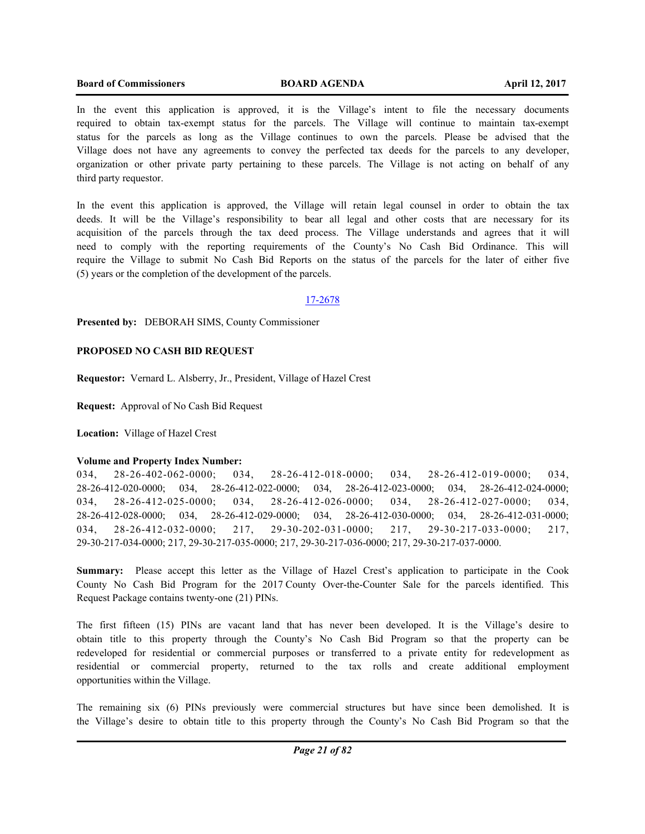#### **Board of Commissioners BOARD AGENDA April 12, 2017**

In the event this application is approved, it is the Village's intent to file the necessary documents required to obtain tax-exempt status for the parcels. The Village will continue to maintain tax-exempt status for the parcels as long as the Village continues to own the parcels. Please be advised that the Village does not have any agreements to convey the perfected tax deeds for the parcels to any developer, organization or other private party pertaining to these parcels. The Village is not acting on behalf of any third party requestor.

In the event this application is approved, the Village will retain legal counsel in order to obtain the tax deeds. It will be the Village's responsibility to bear all legal and other costs that are necessary for its acquisition of the parcels through the tax deed process. The Village understands and agrees that it will need to comply with the reporting requirements of the County's No Cash Bid Ordinance. This will require the Village to submit No Cash Bid Reports on the status of the parcels for the later of either five (5) years or the completion of the development of the parcels.

## 17-2678

**Presented by:** DEBORAH SIMS, County Commissioner

## **PROPOSED NO CASH BID REQUEST**

**Requestor:** Vernard L. Alsberry, Jr., President, Village of Hazel Crest

**Request:** Approval of No Cash Bid Request

**Location:** Village of Hazel Crest

#### **Volume and Property Index Number:**

034, 28-26-402-062-0000; 034, 28-26-412-018-0000; 034, 28-26-412-019-0000; 034, 28-26-412-020-0000; 034, 28-26-412-022-0000; 034, 28-26-412-023-0000; 034, 28-26-412-024-0000; 034, 28-26-412-025-0000; 034, 28-26-412-026-0000; 034, 28-26-412-027-0000; 034, 28-26-412-028-0000; 034, 28-26-412-029-0000; 034, 28-26-412-030-0000; 034, 28-26-412-031-0000; 034, 28-26-412-032-0000; 217, 29-30-202-031-0000; 217, 29-30-217-033-0000; 217, 29-30-217-034-0000; 217, 29-30-217-035-0000; 217, 29-30-217-036-0000; 217, 29-30-217-037-0000.

**Summary:** Please accept this letter as the Village of Hazel Crest's application to participate in the Cook County No Cash Bid Program for the 2017 County Over-the-Counter Sale for the parcels identified. This Request Package contains twenty-one (21) PINs.

The first fifteen (15) PINs are vacant land that has never been developed. It is the Village's desire to obtain title to this property through the County's No Cash Bid Program so that the property can be redeveloped for residential or commercial purposes or transferred to a private entity for redevelopment as residential or commercial property, returned to the tax rolls and create additional employment opportunities within the Village.

The remaining six (6) PINs previously were commercial structures but have since been demolished. It is the Village's desire to obtain title to this property through the County's No Cash Bid Program so that the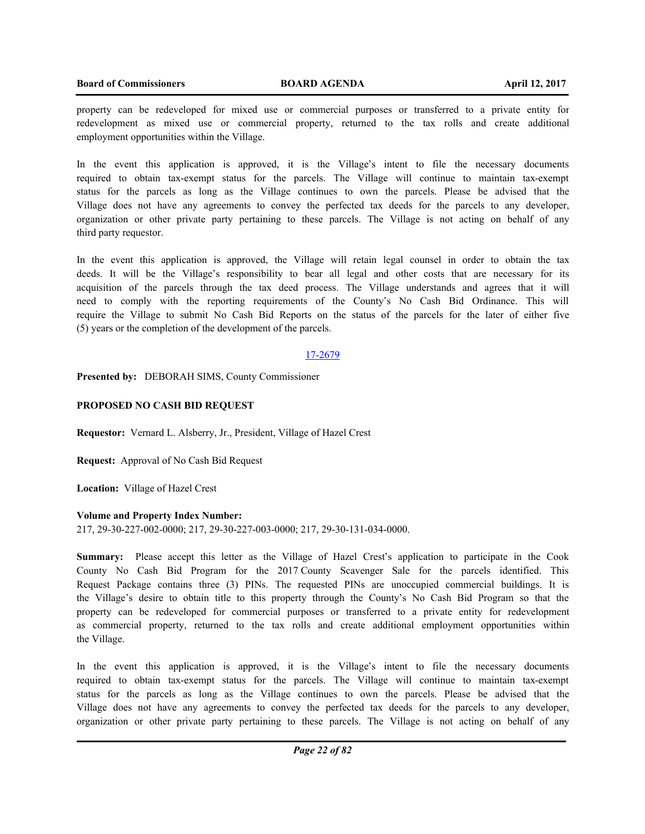property can be redeveloped for mixed use or commercial purposes or transferred to a private entity for redevelopment as mixed use or commercial property, returned to the tax rolls and create additional employment opportunities within the Village.

In the event this application is approved, it is the Village's intent to file the necessary documents required to obtain tax-exempt status for the parcels. The Village will continue to maintain tax-exempt status for the parcels as long as the Village continues to own the parcels. Please be advised that the Village does not have any agreements to convey the perfected tax deeds for the parcels to any developer, organization or other private party pertaining to these parcels. The Village is not acting on behalf of any third party requestor.

In the event this application is approved, the Village will retain legal counsel in order to obtain the tax deeds. It will be the Village's responsibility to bear all legal and other costs that are necessary for its acquisition of the parcels through the tax deed process. The Village understands and agrees that it will need to comply with the reporting requirements of the County's No Cash Bid Ordinance. This will require the Village to submit No Cash Bid Reports on the status of the parcels for the later of either five (5) years or the completion of the development of the parcels.

## 17-2679

**Presented by:** DEBORAH SIMS, County Commissioner

## **PROPOSED NO CASH BID REQUEST**

**Requestor:** Vernard L. Alsberry, Jr., President, Village of Hazel Crest

**Request:** Approval of No Cash Bid Request

**Location:** Village of Hazel Crest

#### **Volume and Property Index Number:**

217, 29-30-227-002-0000; 217, 29-30-227-003-0000; 217, 29-30-131-034-0000.

**Summary:** Please accept this letter as the Village of Hazel Crest's application to participate in the Cook County No Cash Bid Program for the 2017 County Scavenger Sale for the parcels identified. This Request Package contains three (3) PINs. The requested PINs are unoccupied commercial buildings. It is the Village's desire to obtain title to this property through the County's No Cash Bid Program so that the property can be redeveloped for commercial purposes or transferred to a private entity for redevelopment as commercial property, returned to the tax rolls and create additional employment opportunities within the Village.

In the event this application is approved, it is the Village's intent to file the necessary documents required to obtain tax-exempt status for the parcels. The Village will continue to maintain tax-exempt status for the parcels as long as the Village continues to own the parcels. Please be advised that the Village does not have any agreements to convey the perfected tax deeds for the parcels to any developer, organization or other private party pertaining to these parcels. The Village is not acting on behalf of any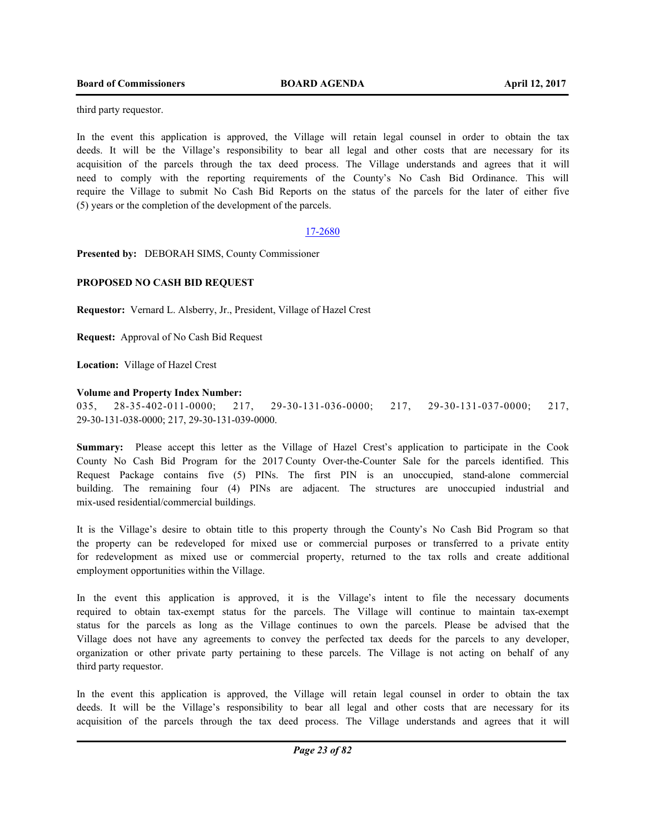third party requestor.

In the event this application is approved, the Village will retain legal counsel in order to obtain the tax deeds. It will be the Village's responsibility to bear all legal and other costs that are necessary for its acquisition of the parcels through the tax deed process. The Village understands and agrees that it will need to comply with the reporting requirements of the County's No Cash Bid Ordinance. This will require the Village to submit No Cash Bid Reports on the status of the parcels for the later of either five (5) years or the completion of the development of the parcels.

## 17-2680

**Presented by:** DEBORAH SIMS, County Commissioner

## **PROPOSED NO CASH BID REQUEST**

**Requestor:** Vernard L. Alsberry, Jr., President, Village of Hazel Crest

**Request:** Approval of No Cash Bid Request

**Location:** Village of Hazel Crest

## **Volume and Property Index Number:**

035, 28-35-402-011-0000; 217, 29-30-131-036-0000; 217, 29-30-131-037-0000; 217, 29-30-131-038-0000; 217, 29-30-131-039-0000.

**Summary:** Please accept this letter as the Village of Hazel Crest's application to participate in the Cook County No Cash Bid Program for the 2017 County Over-the-Counter Sale for the parcels identified. This Request Package contains five (5) PINs. The first PIN is an unoccupied, stand-alone commercial building. The remaining four (4) PINs are adjacent. The structures are unoccupied industrial and mix-used residential/commercial buildings.

It is the Village's desire to obtain title to this property through the County's No Cash Bid Program so that the property can be redeveloped for mixed use or commercial purposes or transferred to a private entity for redevelopment as mixed use or commercial property, returned to the tax rolls and create additional employment opportunities within the Village.

In the event this application is approved, it is the Village's intent to file the necessary documents required to obtain tax-exempt status for the parcels. The Village will continue to maintain tax-exempt status for the parcels as long as the Village continues to own the parcels. Please be advised that the Village does not have any agreements to convey the perfected tax deeds for the parcels to any developer, organization or other private party pertaining to these parcels. The Village is not acting on behalf of any third party requestor.

In the event this application is approved, the Village will retain legal counsel in order to obtain the tax deeds. It will be the Village's responsibility to bear all legal and other costs that are necessary for its acquisition of the parcels through the tax deed process. The Village understands and agrees that it will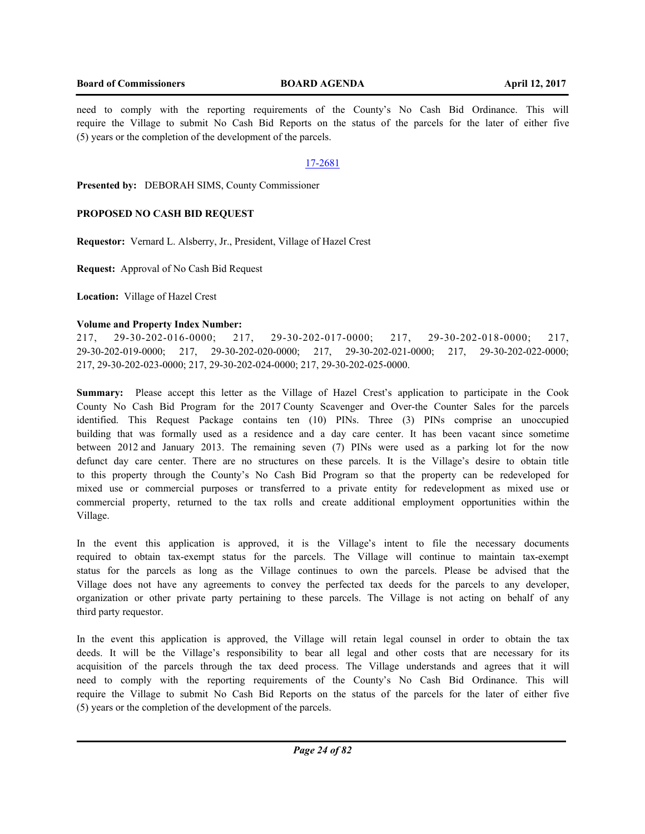## **Board of Commissioners BOARD AGENDA April 12, 2017**

need to comply with the reporting requirements of the County's No Cash Bid Ordinance. This will require the Village to submit No Cash Bid Reports on the status of the parcels for the later of either five (5) years or the completion of the development of the parcels.

## 17-2681

**Presented by:** DEBORAH SIMS, County Commissioner

## **PROPOSED NO CASH BID REQUEST**

**Requestor:** Vernard L. Alsberry, Jr., President, Village of Hazel Crest

**Request:** Approval of No Cash Bid Request

**Location:** Village of Hazel Crest

## **Volume and Property Index Number:**

217, 29-30-202-016-0000; 217, 29-30-202-017-0000; 217, 29-30-202-018-0000; 217, 29-30-202-019-0000; 217, 29-30-202-020-0000; 217, 29-30-202-021-0000; 217, 29-30-202-022-0000; 217, 29-30-202-023-0000; 217, 29-30-202-024-0000; 217, 29-30-202-025-0000.

**Summary:** Please accept this letter as the Village of Hazel Crest's application to participate in the Cook County No Cash Bid Program for the 2017 County Scavenger and Over-the Counter Sales for the parcels identified. This Request Package contains ten (10) PINs. Three (3) PINs comprise an unoccupied building that was formally used as a residence and a day care center. It has been vacant since sometime between 2012 and January 2013. The remaining seven (7) PINs were used as a parking lot for the now defunct day care center. There are no structures on these parcels. It is the Village's desire to obtain title to this property through the County's No Cash Bid Program so that the property can be redeveloped for mixed use or commercial purposes or transferred to a private entity for redevelopment as mixed use or commercial property, returned to the tax rolls and create additional employment opportunities within the Village.

In the event this application is approved, it is the Village's intent to file the necessary documents required to obtain tax-exempt status for the parcels. The Village will continue to maintain tax-exempt status for the parcels as long as the Village continues to own the parcels. Please be advised that the Village does not have any agreements to convey the perfected tax deeds for the parcels to any developer, organization or other private party pertaining to these parcels. The Village is not acting on behalf of any third party requestor.

In the event this application is approved, the Village will retain legal counsel in order to obtain the tax deeds. It will be the Village's responsibility to bear all legal and other costs that are necessary for its acquisition of the parcels through the tax deed process. The Village understands and agrees that it will need to comply with the reporting requirements of the County's No Cash Bid Ordinance. This will require the Village to submit No Cash Bid Reports on the status of the parcels for the later of either five (5) years or the completion of the development of the parcels.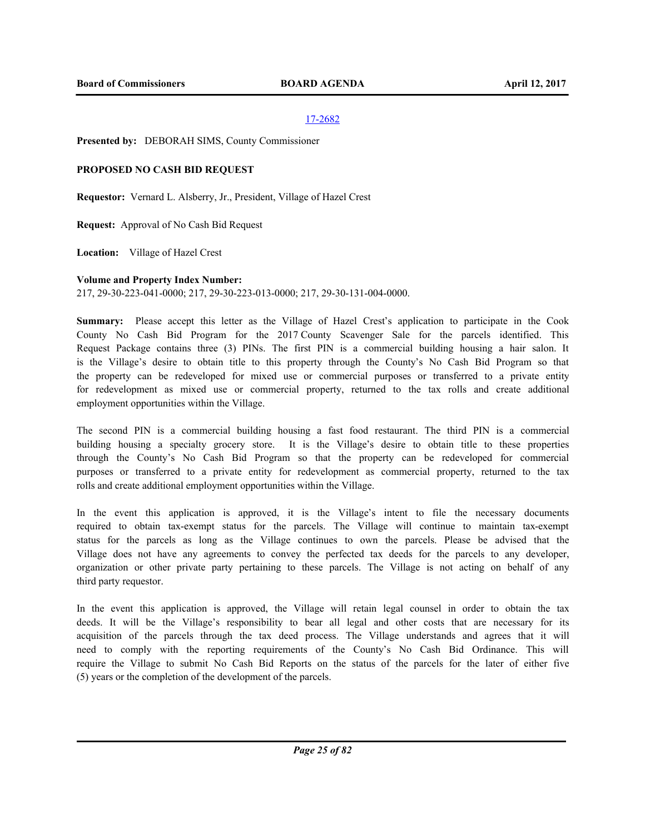**Presented by:** DEBORAH SIMS, County Commissioner

## **PROPOSED NO CASH BID REQUEST**

**Requestor:** Vernard L. Alsberry, Jr., President, Village of Hazel Crest

**Request:** Approval of No Cash Bid Request

**Location:** Village of Hazel Crest

## **Volume and Property Index Number:**

217, 29-30-223-041-0000; 217, 29-30-223-013-0000; 217, 29-30-131-004-0000.

**Summary:** Please accept this letter as the Village of Hazel Crest's application to participate in the Cook County No Cash Bid Program for the 2017 County Scavenger Sale for the parcels identified. This Request Package contains three (3) PINs. The first PIN is a commercial building housing a hair salon. It is the Village's desire to obtain title to this property through the County's No Cash Bid Program so that the property can be redeveloped for mixed use or commercial purposes or transferred to a private entity for redevelopment as mixed use or commercial property, returned to the tax rolls and create additional employment opportunities within the Village.

The second PIN is a commercial building housing a fast food restaurant. The third PIN is a commercial building housing a specialty grocery store. It is the Village's desire to obtain title to these properties through the County's No Cash Bid Program so that the property can be redeveloped for commercial purposes or transferred to a private entity for redevelopment as commercial property, returned to the tax rolls and create additional employment opportunities within the Village.

In the event this application is approved, it is the Village's intent to file the necessary documents required to obtain tax-exempt status for the parcels. The Village will continue to maintain tax-exempt status for the parcels as long as the Village continues to own the parcels. Please be advised that the Village does not have any agreements to convey the perfected tax deeds for the parcels to any developer, organization or other private party pertaining to these parcels. The Village is not acting on behalf of any third party requestor.

In the event this application is approved, the Village will retain legal counsel in order to obtain the tax deeds. It will be the Village's responsibility to bear all legal and other costs that are necessary for its acquisition of the parcels through the tax deed process. The Village understands and agrees that it will need to comply with the reporting requirements of the County's No Cash Bid Ordinance. This will require the Village to submit No Cash Bid Reports on the status of the parcels for the later of either five (5) years or the completion of the development of the parcels.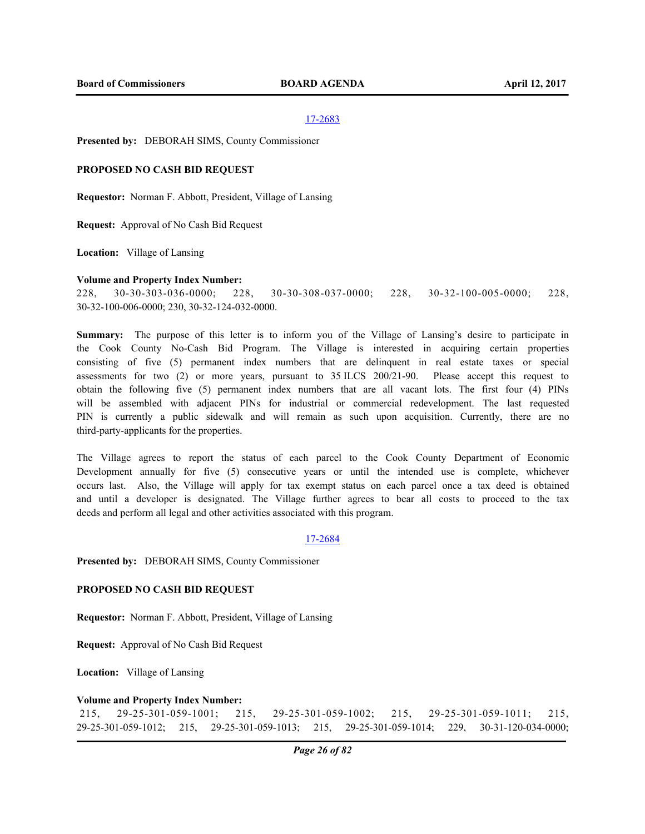**Presented by:** DEBORAH SIMS, County Commissioner

#### **PROPOSED NO CASH BID REQUEST**

**Requestor:** Norman F. Abbott, President, Village of Lansing

**Request:** Approval of No Cash Bid Request

**Location:** Village of Lansing

#### **Volume and Property Index Number:**

228, 30-30-303-036-0000; 228, 30-30-308-037-0000; 228, 30-32-100-005-0000; 228, 30-32-100-006-0000; 230, 30-32-124-032-0000.

**Summary:** The purpose of this letter is to inform you of the Village of Lansing's desire to participate in the Cook County No-Cash Bid Program. The Village is interested in acquiring certain properties consisting of five (5) permanent index numbers that are delinquent in real estate taxes or special assessments for two (2) or more years, pursuant to 35 ILCS 200/21-90. Please accept this request to obtain the following five (5) permanent index numbers that are all vacant lots. The first four (4) PINs will be assembled with adjacent PINs for industrial or commercial redevelopment. The last requested PIN is currently a public sidewalk and will remain as such upon acquisition. Currently, there are no third-party-applicants for the properties.

The Village agrees to report the status of each parcel to the Cook County Department of Economic Development annually for five (5) consecutive years or until the intended use is complete, whichever occurs last. Also, the Village will apply for tax exempt status on each parcel once a tax deed is obtained and until a developer is designated. The Village further agrees to bear all costs to proceed to the tax deeds and perform all legal and other activities associated with this program.

## 17-2684

**Presented by:** DEBORAH SIMS, County Commissioner

## **PROPOSED NO CASH BID REQUEST**

**Requestor:** Norman F. Abbott, President, Village of Lansing

**Request:** Approval of No Cash Bid Request

**Location:** Village of Lansing

#### **Volume and Property Index Number:**

 215, 29-25-301-059-1001; 215, 29-25-301-059-1002; 215, 29-25-301-059-1011; 215, 29-25-301-059-1012; 215, 29-25-301-059-1013; 215, 29-25-301-059-1014; 229, 30-31-120-034-0000;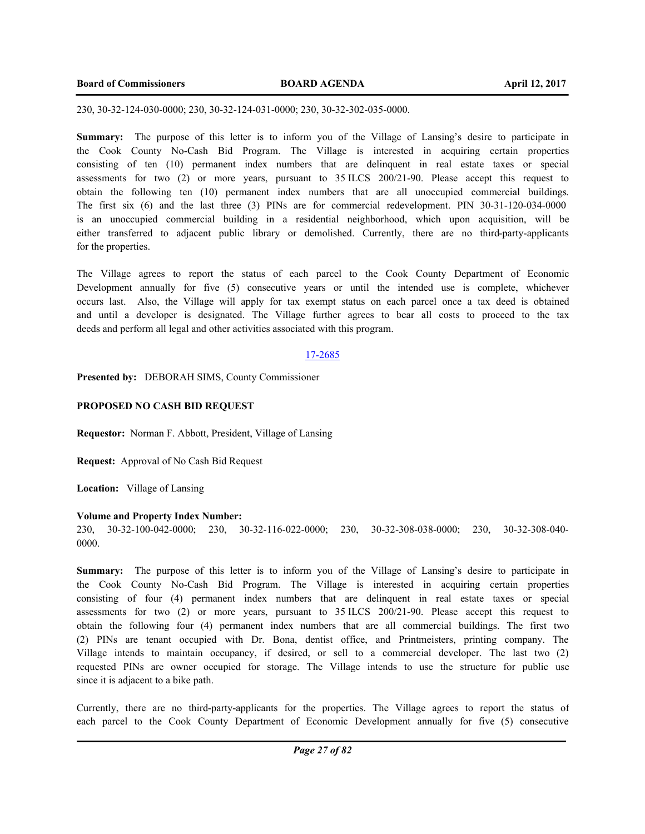230, 30-32-124-030-0000; 230, 30-32-124-031-0000; 230, 30-32-302-035-0000.

**Summary:** The purpose of this letter is to inform you of the Village of Lansing's desire to participate in the Cook County No-Cash Bid Program. The Village is interested in acquiring certain properties consisting of ten (10) permanent index numbers that are delinquent in real estate taxes or special assessments for two (2) or more years, pursuant to 35 ILCS 200/21-90. Please accept this request to obtain the following ten (10) permanent index numbers that are all unoccupied commercial buildings. The first six (6) and the last three (3) PINs are for commercial redevelopment. PIN 30-31-120-034-0000 is an unoccupied commercial building in a residential neighborhood, which upon acquisition, will be either transferred to adjacent public library or demolished. Currently, there are no third-party-applicants for the properties.

The Village agrees to report the status of each parcel to the Cook County Department of Economic Development annually for five (5) consecutive years or until the intended use is complete, whichever occurs last. Also, the Village will apply for tax exempt status on each parcel once a tax deed is obtained and until a developer is designated. The Village further agrees to bear all costs to proceed to the tax deeds and perform all legal and other activities associated with this program.

#### 17-2685

**Presented by:** DEBORAH SIMS, County Commissioner

## **PROPOSED NO CASH BID REQUEST**

**Requestor:** Norman F. Abbott, President, Village of Lansing

**Request:** Approval of No Cash Bid Request

**Location:** Village of Lansing

#### **Volume and Property Index Number:**

230, 30-32-100-042-0000; 230, 30-32-116-022-0000; 230, 30-32-308-038-0000; 230, 30-32-308-040- 0000.

**Summary:** The purpose of this letter is to inform you of the Village of Lansing's desire to participate in the Cook County No-Cash Bid Program. The Village is interested in acquiring certain properties consisting of four (4) permanent index numbers that are delinquent in real estate taxes or special assessments for two (2) or more years, pursuant to 35 ILCS 200/21-90. Please accept this request to obtain the following four (4) permanent index numbers that are all commercial buildings. The first two (2) PINs are tenant occupied with Dr. Bona, dentist office, and Printmeisters, printing company. The Village intends to maintain occupancy, if desired, or sell to a commercial developer. The last two (2) requested PINs are owner occupied for storage. The Village intends to use the structure for public use since it is adjacent to a bike path.

Currently, there are no third-party-applicants for the properties. The Village agrees to report the status of each parcel to the Cook County Department of Economic Development annually for five (5) consecutive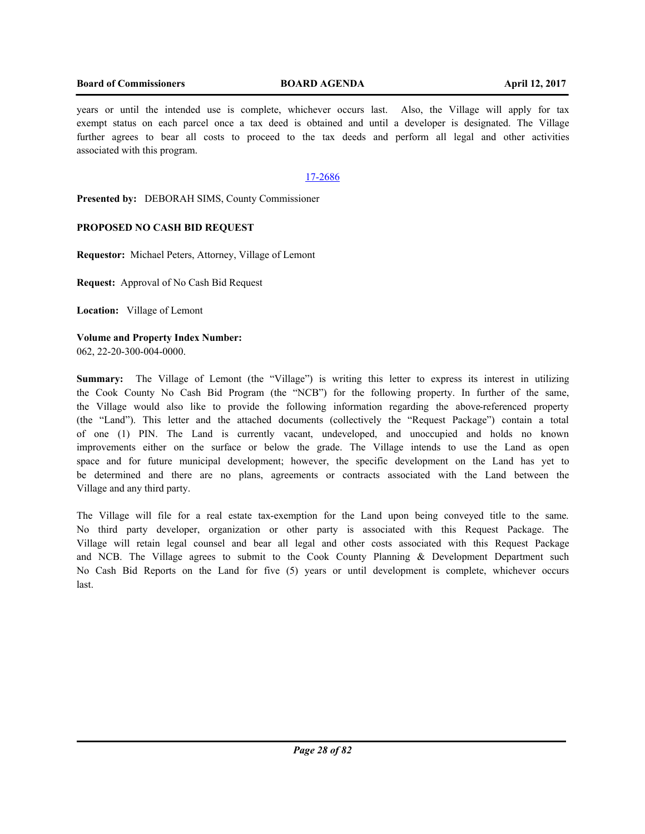## **Board of Commissioners BOARD AGENDA April 12, 2017**

years or until the intended use is complete, whichever occurs last. Also, the Village will apply for tax exempt status on each parcel once a tax deed is obtained and until a developer is designated. The Village further agrees to bear all costs to proceed to the tax deeds and perform all legal and other activities associated with this program.

## 17-2686

**Presented by:** DEBORAH SIMS, County Commissioner

## **PROPOSED NO CASH BID REQUEST**

**Requestor:** Michael Peters, Attorney, Village of Lemont

**Request:** Approval of No Cash Bid Request

**Location:** Village of Lemont

**Volume and Property Index Number:** 062, 22-20-300-004-0000.

**Summary:** The Village of Lemont (the "Village") is writing this letter to express its interest in utilizing the Cook County No Cash Bid Program (the "NCB") for the following property. In further of the same, the Village would also like to provide the following information regarding the above-referenced property (the "Land"). This letter and the attached documents (collectively the "Request Package") contain a total of one (1) PIN. The Land is currently vacant, undeveloped, and unoccupied and holds no known improvements either on the surface or below the grade. The Village intends to use the Land as open space and for future municipal development; however, the specific development on the Land has yet to be determined and there are no plans, agreements or contracts associated with the Land between the Village and any third party.

The Village will file for a real estate tax-exemption for the Land upon being conveyed title to the same. No third party developer, organization or other party is associated with this Request Package. The Village will retain legal counsel and bear all legal and other costs associated with this Request Package and NCB. The Village agrees to submit to the Cook County Planning & Development Department such No Cash Bid Reports on the Land for five (5) years or until development is complete, whichever occurs last.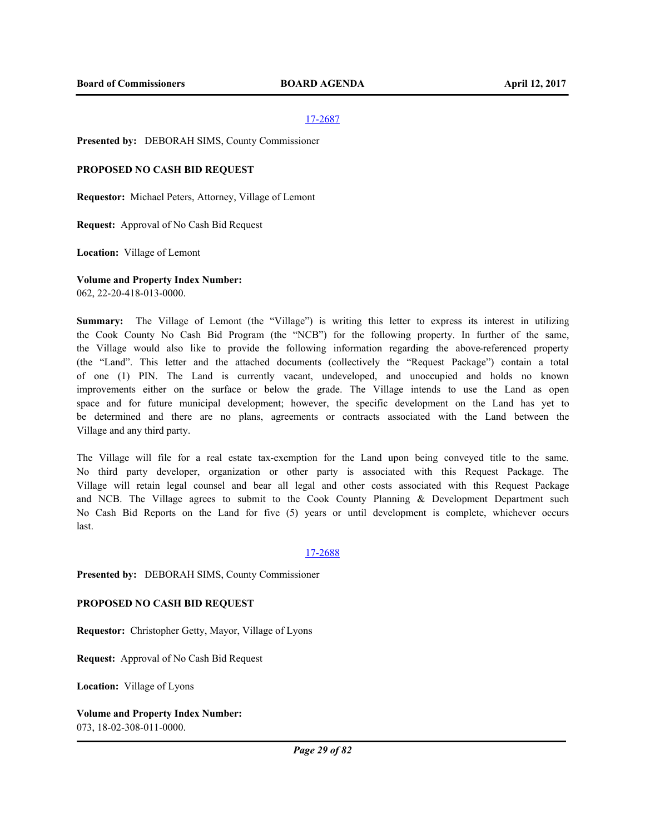**Presented by:** DEBORAH SIMS, County Commissioner

#### **PROPOSED NO CASH BID REQUEST**

**Requestor:** Michael Peters, Attorney, Village of Lemont

**Request:** Approval of No Cash Bid Request

**Location:** Village of Lemont

#### **Volume and Property Index Number:**

062, 22-20-418-013-0000.

**Summary:** The Village of Lemont (the "Village") is writing this letter to express its interest in utilizing the Cook County No Cash Bid Program (the "NCB") for the following property. In further of the same, the Village would also like to provide the following information regarding the above-referenced property (the "Land". This letter and the attached documents (collectively the "Request Package") contain a total of one (1) PIN. The Land is currently vacant, undeveloped, and unoccupied and holds no known improvements either on the surface or below the grade. The Village intends to use the Land as open space and for future municipal development; however, the specific development on the Land has yet to be determined and there are no plans, agreements or contracts associated with the Land between the Village and any third party.

The Village will file for a real estate tax-exemption for the Land upon being conveyed title to the same. No third party developer, organization or other party is associated with this Request Package. The Village will retain legal counsel and bear all legal and other costs associated with this Request Package and NCB. The Village agrees to submit to the Cook County Planning & Development Department such No Cash Bid Reports on the Land for five (5) years or until development is complete, whichever occurs last.

#### 17-2688

**Presented by:** DEBORAH SIMS, County Commissioner

#### **PROPOSED NO CASH BID REQUEST**

**Requestor:** Christopher Getty, Mayor, Village of Lyons

**Request:** Approval of No Cash Bid Request

**Location:** Village of Lyons

**Volume and Property Index Number:** 073, 18-02-308-011-0000.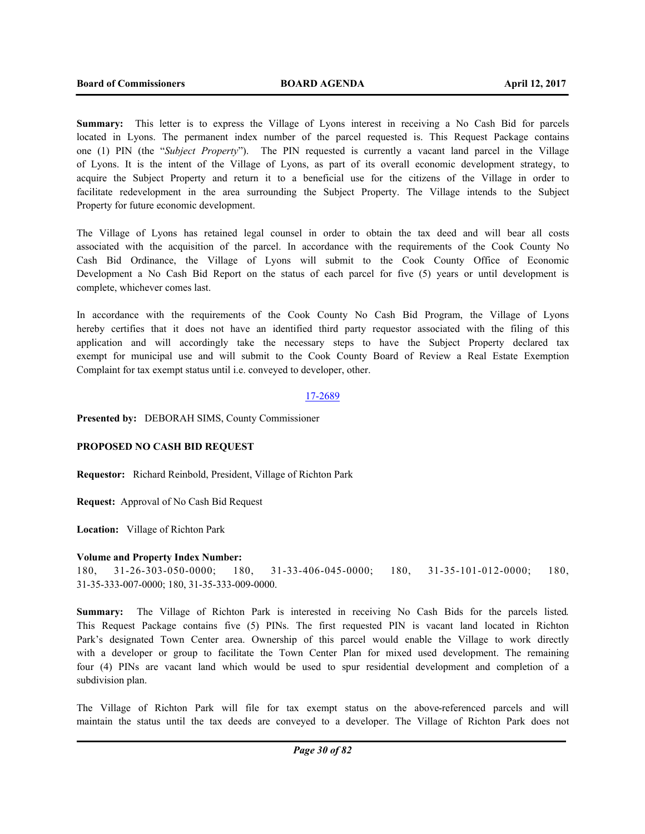**Summary:** This letter is to express the Village of Lyons interest in receiving a No Cash Bid for parcels located in Lyons. The permanent index number of the parcel requested is. This Request Package contains one (1) PIN (the "*Subject Property*"). The PIN requested is currently a vacant land parcel in the Village of Lyons. It is the intent of the Village of Lyons, as part of its overall economic development strategy, to acquire the Subject Property and return it to a beneficial use for the citizens of the Village in order to facilitate redevelopment in the area surrounding the Subject Property. The Village intends to the Subject Property for future economic development.

The Village of Lyons has retained legal counsel in order to obtain the tax deed and will bear all costs associated with the acquisition of the parcel. In accordance with the requirements of the Cook County No Cash Bid Ordinance, the Village of Lyons will submit to the Cook County Office of Economic Development a No Cash Bid Report on the status of each parcel for five (5) years or until development is complete, whichever comes last.

In accordance with the requirements of the Cook County No Cash Bid Program, the Village of Lyons hereby certifies that it does not have an identified third party requestor associated with the filing of this application and will accordingly take the necessary steps to have the Subject Property declared tax exempt for municipal use and will submit to the Cook County Board of Review a Real Estate Exemption Complaint for tax exempt status until i.e. conveyed to developer, other.

17-2689

**Presented by:** DEBORAH SIMS, County Commissioner

### **PROPOSED NO CASH BID REQUEST**

**Requestor:** Richard Reinbold, President, Village of Richton Park

**Request:** Approval of No Cash Bid Request

**Location:** Village of Richton Park

#### **Volume and Property Index Number:**

```
180, 31-26-303-050-0000; 180, 31-33-406-045-0000; 180, 31-35-101-012-0000; 180, 
31-35-333-007-0000; 180, 31-35-333-009-0000.
```
**Summary:** The Village of Richton Park is interested in receiving No Cash Bids for the parcels listed. This Request Package contains five (5) PINs. The first requested PIN is vacant land located in Richton Park's designated Town Center area. Ownership of this parcel would enable the Village to work directly with a developer or group to facilitate the Town Center Plan for mixed used development. The remaining four (4) PINs are vacant land which would be used to spur residential development and completion of a subdivision plan.

The Village of Richton Park will file for tax exempt status on the above-referenced parcels and will maintain the status until the tax deeds are conveyed to a developer. The Village of Richton Park does not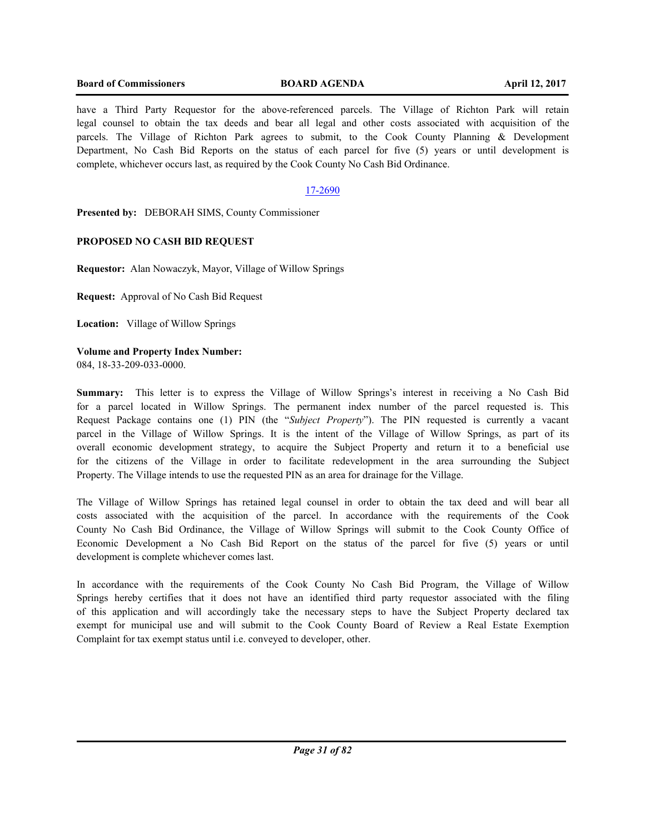## **Board of Commissioners BOARD AGENDA April 12, 2017**

have a Third Party Requestor for the above-referenced parcels. The Village of Richton Park will retain legal counsel to obtain the tax deeds and bear all legal and other costs associated with acquisition of the parcels. The Village of Richton Park agrees to submit, to the Cook County Planning & Development Department, No Cash Bid Reports on the status of each parcel for five (5) years or until development is complete, whichever occurs last, as required by the Cook County No Cash Bid Ordinance.

## 17-2690

**Presented by:** DEBORAH SIMS, County Commissioner

## **PROPOSED NO CASH BID REQUEST**

**Requestor:** Alan Nowaczyk, Mayor, Village of Willow Springs

**Request:** Approval of No Cash Bid Request

**Location:** Village of Willow Springs

## **Volume and Property Index Number:** 084, 18-33-209-033-0000.

**Summary:** This letter is to express the Village of Willow Springs's interest in receiving a No Cash Bid for a parcel located in Willow Springs. The permanent index number of the parcel requested is. This Request Package contains one (1) PIN (the "*Subject Property*"). The PIN requested is currently a vacant parcel in the Village of Willow Springs. It is the intent of the Village of Willow Springs, as part of its overall economic development strategy, to acquire the Subject Property and return it to a beneficial use for the citizens of the Village in order to facilitate redevelopment in the area surrounding the Subject Property. The Village intends to use the requested PIN as an area for drainage for the Village.

The Village of Willow Springs has retained legal counsel in order to obtain the tax deed and will bear all costs associated with the acquisition of the parcel. In accordance with the requirements of the Cook County No Cash Bid Ordinance, the Village of Willow Springs will submit to the Cook County Office of Economic Development a No Cash Bid Report on the status of the parcel for five (5) years or until development is complete whichever comes last.

In accordance with the requirements of the Cook County No Cash Bid Program, the Village of Willow Springs hereby certifies that it does not have an identified third party requestor associated with the filing of this application and will accordingly take the necessary steps to have the Subject Property declared tax exempt for municipal use and will submit to the Cook County Board of Review a Real Estate Exemption Complaint for tax exempt status until i.e. conveyed to developer, other.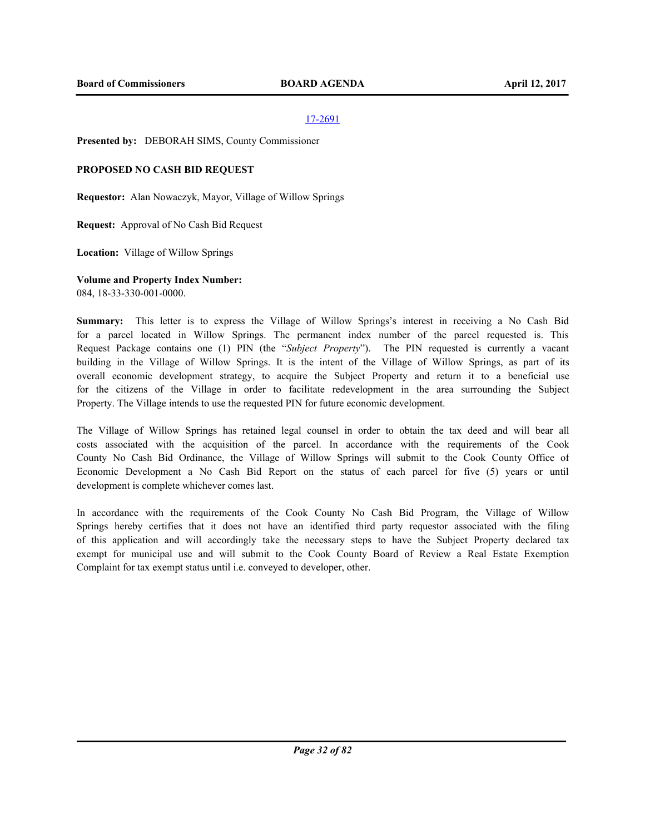**Presented by:** DEBORAH SIMS, County Commissioner

## **PROPOSED NO CASH BID REQUEST**

**Requestor:** Alan Nowaczyk, Mayor, Village of Willow Springs

**Request:** Approval of No Cash Bid Request

**Location:** Village of Willow Springs

## **Volume and Property Index Number:**

084, 18-33-330-001-0000.

**Summary:** This letter is to express the Village of Willow Springs's interest in receiving a No Cash Bid for a parcel located in Willow Springs. The permanent index number of the parcel requested is. This Request Package contains one (1) PIN (the "*Subject Property*"). The PIN requested is currently a vacant building in the Village of Willow Springs. It is the intent of the Village of Willow Springs, as part of its overall economic development strategy, to acquire the Subject Property and return it to a beneficial use for the citizens of the Village in order to facilitate redevelopment in the area surrounding the Subject Property. The Village intends to use the requested PIN for future economic development.

The Village of Willow Springs has retained legal counsel in order to obtain the tax deed and will bear all costs associated with the acquisition of the parcel. In accordance with the requirements of the Cook County No Cash Bid Ordinance, the Village of Willow Springs will submit to the Cook County Office of Economic Development a No Cash Bid Report on the status of each parcel for five (5) years or until development is complete whichever comes last.

In accordance with the requirements of the Cook County No Cash Bid Program, the Village of Willow Springs hereby certifies that it does not have an identified third party requestor associated with the filing of this application and will accordingly take the necessary steps to have the Subject Property declared tax exempt for municipal use and will submit to the Cook County Board of Review a Real Estate Exemption Complaint for tax exempt status until i.e. conveyed to developer, other.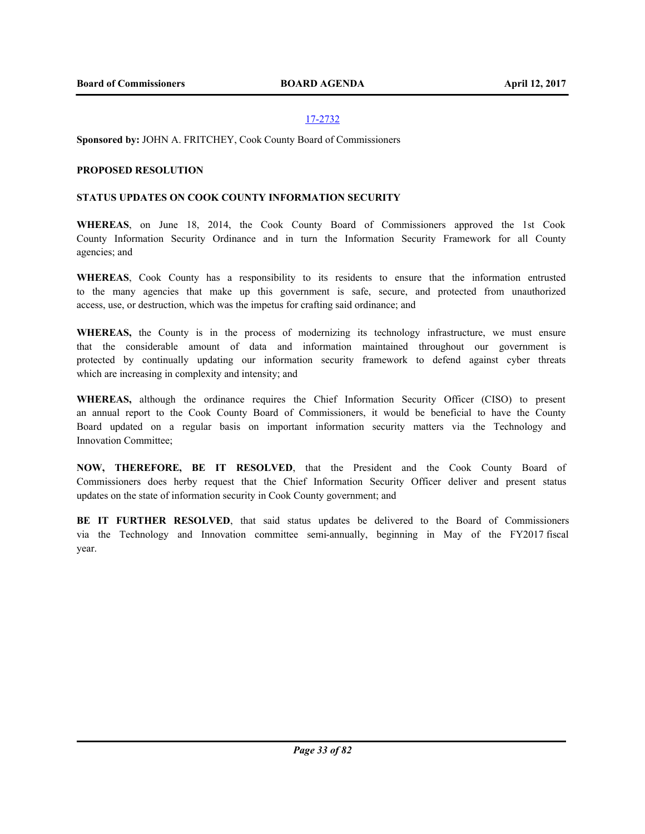**Sponsored by:** JOHN A. FRITCHEY, Cook County Board of Commissioners

## **PROPOSED RESOLUTION**

#### **STATUS UPDATES ON COOK COUNTY INFORMATION SECURITY**

**WHEREAS**, on June 18, 2014, the Cook County Board of Commissioners approved the 1st Cook County Information Security Ordinance and in turn the Information Security Framework for all County agencies; and

**WHEREAS**, Cook County has a responsibility to its residents to ensure that the information entrusted to the many agencies that make up this government is safe, secure, and protected from unauthorized access, use, or destruction, which was the impetus for crafting said ordinance; and

**WHEREAS,** the County is in the process of modernizing its technology infrastructure, we must ensure that the considerable amount of data and information maintained throughout our government is protected by continually updating our information security framework to defend against cyber threats which are increasing in complexity and intensity; and

**WHEREAS,** although the ordinance requires the Chief Information Security Officer (CISO) to present an annual report to the Cook County Board of Commissioners, it would be beneficial to have the County Board updated on a regular basis on important information security matters via the Technology and Innovation Committee;

**NOW, THEREFORE, BE IT RESOLVED**, that the President and the Cook County Board of Commissioners does herby request that the Chief Information Security Officer deliver and present status updates on the state of information security in Cook County government; and

**BE IT FURTHER RESOLVED**, that said status updates be delivered to the Board of Commissioners via the Technology and Innovation committee semi-annually, beginning in May of the FY2017 fiscal year.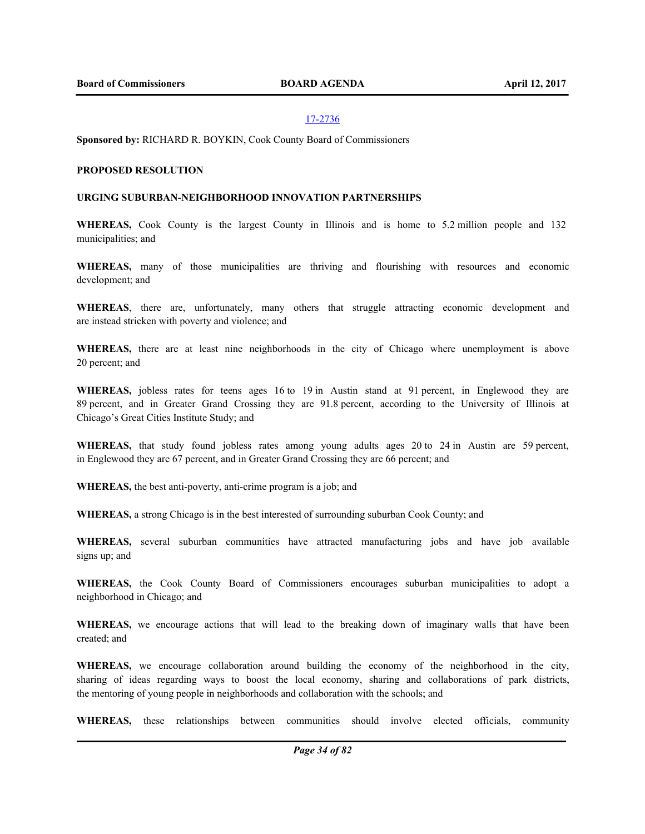**Sponsored by:** RICHARD R. BOYKIN, Cook County Board of Commissioners

#### **PROPOSED RESOLUTION**

#### **URGING SUBURBAN-NEIGHBORHOOD INNOVATION PARTNERSHIPS**

**WHEREAS,** Cook County is the largest County in Illinois and is home to 5.2 million people and 132 municipalities; and

**WHEREAS,** many of those municipalities are thriving and flourishing with resources and economic development; and

**WHEREAS**, there are, unfortunately, many others that struggle attracting economic development and are instead stricken with poverty and violence; and

**WHEREAS,** there are at least nine neighborhoods in the city of Chicago where unemployment is above 20 percent; and

**WHEREAS,** jobless rates for teens ages 16 to 19 in Austin stand at 91 percent, in Englewood they are 89 percent, and in Greater Grand Crossing they are 91.8 percent, according to the University of Illinois at Chicago's Great Cities Institute Study; and

**WHEREAS,** that study found jobless rates among young adults ages 20 to 24 in Austin are 59 percent, in Englewood they are 67 percent, and in Greater Grand Crossing they are 66 percent; and

**WHEREAS,** the best anti-poverty, anti-crime program is a job; and

**WHEREAS,** a strong Chicago is in the best interested of surrounding suburban Cook County; and

**WHEREAS,** several suburban communities have attracted manufacturing jobs and have job available signs up; and

**WHEREAS,** the Cook County Board of Commissioners encourages suburban municipalities to adopt a neighborhood in Chicago; and

**WHEREAS,** we encourage actions that will lead to the breaking down of imaginary walls that have been created; and

**WHEREAS,** we encourage collaboration around building the economy of the neighborhood in the city, sharing of ideas regarding ways to boost the local economy, sharing and collaborations of park districts, the mentoring of young people in neighborhoods and collaboration with the schools; and

**WHEREAS,** these relationships between communities should involve elected officials, community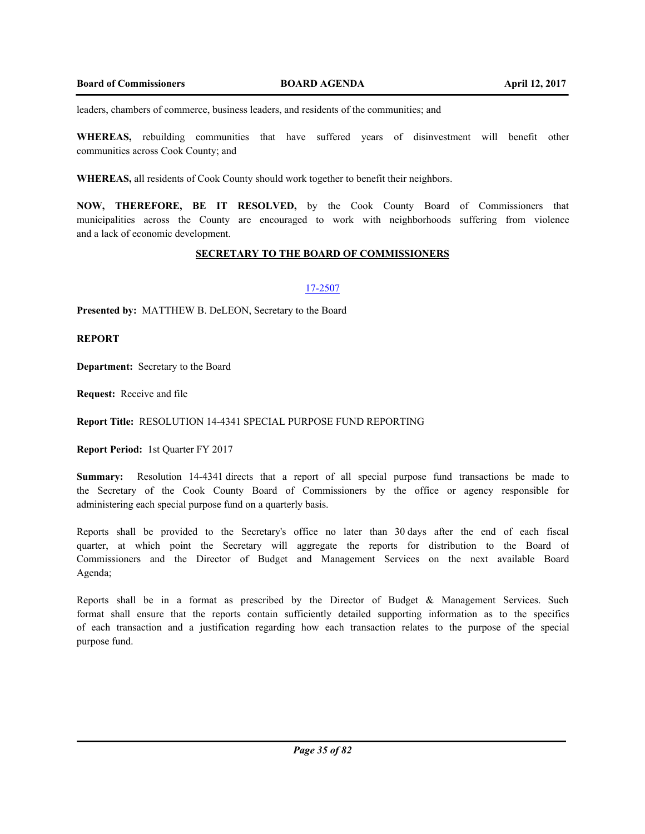leaders, chambers of commerce, business leaders, and residents of the communities; and

**WHEREAS,** rebuilding communities that have suffered years of disinvestment will benefit other communities across Cook County; and

**WHEREAS,** all residents of Cook County should work together to benefit their neighbors.

**NOW, THEREFORE, BE IT RESOLVED,** by the Cook County Board of Commissioners that municipalities across the County are encouraged to work with neighborhoods suffering from violence and a lack of economic development.

## **SECRETARY TO THE BOARD OF COMMISSIONERS**

#### 17-2507

**Presented by:** MATTHEW B. DeLEON, Secretary to the Board

**REPORT**

**Department:** Secretary to the Board

**Request:** Receive and file

**Report Title:** RESOLUTION 14-4341 SPECIAL PURPOSE FUND REPORTING

**Report Period:** 1st Quarter FY 2017

**Summary:** Resolution 14-4341 directs that a report of all special purpose fund transactions be made to the Secretary of the Cook County Board of Commissioners by the office or agency responsible for administering each special purpose fund on a quarterly basis.

Reports shall be provided to the Secretary's office no later than 30 days after the end of each fiscal quarter, at which point the Secretary will aggregate the reports for distribution to the Board of Commissioners and the Director of Budget and Management Services on the next available Board Agenda;

Reports shall be in a format as prescribed by the Director of Budget & Management Services. Such format shall ensure that the reports contain sufficiently detailed supporting information as to the specifics of each transaction and a justification regarding how each transaction relates to the purpose of the special purpose fund.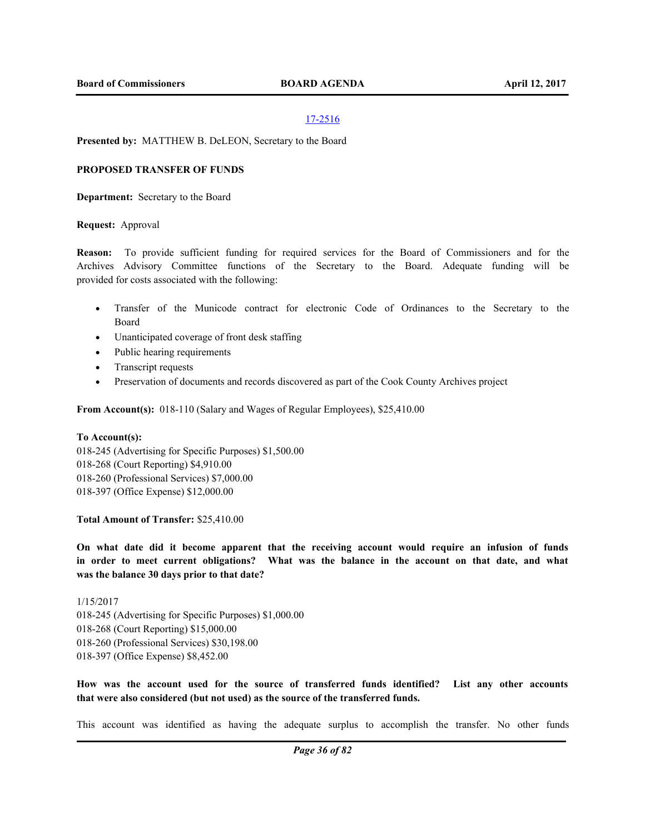#### **Presented by:** MATTHEW B. DeLEON, Secretary to the Board

#### **PROPOSED TRANSFER OF FUNDS**

**Department:** Secretary to the Board

#### **Request:** Approval

**Reason:** To provide sufficient funding for required services for the Board of Commissioners and for the Archives Advisory Committee functions of the Secretary to the Board. Adequate funding will be provided for costs associated with the following:

- · Transfer of the Municode contract for electronic Code of Ordinances to the Secretary to the Board
- · Unanticipated coverage of front desk staffing
- · Public hearing requirements
- Transcript requests
- · Preservation of documents and records discovered as part of the Cook County Archives project

**From Account(s):** 018-110 (Salary and Wages of Regular Employees), \$25,410.00

#### **To Account(s):**

018-245 (Advertising for Specific Purposes) \$1,500.00 018-268 (Court Reporting) \$4,910.00 018-260 (Professional Services) \$7,000.00 018-397 (Office Expense) \$12,000.00

**Total Amount of Transfer:** \$25,410.00

**On what date did it become apparent that the receiving account would require an infusion of funds in order to meet current obligations? What was the balance in the account on that date, and what was the balance 30 days prior to that date?**

1/15/2017 018-245 (Advertising for Specific Purposes) \$1,000.00 018-268 (Court Reporting) \$15,000.00 018-260 (Professional Services) \$30,198.00 018-397 (Office Expense) \$8,452.00

**How was the account used for the source of transferred funds identified? List any other accounts that were also considered (but not used) as the source of the transferred funds.** 

This account was identified as having the adequate surplus to accomplish the transfer. No other funds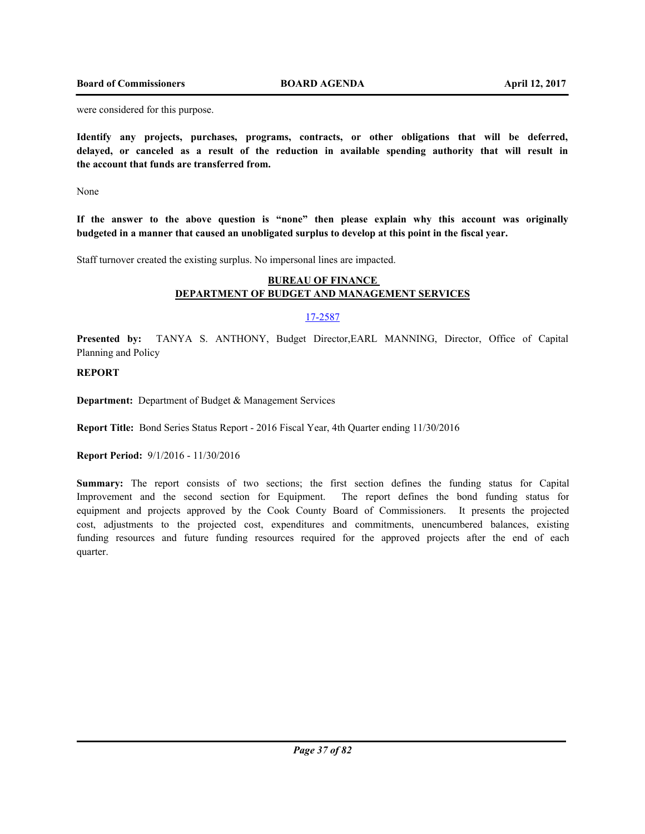were considered for this purpose.

**Identify any projects, purchases, programs, contracts, or other obligations that will be deferred, delayed, or canceled as a result of the reduction in available spending authority that will result in the account that funds are transferred from.**

None

**If the answer to the above question is "none" then please explain why this account was originally budgeted in a manner that caused an unobligated surplus to develop at this point in the fiscal year.**

Staff turnover created the existing surplus. No impersonal lines are impacted.

# **BUREAU OF FINANCE DEPARTMENT OF BUDGET AND MANAGEMENT SERVICES**

# 17-2587

**Presented by:** TANYA S. ANTHONY, Budget Director,EARL MANNING, Director, Office of Capital Planning and Policy

# **REPORT**

**Department:** Department of Budget & Management Services

**Report Title:** Bond Series Status Report - 2016 Fiscal Year, 4th Quarter ending 11/30/2016

**Report Period:** 9/1/2016 - 11/30/2016

**Summary:** The report consists of two sections; the first section defines the funding status for Capital Improvement and the second section for Equipment. The report defines the bond funding status for equipment and projects approved by the Cook County Board of Commissioners. It presents the projected cost, adjustments to the projected cost, expenditures and commitments, unencumbered balances, existing funding resources and future funding resources required for the approved projects after the end of each quarter.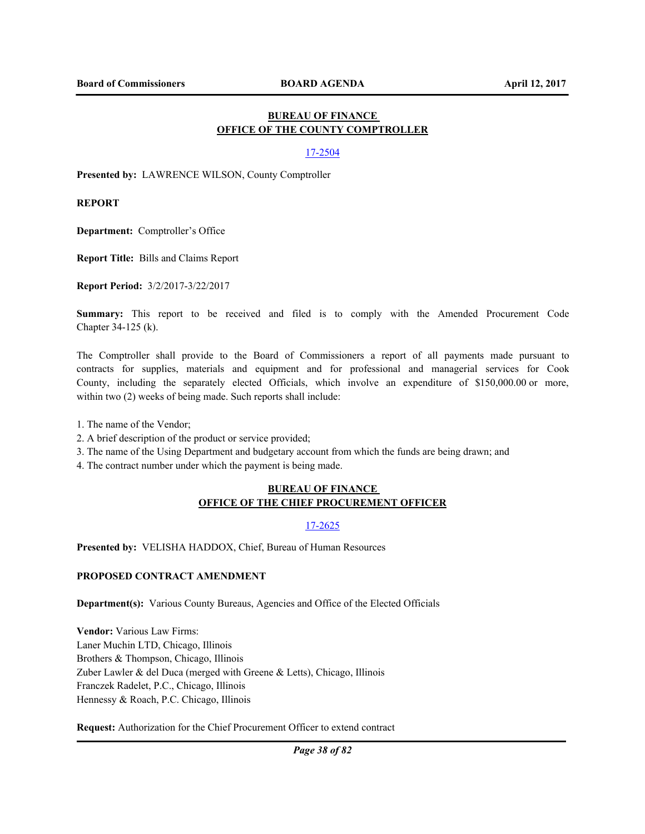# **BUREAU OF FINANCE OFFICE OF THE COUNTY COMPTROLLER**

### 17-2504

**Presented by:** LAWRENCE WILSON, County Comptroller

**REPORT**

**Department:** Comptroller's Office

**Report Title:** Bills and Claims Report

**Report Period:** 3/2/2017-3/22/2017

**Summary:** This report to be received and filed is to comply with the Amended Procurement Code Chapter 34-125 (k).

The Comptroller shall provide to the Board of Commissioners a report of all payments made pursuant to contracts for supplies, materials and equipment and for professional and managerial services for Cook County, including the separately elected Officials, which involve an expenditure of \$150,000.00 or more, within two  $(2)$  weeks of being made. Such reports shall include:

1. The name of the Vendor;

- 2. A brief description of the product or service provided;
- 3. The name of the Using Department and budgetary account from which the funds are being drawn; and
- 4. The contract number under which the payment is being made.

## **BUREAU OF FINANCE OFFICE OF THE CHIEF PROCUREMENT OFFICER**

### 17-2625

**Presented by:** VELISHA HADDOX, Chief, Bureau of Human Resources

# **PROPOSED CONTRACT AMENDMENT**

**Department(s):** Various County Bureaus, Agencies and Office of the Elected Officials

**Vendor:** Various Law Firms: Laner Muchin LTD, Chicago, Illinois Brothers & Thompson, Chicago, Illinois Zuber Lawler & del Duca (merged with Greene & Letts), Chicago, Illinois Franczek Radelet, P.C., Chicago, Illinois Hennessy & Roach, P.C. Chicago, Illinois

**Request:** Authorization for the Chief Procurement Officer to extend contract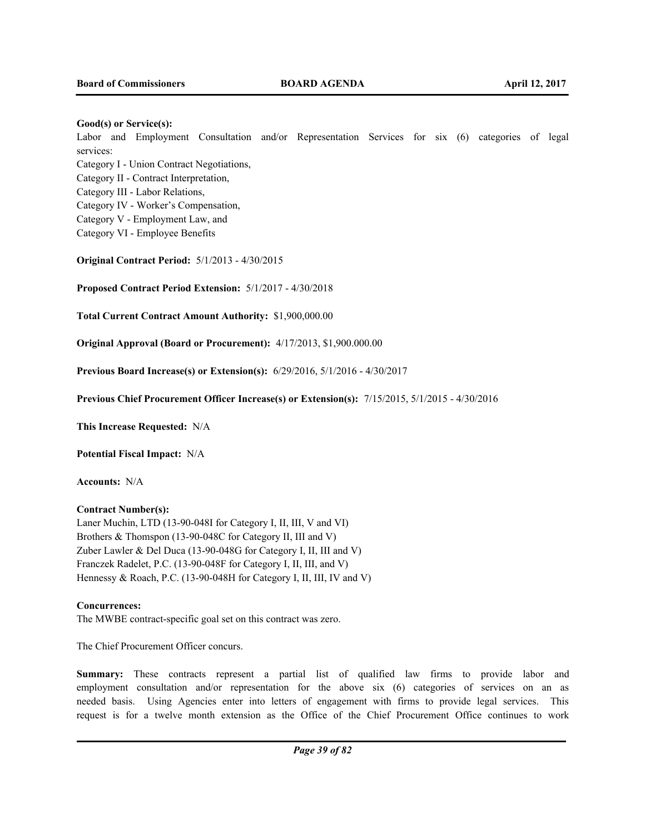### **Good(s) or Service(s):**

Labor and Employment Consultation and/or Representation Services for six (6) categories of legal services:

Category I - Union Contract Negotiations,

Category II - Contract Interpretation,

Category III - Labor Relations,

Category IV - Worker's Compensation,

Category V - Employment Law, and

Category VI - Employee Benefits

**Original Contract Period:** 5/1/2013 - 4/30/2015

**Proposed Contract Period Extension:** 5/1/2017 - 4/30/2018

**Total Current Contract Amount Authority:** \$1,900,000.00

**Original Approval (Board or Procurement):** 4/17/2013, \$1,900.000.00

**Previous Board Increase(s) or Extension(s):** 6/29/2016, 5/1/2016 - 4/30/2017

**Previous Chief Procurement Officer Increase(s) or Extension(s):** 7/15/2015, 5/1/2015 - 4/30/2016

**This Increase Requested:** N/A

**Potential Fiscal Impact:** N/A

**Accounts:** N/A

# **Contract Number(s):**

Laner Muchin, LTD (13-90-048I for Category I, II, III, V and VI) Brothers & Thomspon (13-90-048C for Category II, III and V) Zuber Lawler & Del Duca (13-90-048G for Category I, II, III and V) Franczek Radelet, P.C. (13-90-048F for Category I, II, III, and V) Hennessy & Roach, P.C. (13-90-048H for Category I, II, III, IV and V)

### **Concurrences:**

The MWBE contract-specific goal set on this contract was zero.

The Chief Procurement Officer concurs.

**Summary:** These contracts represent a partial list of qualified law firms to provide labor and employment consultation and/or representation for the above six (6) categories of services on an as needed basis. Using Agencies enter into letters of engagement with firms to provide legal services. This request is for a twelve month extension as the Office of the Chief Procurement Office continues to work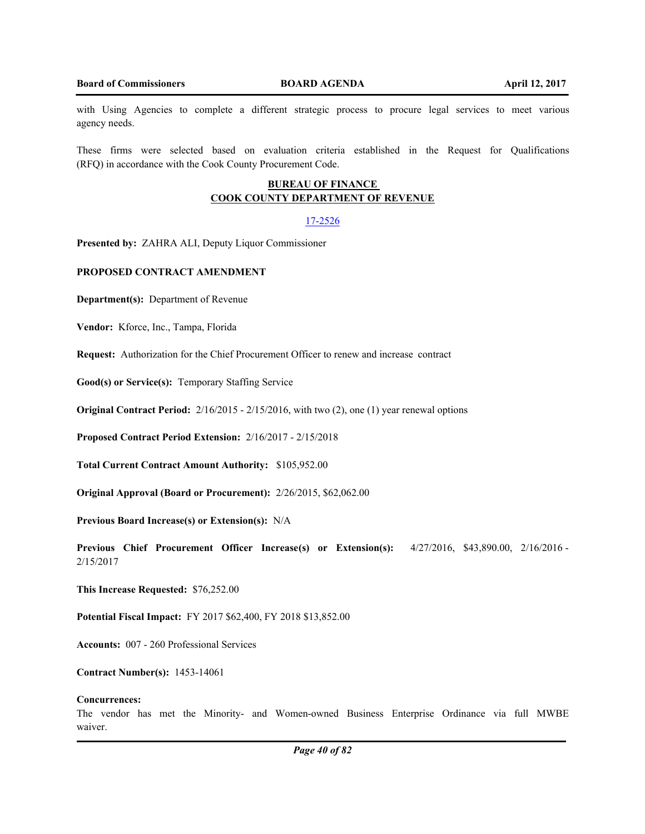with Using Agencies to complete a different strategic process to procure legal services to meet various agency needs.

These firms were selected based on evaluation criteria established in the Request for Qualifications (RFQ) in accordance with the Cook County Procurement Code.

# **BUREAU OF FINANCE COOK COUNTY DEPARTMENT OF REVENUE**

### 17-2526

**Presented by:** ZAHRA ALI, Deputy Liquor Commissioner

### **PROPOSED CONTRACT AMENDMENT**

**Department(s):** Department of Revenue

Vendor: Kforce, Inc., Tampa, Florida

**Request:** Authorization for the Chief Procurement Officer to renew and increase contract

**Good(s) or Service(s):** Temporary Staffing Service

**Original Contract Period:** 2/16/2015 - 2/15/2016, with two (2), one (1) year renewal options

**Proposed Contract Period Extension:** 2/16/2017 - 2/15/2018

**Total Current Contract Amount Authority:** \$105,952.00

**Original Approval (Board or Procurement):** 2/26/2015, \$62,062.00

**Previous Board Increase(s) or Extension(s):** N/A

**Previous Chief Procurement Officer Increase(s) or Extension(s):** 4/27/2016, \$43,890.00, 2/16/2016 - 2/15/2017

**This Increase Requested:** \$76,252.00

**Potential Fiscal Impact:** FY 2017 \$62,400, FY 2018 \$13,852.00

**Accounts:** 007 - 260 Professional Services

**Contract Number(s):** 1453-14061

#### **Concurrences:**

The vendor has met the Minority- and Women-owned Business Enterprise Ordinance via full MWBE waiver.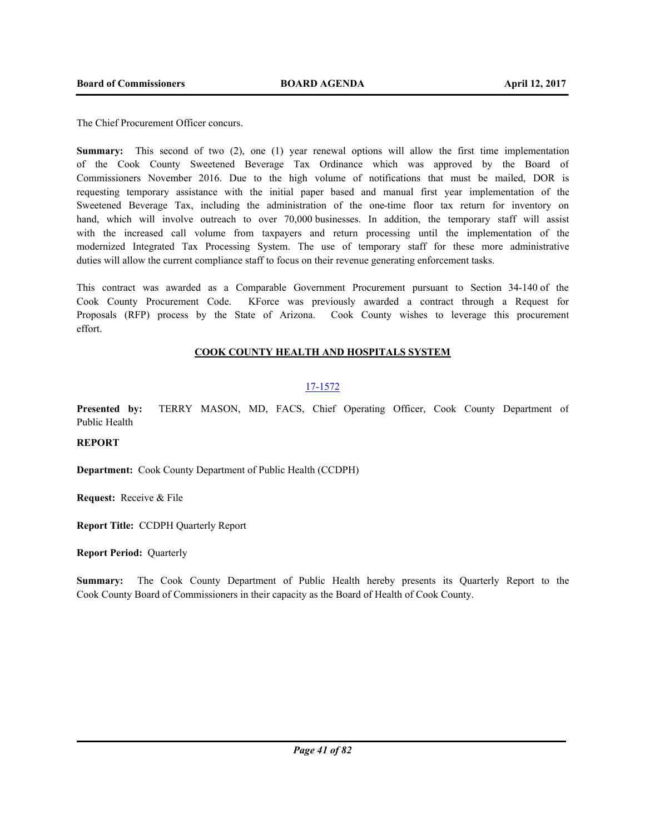The Chief Procurement Officer concurs.

**Summary:** This second of two (2), one (1) year renewal options will allow the first time implementation of the Cook County Sweetened Beverage Tax Ordinance which was approved by the Board of Commissioners November 2016. Due to the high volume of notifications that must be mailed, DOR is requesting temporary assistance with the initial paper based and manual first year implementation of the Sweetened Beverage Tax, including the administration of the one-time floor tax return for inventory on hand, which will involve outreach to over 70,000 businesses. In addition, the temporary staff will assist with the increased call volume from taxpayers and return processing until the implementation of the modernized Integrated Tax Processing System. The use of temporary staff for these more administrative duties will allow the current compliance staff to focus on their revenue generating enforcement tasks.

This contract was awarded as a Comparable Government Procurement pursuant to Section 34-140 of the Cook County Procurement Code. KForce was previously awarded a contract through a Request for Proposals (RFP) process by the State of Arizona. Cook County wishes to leverage this procurement effort.

# **COOK COUNTY HEALTH AND HOSPITALS SYSTEM**

# 17-1572

**Presented by:** TERRY MASON, MD, FACS, Chief Operating Officer, Cook County Department of Public Health

# **REPORT**

**Department:** Cook County Department of Public Health (CCDPH)

**Request:** Receive & File

**Report Title:** CCDPH Quarterly Report

**Report Period:** Quarterly

**Summary:** The Cook County Department of Public Health hereby presents its Quarterly Report to the Cook County Board of Commissioners in their capacity as the Board of Health of Cook County.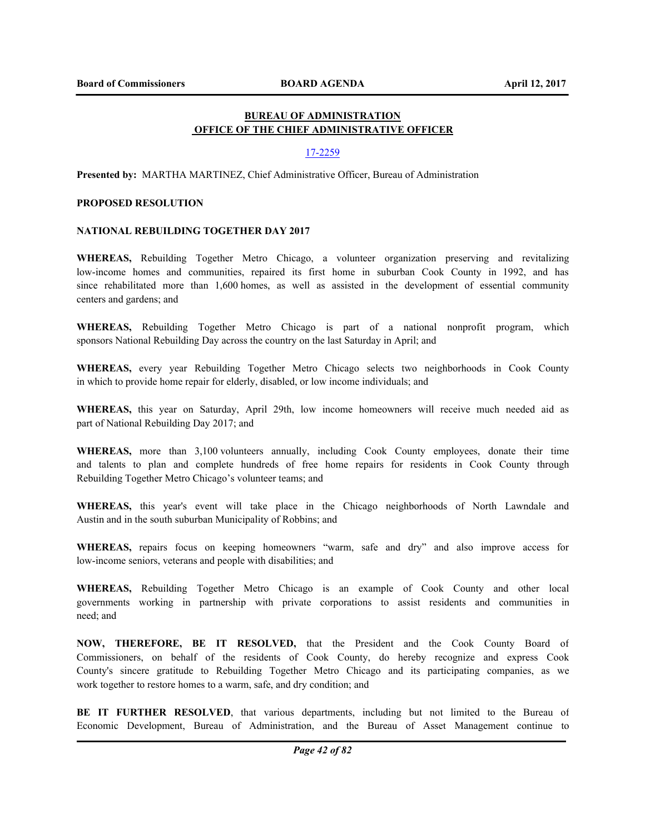# **BUREAU OF ADMINISTRATION OFFICE OF THE CHIEF ADMINISTRATIVE OFFICER**

### 17-2259

**Presented by:** MARTHA MARTINEZ, Chief Administrative Officer, Bureau of Administration

### **PROPOSED RESOLUTION**

### **NATIONAL REBUILDING TOGETHER DAY 2017**

**WHEREAS,** Rebuilding Together Metro Chicago, a volunteer organization preserving and revitalizing low-income homes and communities, repaired its first home in suburban Cook County in 1992, and has since rehabilitated more than 1,600 homes, as well as assisted in the development of essential community centers and gardens; and

**WHEREAS,** Rebuilding Together Metro Chicago is part of a national nonprofit program, which sponsors National Rebuilding Day across the country on the last Saturday in April; and

**WHEREAS,** every year Rebuilding Together Metro Chicago selects two neighborhoods in Cook County in which to provide home repair for elderly, disabled, or low income individuals; and

**WHEREAS,** this year on Saturday, April 29th, low income homeowners will receive much needed aid as part of National Rebuilding Day 2017; and

**WHEREAS,** more than 3,100 volunteers annually, including Cook County employees, donate their time and talents to plan and complete hundreds of free home repairs for residents in Cook County through Rebuilding Together Metro Chicago's volunteer teams; and

**WHEREAS,** this year's event will take place in the Chicago neighborhoods of North Lawndale and Austin and in the south suburban Municipality of Robbins; and

**WHEREAS,** repairs focus on keeping homeowners "warm, safe and dry" and also improve access for low-income seniors, veterans and people with disabilities; and

**WHEREAS,** Rebuilding Together Metro Chicago is an example of Cook County and other local governments working in partnership with private corporations to assist residents and communities in need; and

**NOW, THEREFORE, BE IT RESOLVED,** that the President and the Cook County Board of Commissioners, on behalf of the residents of Cook County, do hereby recognize and express Cook County's sincere gratitude to Rebuilding Together Metro Chicago and its participating companies, as we work together to restore homes to a warm, safe, and dry condition; and

**BE IT FURTHER RESOLVED**, that various departments, including but not limited to the Bureau of Economic Development, Bureau of Administration, and the Bureau of Asset Management continue to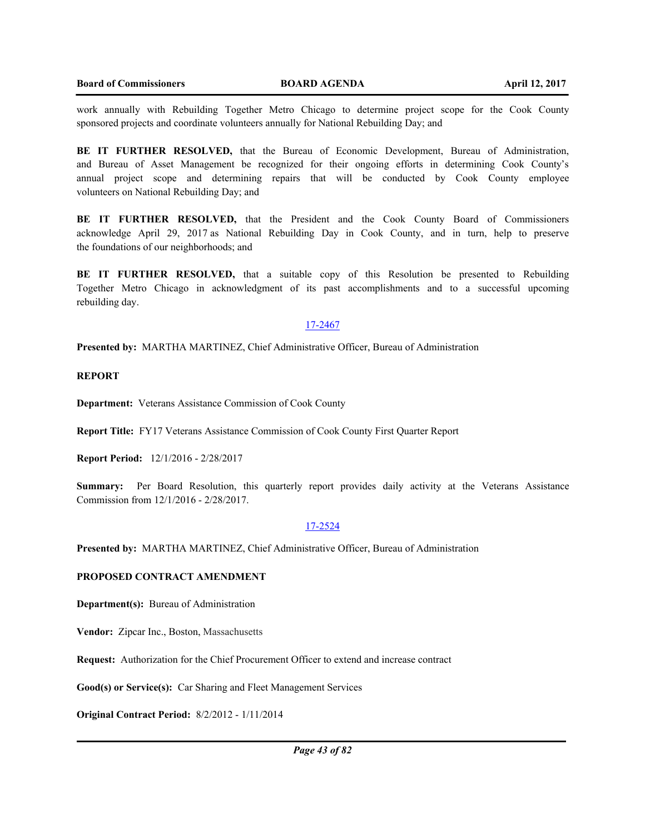work annually with Rebuilding Together Metro Chicago to determine project scope for the Cook County sponsored projects and coordinate volunteers annually for National Rebuilding Day; and

**BE IT FURTHER RESOLVED,** that the Bureau of Economic Development, Bureau of Administration, and Bureau of Asset Management be recognized for their ongoing efforts in determining Cook County's annual project scope and determining repairs that will be conducted by Cook County employee volunteers on National Rebuilding Day; and

**BE IT FURTHER RESOLVED,** that the President and the Cook County Board of Commissioners acknowledge April 29, 2017 as National Rebuilding Day in Cook County, and in turn, help to preserve the foundations of our neighborhoods; and

**BE IT FURTHER RESOLVED,** that a suitable copy of this Resolution be presented to Rebuilding Together Metro Chicago in acknowledgment of its past accomplishments and to a successful upcoming rebuilding day.

#### 17-2467

**Presented by:** MARTHA MARTINEZ, Chief Administrative Officer, Bureau of Administration

### **REPORT**

**Department:** Veterans Assistance Commission of Cook County

**Report Title:** FY17 Veterans Assistance Commission of Cook County First Quarter Report

**Report Period:** 12/1/2016 - 2/28/2017

**Summary:** Per Board Resolution, this quarterly report provides daily activity at the Veterans Assistance Commission from 12/1/2016 - 2/28/2017.

## 17-2524

**Presented by:** MARTHA MARTINEZ, Chief Administrative Officer, Bureau of Administration

# **PROPOSED CONTRACT AMENDMENT**

**Department(s):** Bureau of Administration

**Vendor:** Zipcar Inc., Boston, Massachusetts

**Request:** Authorization for the Chief Procurement Officer to extend and increase contract

**Good(s) or Service(s):** Car Sharing and Fleet Management Services

**Original Contract Period:** 8/2/2012 - 1/11/2014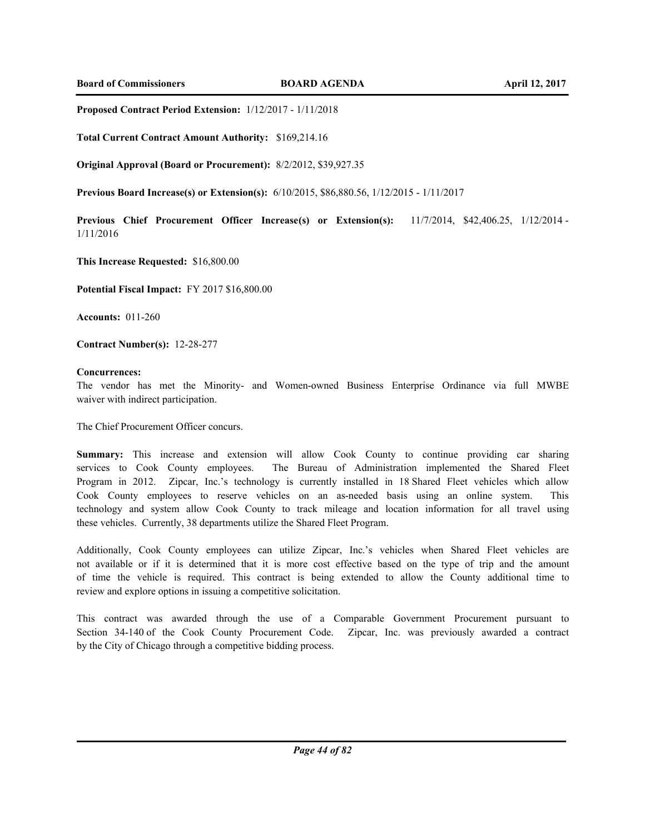**Proposed Contract Period Extension:** 1/12/2017 - 1/11/2018

**Total Current Contract Amount Authority:** \$169,214.16

**Original Approval (Board or Procurement):** 8/2/2012, \$39,927.35

**Previous Board Increase(s) or Extension(s):** 6/10/2015, \$86,880.56, 1/12/2015 - 1/11/2017

**Previous Chief Procurement Officer Increase(s) or Extension(s):** 11/7/2014, \$42,406.25, 1/12/2014 - 1/11/2016

**This Increase Requested:** \$16,800.00

**Potential Fiscal Impact:** FY 2017 \$16,800.00

**Accounts:** 011-260

**Contract Number(s):** 12-28-277

#### **Concurrences:**

The vendor has met the Minority- and Women-owned Business Enterprise Ordinance via full MWBE waiver with indirect participation.

The Chief Procurement Officer concurs.

**Summary:** This increase and extension will allow Cook County to continue providing car sharing services to Cook County employees. The Bureau of Administration implemented the Shared Fleet Program in 2012. Zipcar, Inc.'s technology is currently installed in 18 Shared Fleet vehicles which allow Cook County employees to reserve vehicles on an as-needed basis using an online system. This technology and system allow Cook County to track mileage and location information for all travel using these vehicles. Currently, 38 departments utilize the Shared Fleet Program.

Additionally, Cook County employees can utilize Zipcar, Inc.'s vehicles when Shared Fleet vehicles are not available or if it is determined that it is more cost effective based on the type of trip and the amount of time the vehicle is required. This contract is being extended to allow the County additional time to review and explore options in issuing a competitive solicitation.

This contract was awarded through the use of a Comparable Government Procurement pursuant to Section 34-140 of the Cook County Procurement Code. Zipcar, Inc. was previously awarded a contract by the City of Chicago through a competitive bidding process.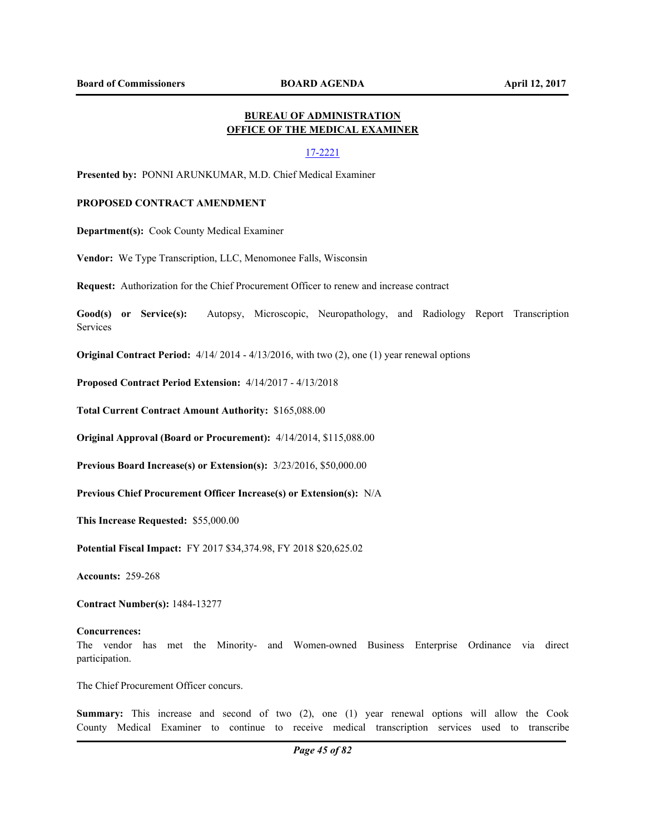# **BUREAU OF ADMINISTRATION OFFICE OF THE MEDICAL EXAMINER**

### 17-2221

**Presented by:** PONNI ARUNKUMAR, M.D. Chief Medical Examiner

## **PROPOSED CONTRACT AMENDMENT**

**Department(s):** Cook County Medical Examiner

**Vendor:** We Type Transcription, LLC, Menomonee Falls, Wisconsin

**Request:** Authorization for the Chief Procurement Officer to renew and increase contract

**Good(s) or Service(s):** Autopsy, Microscopic, Neuropathology, and Radiology Report Transcription Services

**Original Contract Period:** 4/14/ 2014 - 4/13/2016, with two (2), one (1) year renewal options

**Proposed Contract Period Extension:** 4/14/2017 - 4/13/2018

**Total Current Contract Amount Authority:** \$165,088.00

**Original Approval (Board or Procurement):** 4/14/2014, \$115,088.00

**Previous Board Increase(s) or Extension(s):** 3/23/2016, \$50,000.00

**Previous Chief Procurement Officer Increase(s) or Extension(s):** N/A

**This Increase Requested:** \$55,000.00

**Potential Fiscal Impact:** FY 2017 \$34,374.98, FY 2018 \$20,625.02

**Accounts:** 259-268

**Contract Number(s):** 1484-13277

#### **Concurrences:**

The vendor has met the Minority- and Women-owned Business Enterprise Ordinance via direct participation.

The Chief Procurement Officer concurs.

**Summary:** This increase and second of two (2), one (1) year renewal options will allow the Cook County Medical Examiner to continue to receive medical transcription services used to transcribe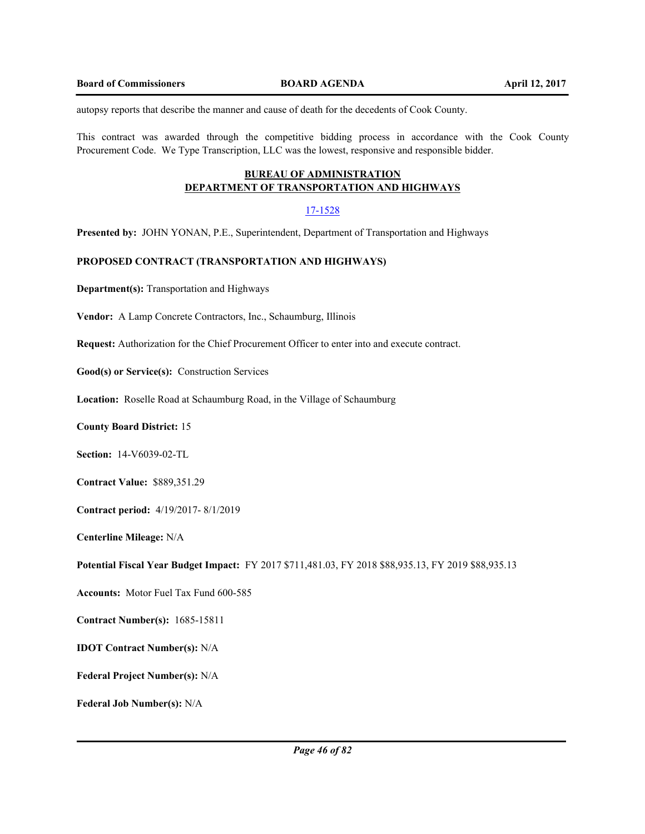autopsy reports that describe the manner and cause of death for the decedents of Cook County.

This contract was awarded through the competitive bidding process in accordance with the Cook County Procurement Code. We Type Transcription, LLC was the lowest, responsive and responsible bidder.

# **BUREAU OF ADMINISTRATION DEPARTMENT OF TRANSPORTATION AND HIGHWAYS**

### 17-1528

**Presented by:** JOHN YONAN, P.E., Superintendent, Department of Transportation and Highways

## **PROPOSED CONTRACT (TRANSPORTATION AND HIGHWAYS)**

**Department(s):** Transportation and Highways

**Vendor:** A Lamp Concrete Contractors, Inc., Schaumburg, Illinois

**Request:** Authorization for the Chief Procurement Officer to enter into and execute contract.

**Good(s) or Service(s):** Construction Services

**Location:** Roselle Road at Schaumburg Road, in the Village of Schaumburg

**County Board District:** 15

**Section:** 14-V6039-02-TL

**Contract Value:** \$889,351.29

**Contract period:** 4/19/2017- 8/1/2019

**Centerline Mileage:** N/A

**Potential Fiscal Year Budget Impact:** FY 2017 \$711,481.03, FY 2018 \$88,935.13, FY 2019 \$88,935.13

**Accounts:** Motor Fuel Tax Fund 600-585

**Contract Number(s):** 1685-15811

**IDOT Contract Number(s):** N/A

**Federal Project Number(s):** N/A

**Federal Job Number(s):** N/A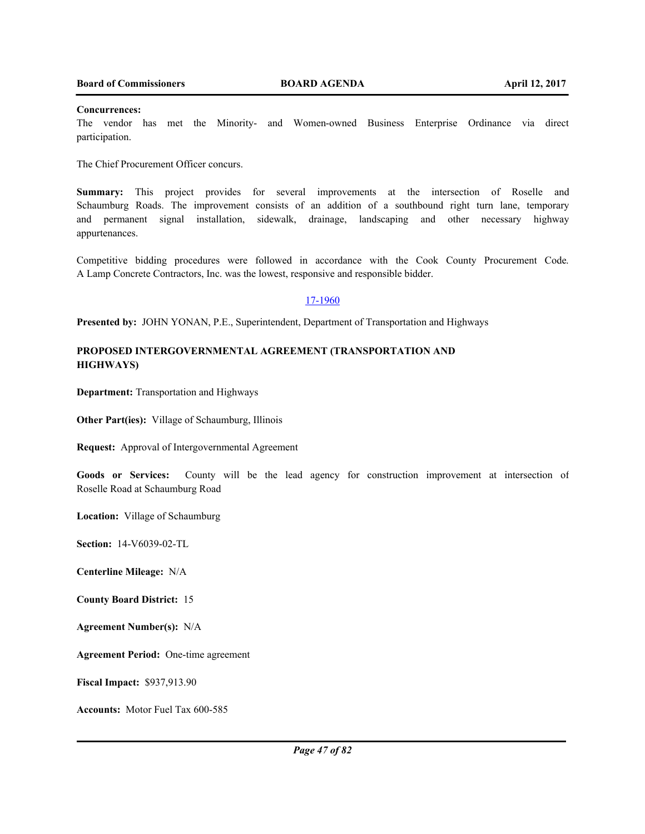#### **Concurrences:**

The vendor has met the Minority- and Women-owned Business Enterprise Ordinance via direct participation.

The Chief Procurement Officer concurs.

**Summary:** This project provides for several improvements at the intersection of Roselle and Schaumburg Roads. The improvement consists of an addition of a southbound right turn lane, temporary and permanent signal installation, sidewalk, drainage, landscaping and other necessary highway appurtenances.

Competitive bidding procedures were followed in accordance with the Cook County Procurement Code. A Lamp Concrete Contractors, Inc. was the lowest, responsive and responsible bidder.

## 17-1960

**Presented by:** JOHN YONAN, P.E., Superintendent, Department of Transportation and Highways

# **PROPOSED INTERGOVERNMENTAL AGREEMENT (TRANSPORTATION AND HIGHWAYS)**

**Department:** Transportation and Highways

**Other Part(ies):** Village of Schaumburg, Illinois

**Request:** Approval of Intergovernmental Agreement

Goods or Services: County will be the lead agency for construction improvement at intersection of Roselle Road at Schaumburg Road

**Location:** Village of Schaumburg

**Section:** 14-V6039-02-TL

**Centerline Mileage:** N/A

**County Board District:** 15

**Agreement Number(s):** N/A

**Agreement Period:** One-time agreement

**Fiscal Impact:** \$937,913.90

**Accounts:** Motor Fuel Tax 600-585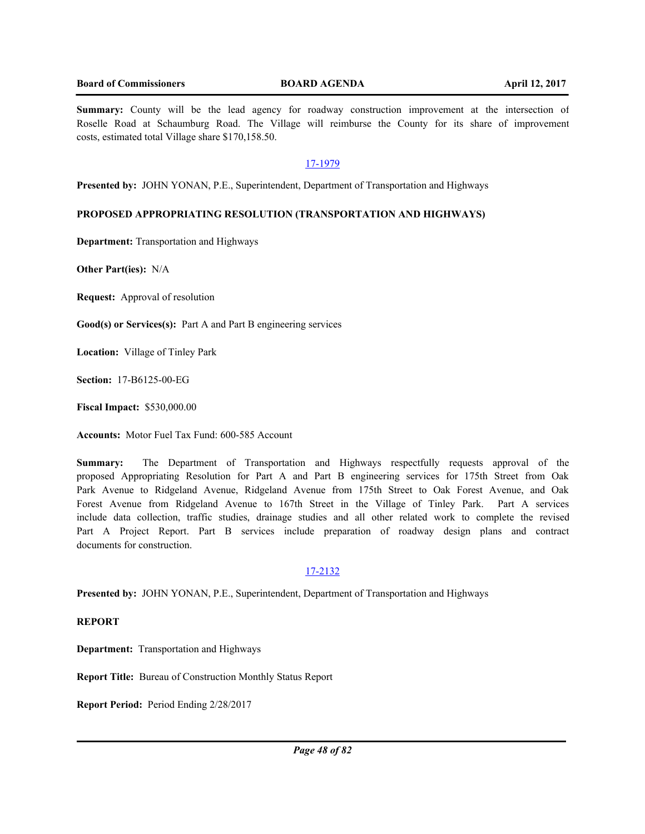**Summary:** County will be the lead agency for roadway construction improvement at the intersection of Roselle Road at Schaumburg Road. The Village will reimburse the County for its share of improvement costs, estimated total Village share \$170,158.50.

## 17-1979

**Presented by:** JOHN YONAN, P.E., Superintendent, Department of Transportation and Highways

## **PROPOSED APPROPRIATING RESOLUTION (TRANSPORTATION AND HIGHWAYS)**

**Department:** Transportation and Highways

**Other Part(ies):** N/A

**Request:** Approval of resolution

**Good(s) or Services(s):** Part A and Part B engineering services

**Location:** Village of Tinley Park

**Section:** 17-B6125-00-EG

**Fiscal Impact:** \$530,000.00

**Accounts:** Motor Fuel Tax Fund: 600-585 Account

**Summary:** The Department of Transportation and Highways respectfully requests approval of the proposed Appropriating Resolution for Part A and Part B engineering services for 175th Street from Oak Park Avenue to Ridgeland Avenue, Ridgeland Avenue from 175th Street to Oak Forest Avenue, and Oak Forest Avenue from Ridgeland Avenue to 167th Street in the Village of Tinley Park. Part A services include data collection, traffic studies, drainage studies and all other related work to complete the revised Part A Project Report. Part B services include preparation of roadway design plans and contract documents for construction.

### 17-2132

**Presented by:** JOHN YONAN, P.E., Superintendent, Department of Transportation and Highways

**REPORT**

**Department:** Transportation and Highways

**Report Title:** Bureau of Construction Monthly Status Report

**Report Period:** Period Ending 2/28/2017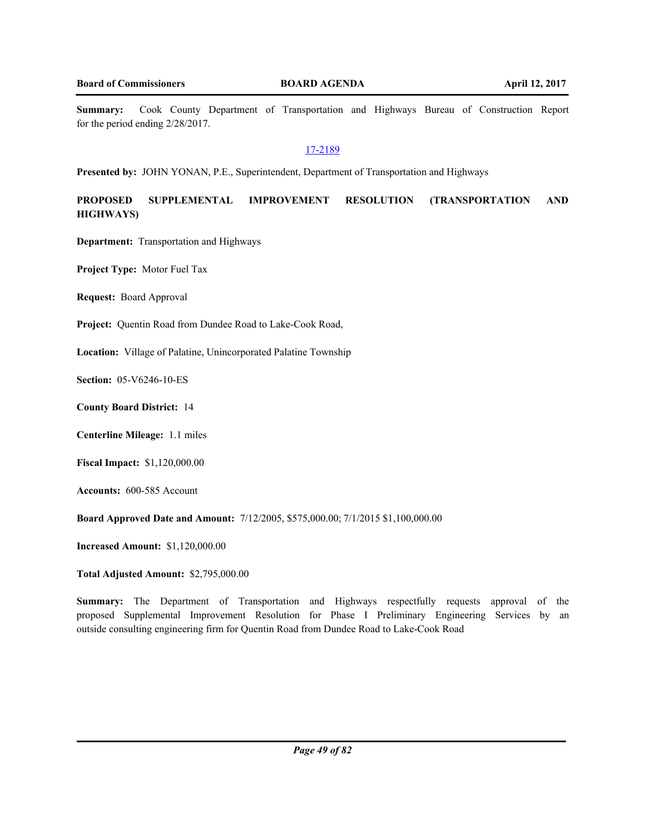**Summary:** Cook County Department of Transportation and Highways Bureau of Construction Report for the period ending 2/28/2017.

## 17-2189

**Presented by:** JOHN YONAN, P.E., Superintendent, Department of Transportation and Highways

**PROPOSED SUPPLEMENTAL IMPROVEMENT RESOLUTION (TRANSPORTATION AND HIGHWAYS)**

**Department:** Transportation and Highways

**Project Type:** Motor Fuel Tax

**Request:** Board Approval

**Project:** Quentin Road from Dundee Road to Lake-Cook Road,

**Location:** Village of Palatine, Unincorporated Palatine Township

**Section:** 05-V6246-10-ES

**County Board District:** 14

**Centerline Mileage:** 1.1 miles

**Fiscal Impact:** \$1,120,000.00

**Accounts:** 600-585 Account

**Board Approved Date and Amount:** 7/12/2005, \$575,000.00; 7/1/2015 \$1,100,000.00

**Increased Amount:** \$1,120,000.00

**Total Adjusted Amount:** \$2,795,000.00

**Summary:** The Department of Transportation and Highways respectfully requests approval of the proposed Supplemental Improvement Resolution for Phase I Preliminary Engineering Services by an outside consulting engineering firm for Quentin Road from Dundee Road to Lake-Cook Road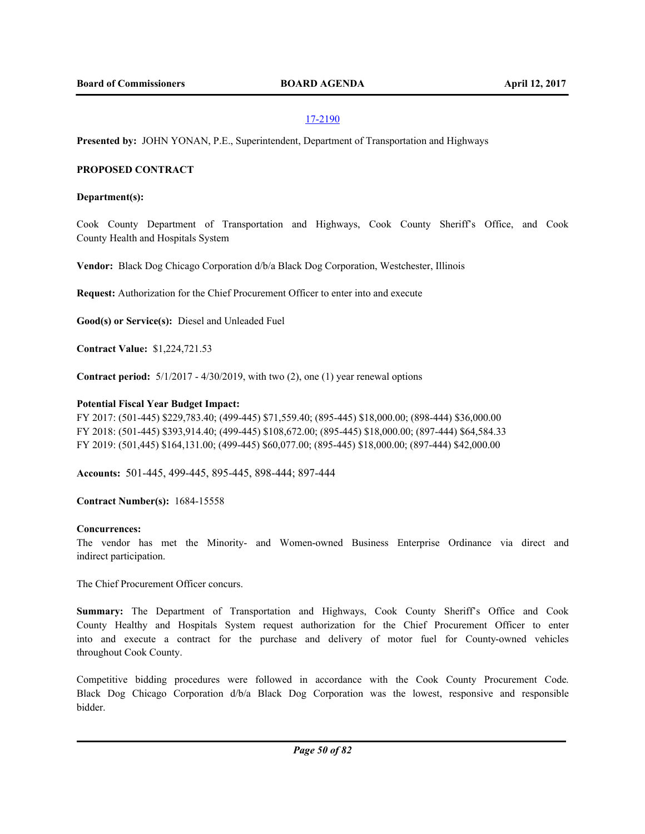**Presented by:** JOHN YONAN, P.E., Superintendent, Department of Transportation and Highways

## **PROPOSED CONTRACT**

### **Department(s):**

Cook County Department of Transportation and Highways, Cook County Sheriff's Office, and Cook County Health and Hospitals System

**Vendor:** Black Dog Chicago Corporation d/b/a Black Dog Corporation, Westchester, Illinois

**Request:** Authorization for the Chief Procurement Officer to enter into and execute

**Good(s) or Service(s):** Diesel and Unleaded Fuel

**Contract Value:** \$1,224,721.53

**Contract period:** 5/1/2017 - 4/30/2019, with two (2), one (1) year renewal options

## **Potential Fiscal Year Budget Impact:**

FY 2017: (501-445) \$229,783.40; (499-445) \$71,559.40; (895-445) \$18,000.00; (898-444) \$36,000.00 FY 2018: (501-445) \$393,914.40; (499-445) \$108,672.00; (895-445) \$18,000.00; (897-444) \$64,584.33 FY 2019: (501,445) \$164,131.00; (499-445) \$60,077.00; (895-445) \$18,000.00; (897-444) \$42,000.00

**Accounts:** 501-445, 499-445, 895-445, 898-444; 897-444

**Contract Number(s):** 1684-15558

### **Concurrences:**

The vendor has met the Minority- and Women-owned Business Enterprise Ordinance via direct and indirect participation.

The Chief Procurement Officer concurs.

**Summary:** The Department of Transportation and Highways, Cook County Sheriff's Office and Cook County Healthy and Hospitals System request authorization for the Chief Procurement Officer to enter into and execute a contract for the purchase and delivery of motor fuel for County-owned vehicles throughout Cook County.

Competitive bidding procedures were followed in accordance with the Cook County Procurement Code. Black Dog Chicago Corporation d/b/a Black Dog Corporation was the lowest, responsive and responsible bidder.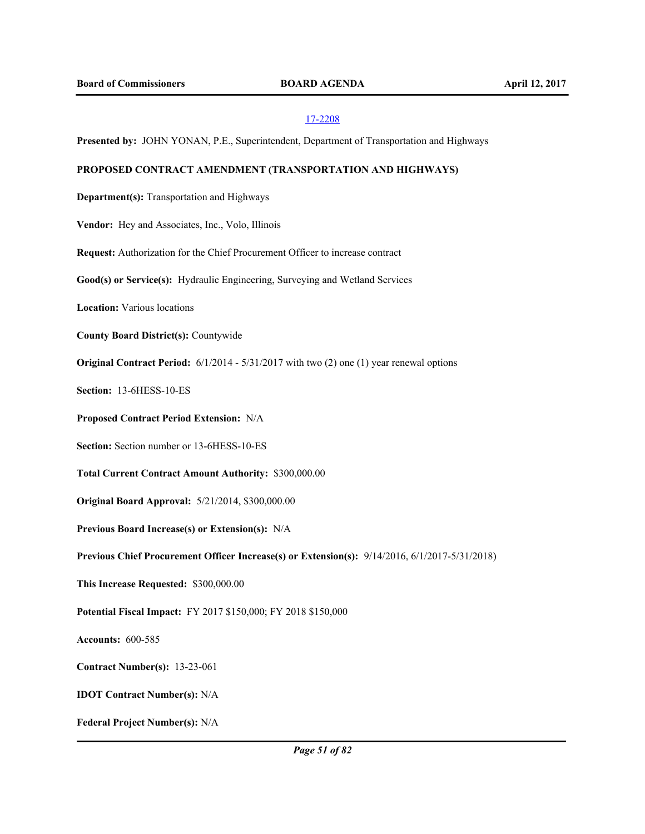**Presented by:** JOHN YONAN, P.E., Superintendent, Department of Transportation and Highways

## **PROPOSED CONTRACT AMENDMENT (TRANSPORTATION AND HIGHWAYS)**

**Department(s):** Transportation and Highways

**Vendor:** Hey and Associates, Inc., Volo, Illinois

**Request:** Authorization for the Chief Procurement Officer to increase contract

**Good(s) or Service(s):** Hydraulic Engineering, Surveying and Wetland Services

**Location:** Various locations

**County Board District(s):** Countywide

**Original Contract Period:** 6/1/2014 - 5/31/2017 with two (2) one (1) year renewal options

**Section:** 13-6HESS-10-ES

**Proposed Contract Period Extension:** N/A

**Section:** Section number or 13-6HESS-10-ES

**Total Current Contract Amount Authority:** \$300,000.00

**Original Board Approval:** 5/21/2014, \$300,000.00

**Previous Board Increase(s) or Extension(s):** N/A

**Previous Chief Procurement Officer Increase(s) or Extension(s):** 9/14/2016, 6/1/2017-5/31/2018)

**This Increase Requested:** \$300,000.00

**Potential Fiscal Impact:** FY 2017 \$150,000; FY 2018 \$150,000

**Accounts:** 600-585

**Contract Number(s):** 13-23-061

**IDOT Contract Number(s):** N/A

**Federal Project Number(s):** N/A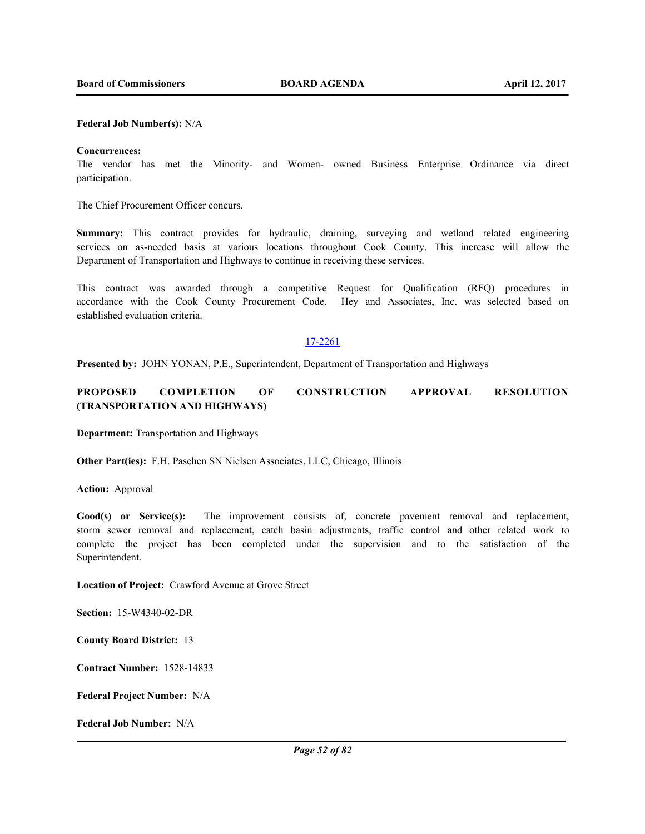#### **Federal Job Number(s):** N/A

### **Concurrences:**

The vendor has met the Minority- and Women- owned Business Enterprise Ordinance via direct participation.

The Chief Procurement Officer concurs.

**Summary:** This contract provides for hydraulic, draining, surveying and wetland related engineering services on as-needed basis at various locations throughout Cook County. This increase will allow the Department of Transportation and Highways to continue in receiving these services.

This contract was awarded through a competitive Request for Qualification (RFQ) procedures in accordance with the Cook County Procurement Code. Hey and Associates, Inc. was selected based on established evaluation criteria.

## 17-2261

**Presented by:** JOHN YONAN, P.E., Superintendent, Department of Transportation and Highways

# **PROPOSED COMPLETION OF CONSTRUCTION APPROVAL RESOLUTION (TRANSPORTATION AND HIGHWAYS)**

**Department:** Transportation and Highways

**Other Part(ies):** F.H. Paschen SN Nielsen Associates, LLC, Chicago, Illinois

**Action:** Approval

Good(s) or Service(s): The improvement consists of, concrete pavement removal and replacement, storm sewer removal and replacement, catch basin adjustments, traffic control and other related work to complete the project has been completed under the supervision and to the satisfaction of the Superintendent.

**Location of Project:** Crawford Avenue at Grove Street

**Section:** 15-W4340-02-DR

**County Board District:** 13

**Contract Number:** 1528-14833

**Federal Project Number:** N/A

**Federal Job Number:** N/A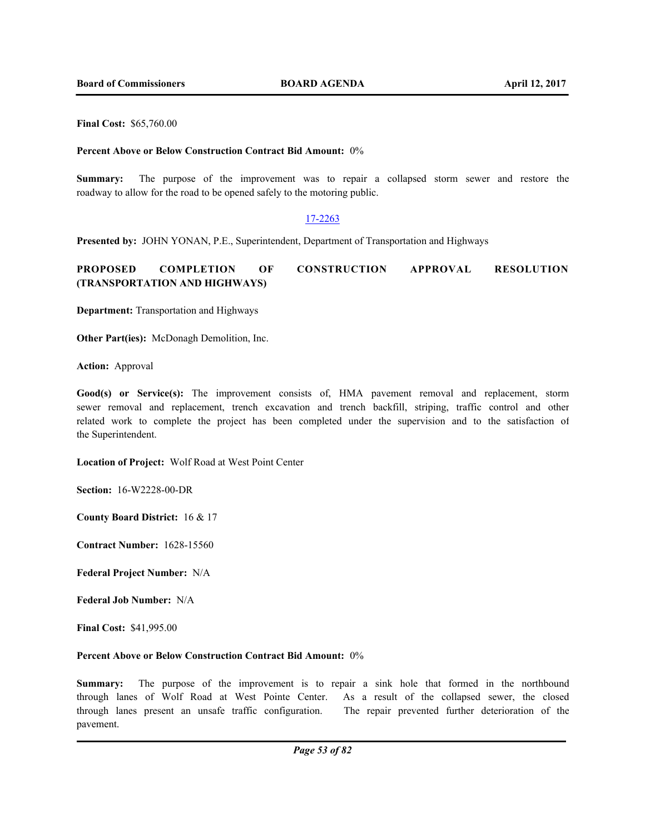**Final Cost:** \$65,760.00

### **Percent Above or Below Construction Contract Bid Amount:** 0%

**Summary:** The purpose of the improvement was to repair a collapsed storm sewer and restore the roadway to allow for the road to be opened safely to the motoring public.

### 17-2263

**Presented by:** JOHN YONAN, P.E., Superintendent, Department of Transportation and Highways

# **PROPOSED COMPLETION OF CONSTRUCTION APPROVAL RESOLUTION (TRANSPORTATION AND HIGHWAYS)**

**Department:** Transportation and Highways

**Other Part(ies):** McDonagh Demolition, Inc.

**Action:** Approval

Good(s) or Service(s): The improvement consists of, HMA pavement removal and replacement, storm sewer removal and replacement, trench excavation and trench backfill, striping, traffic control and other related work to complete the project has been completed under the supervision and to the satisfaction of the Superintendent.

**Location of Project:** Wolf Road at West Point Center

**Section:** 16-W2228-00-DR

**County Board District:** 16 & 17

**Contract Number:** 1628-15560

**Federal Project Number:** N/A

**Federal Job Number:** N/A

**Final Cost:** \$41,995.00

#### **Percent Above or Below Construction Contract Bid Amount:** 0%

**Summary:** The purpose of the improvement is to repair a sink hole that formed in the northbound through lanes of Wolf Road at West Pointe Center. As a result of the collapsed sewer, the closed through lanes present an unsafe traffic configuration. The repair prevented further deterioration of the pavement.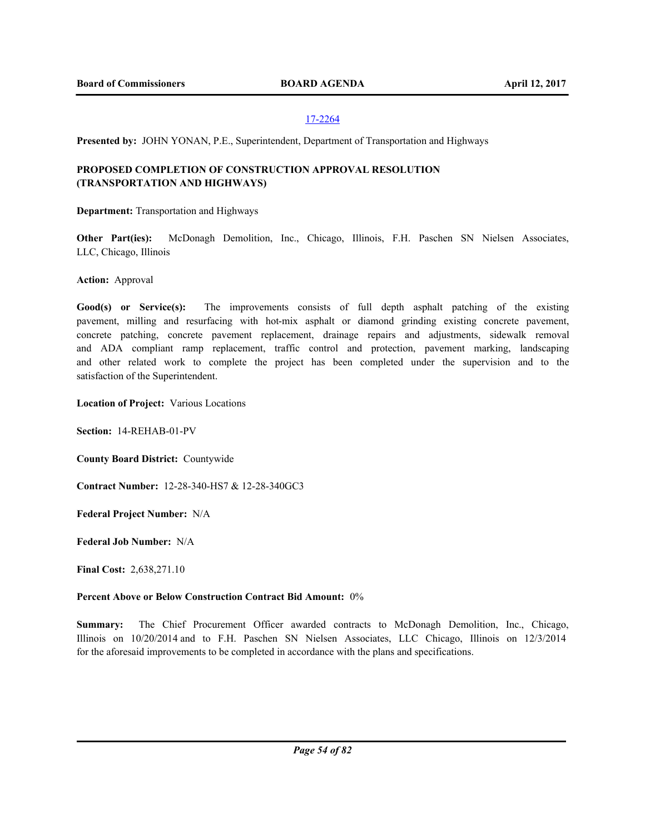**Presented by:** JOHN YONAN, P.E., Superintendent, Department of Transportation and Highways

# **PROPOSED COMPLETION OF CONSTRUCTION APPROVAL RESOLUTION (TRANSPORTATION AND HIGHWAYS)**

**Department:** Transportation and Highways

**Other Part(ies):** McDonagh Demolition, Inc., Chicago, Illinois, F.H. Paschen SN Nielsen Associates, LLC, Chicago, Illinois

**Action:** Approval

Good(s) or Service(s): The improvements consists of full depth asphalt patching of the existing pavement, milling and resurfacing with hot-mix asphalt or diamond grinding existing concrete pavement, concrete patching, concrete pavement replacement, drainage repairs and adjustments, sidewalk removal and ADA compliant ramp replacement, traffic control and protection, pavement marking, landscaping and other related work to complete the project has been completed under the supervision and to the satisfaction of the Superintendent.

**Location of Project:** Various Locations

**Section:** 14-REHAB-01-PV

**County Board District:** Countywide

**Contract Number:** 12-28-340-HS7 & 12-28-340GC3

**Federal Project Number:** N/A

**Federal Job Number:** N/A

**Final Cost:** 2,638,271.10

# **Percent Above or Below Construction Contract Bid Amount:** 0%

**Summary:** The Chief Procurement Officer awarded contracts to McDonagh Demolition, Inc., Chicago, Illinois on 10/20/2014 and to F.H. Paschen SN Nielsen Associates, LLC Chicago, Illinois on 12/3/2014 for the aforesaid improvements to be completed in accordance with the plans and specifications.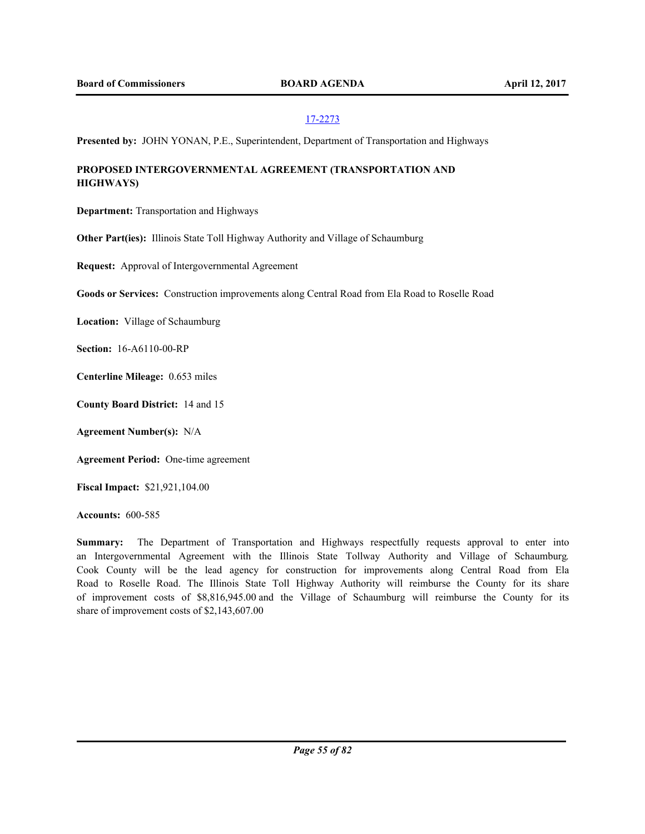**Presented by:** JOHN YONAN, P.E., Superintendent, Department of Transportation and Highways

# **PROPOSED INTERGOVERNMENTAL AGREEMENT (TRANSPORTATION AND HIGHWAYS)**

**Department:** Transportation and Highways

**Other Part(ies):** Illinois State Toll Highway Authority and Village of Schaumburg

**Request:** Approval of Intergovernmental Agreement

**Goods or Services:** Construction improvements along Central Road from Ela Road to Roselle Road

**Location:** Village of Schaumburg

**Section:** 16-A6110-00-RP

**Centerline Mileage:** 0.653 miles

**County Board District:** 14 and 15

**Agreement Number(s):** N/A

**Agreement Period:** One-time agreement

**Fiscal Impact:** \$21,921,104.00

**Accounts:** 600-585

**Summary:** The Department of Transportation and Highways respectfully requests approval to enter into an Intergovernmental Agreement with the Illinois State Tollway Authority and Village of Schaumburg. Cook County will be the lead agency for construction for improvements along Central Road from Ela Road to Roselle Road. The Illinois State Toll Highway Authority will reimburse the County for its share of improvement costs of \$8,816,945.00 and the Village of Schaumburg will reimburse the County for its share of improvement costs of \$2,143,607.00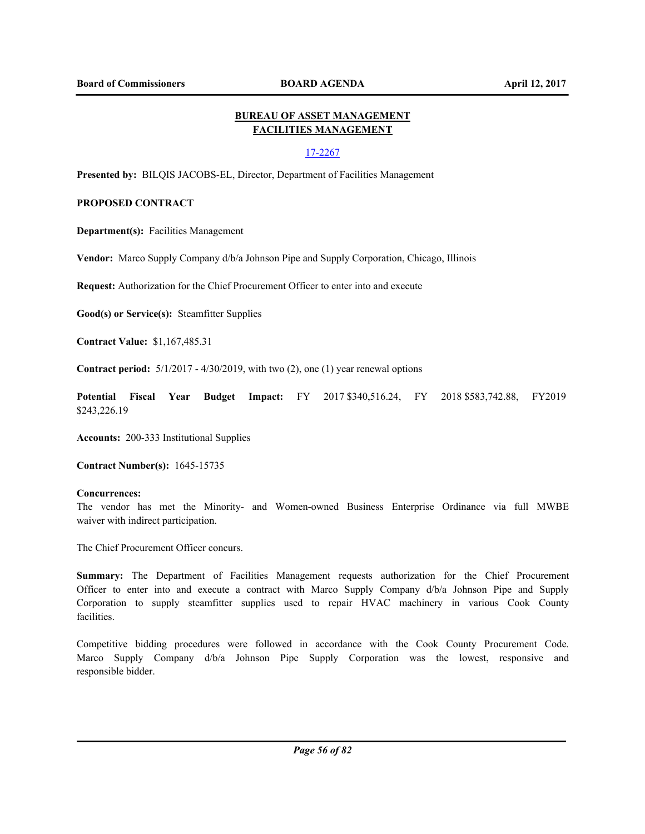# **BUREAU OF ASSET MANAGEMENT FACILITIES MANAGEMENT**

# 17-2267

**Presented by:** BILQIS JACOBS-EL, Director, Department of Facilities Management

# **PROPOSED CONTRACT**

**Department(s):** Facilities Management

**Vendor:** Marco Supply Company d/b/a Johnson Pipe and Supply Corporation, Chicago, Illinois

**Request:** Authorization for the Chief Procurement Officer to enter into and execute

**Good(s) or Service(s):** Steamfitter Supplies

**Contract Value:** \$1,167,485.31

**Contract period:** 5/1/2017 - 4/30/2019, with two (2), one (1) year renewal options

**Potential Fiscal Year Budget Impact:** FY 2017 \$340,516.24, FY 2018 \$583,742.88, FY2019 \$243,226.19

**Accounts:** 200-333 Institutional Supplies

**Contract Number(s):** 1645-15735

### **Concurrences:**

The vendor has met the Minority- and Women-owned Business Enterprise Ordinance via full MWBE waiver with indirect participation.

The Chief Procurement Officer concurs.

**Summary:** The Department of Facilities Management requests authorization for the Chief Procurement Officer to enter into and execute a contract with Marco Supply Company d/b/a Johnson Pipe and Supply Corporation to supply steamfitter supplies used to repair HVAC machinery in various Cook County facilities.

Competitive bidding procedures were followed in accordance with the Cook County Procurement Code. Marco Supply Company d/b/a Johnson Pipe Supply Corporation was the lowest, responsive and responsible bidder.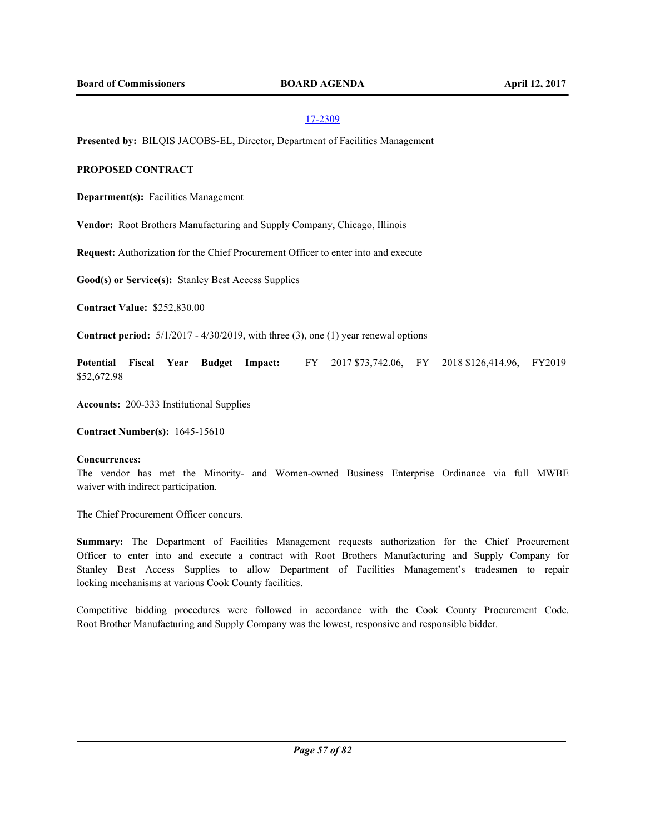**Presented by:** BILQIS JACOBS-EL, Director, Department of Facilities Management

# **PROPOSED CONTRACT**

**Department(s):** Facilities Management

**Vendor:** Root Brothers Manufacturing and Supply Company, Chicago, Illinois

**Request:** Authorization for the Chief Procurement Officer to enter into and execute

**Good(s) or Service(s):** Stanley Best Access Supplies

**Contract Value:** \$252,830.00

**Contract period:** 5/1/2017 - 4/30/2019, with three (3), one (1) year renewal options

**Potential Fiscal Year Budget Impact:** FY 2017 \$73,742.06, FY 2018 \$126,414.96, FY2019 \$52,672.98

**Accounts:** 200-333 Institutional Supplies

**Contract Number(s):** 1645-15610

### **Concurrences:**

The vendor has met the Minority- and Women-owned Business Enterprise Ordinance via full MWBE waiver with indirect participation.

The Chief Procurement Officer concurs.

**Summary:** The Department of Facilities Management requests authorization for the Chief Procurement Officer to enter into and execute a contract with Root Brothers Manufacturing and Supply Company for Stanley Best Access Supplies to allow Department of Facilities Management's tradesmen to repair locking mechanisms at various Cook County facilities.

Competitive bidding procedures were followed in accordance with the Cook County Procurement Code. Root Brother Manufacturing and Supply Company was the lowest, responsive and responsible bidder.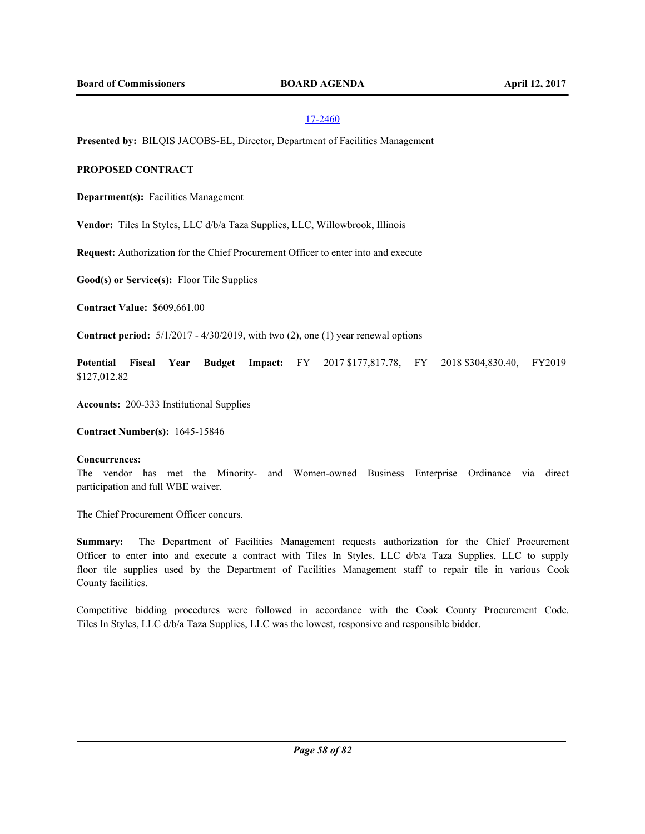**Presented by:** BILQIS JACOBS-EL, Director, Department of Facilities Management

## **PROPOSED CONTRACT**

**Department(s):** Facilities Management

**Vendor:** Tiles In Styles, LLC d/b/a Taza Supplies, LLC, Willowbrook, Illinois

**Request:** Authorization for the Chief Procurement Officer to enter into and execute

**Good(s) or Service(s):** Floor Tile Supplies

**Contract Value:** \$609,661.00

**Contract period:** 5/1/2017 - 4/30/2019, with two (2), one (1) year renewal options

**Potential Fiscal Year Budget Impact:** FY 2017 \$177,817.78, FY 2018 \$304,830.40, FY2019 \$127,012.82

**Accounts:** 200-333 Institutional Supplies

**Contract Number(s):** 1645-15846

## **Concurrences:**

The vendor has met the Minority- and Women-owned Business Enterprise Ordinance via direct participation and full WBE waiver.

The Chief Procurement Officer concurs.

**Summary:** The Department of Facilities Management requests authorization for the Chief Procurement Officer to enter into and execute a contract with Tiles In Styles, LLC d/b/a Taza Supplies, LLC to supply floor tile supplies used by the Department of Facilities Management staff to repair tile in various Cook County facilities.

Competitive bidding procedures were followed in accordance with the Cook County Procurement Code. Tiles In Styles, LLC d/b/a Taza Supplies, LLC was the lowest, responsive and responsible bidder.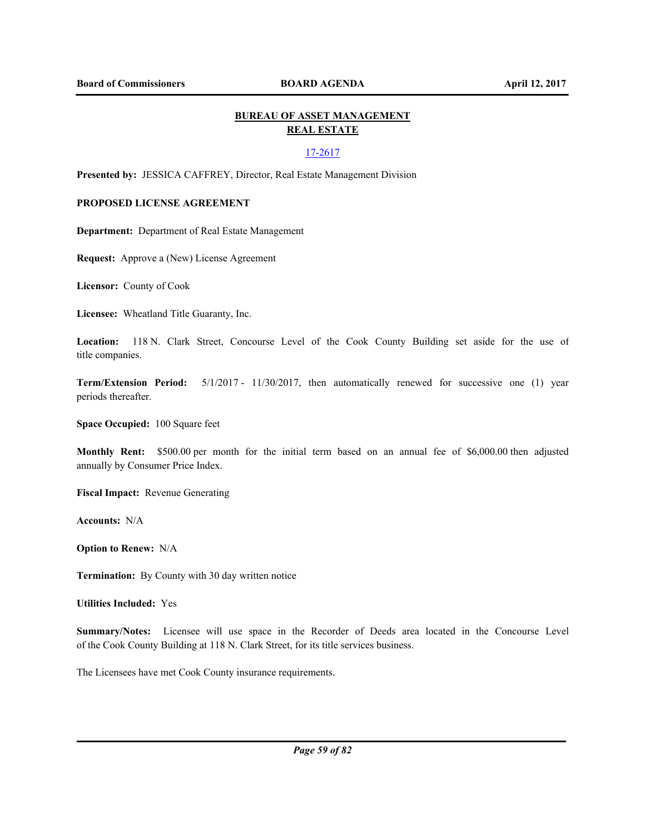# **BUREAU OF ASSET MANAGEMENT REAL ESTATE**

### 17-2617

**Presented by:** JESSICA CAFFREY, Director, Real Estate Management Division

## **PROPOSED LICENSE AGREEMENT**

**Department:** Department of Real Estate Management

**Request:** Approve a (New) License Agreement

**Licensor:** County of Cook

**Licensee:** Wheatland Title Guaranty, Inc.

**Location:** 118 N. Clark Street, Concourse Level of the Cook County Building set aside for the use of title companies.

**Term/Extension Period:** 5/1/2017 - 11/30/2017, then automatically renewed for successive one (1) year periods thereafter.

**Space Occupied:** 100 Square feet

**Monthly Rent:** \$500.00 per month for the initial term based on an annual fee of \$6,000.00 then adjusted annually by Consumer Price Index.

**Fiscal Impact:** Revenue Generating

**Accounts:** N/A

**Option to Renew:** N/A

**Termination:** By County with 30 day written notice

**Utilities Included:** Yes

**Summary/Notes:** Licensee will use space in the Recorder of Deeds area located in the Concourse Level of the Cook County Building at 118 N. Clark Street, for its title services business.

The Licensees have met Cook County insurance requirements.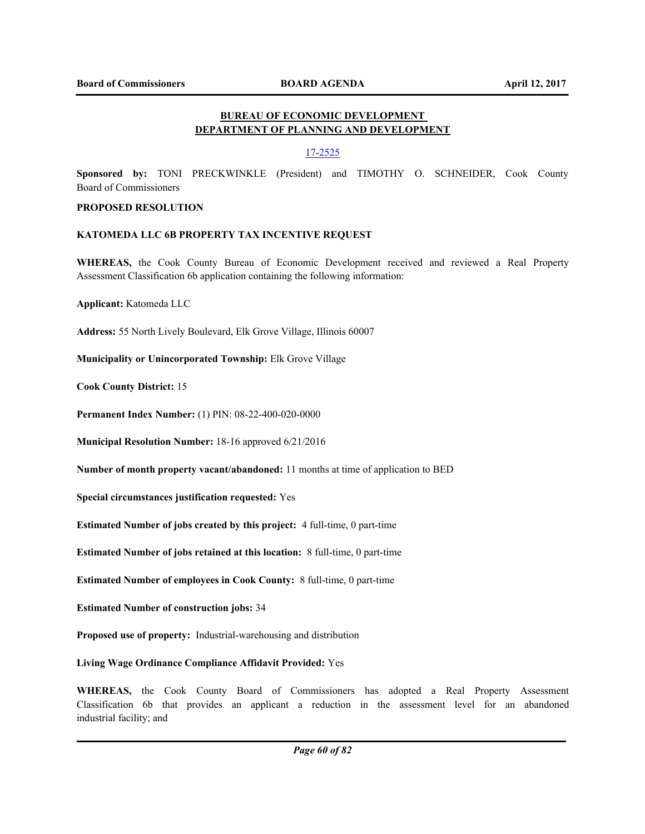# **BUREAU OF ECONOMIC DEVELOPMENT DEPARTMENT OF PLANNING AND DEVELOPMENT**

# 17-2525

**Sponsored by:** TONI PRECKWINKLE (President) and TIMOTHY O. SCHNEIDER, Cook County Board of Commissioners

## **PROPOSED RESOLUTION**

## **KATOMEDA LLC 6B PROPERTY TAX INCENTIVE REQUEST**

**WHEREAS,** the Cook County Bureau of Economic Development received and reviewed a Real Property Assessment Classification 6b application containing the following information:

**Applicant:** Katomeda LLC

**Address:** 55 North Lively Boulevard, Elk Grove Village, Illinois 60007

**Municipality or Unincorporated Township:** Elk Grove Village

**Cook County District:** 15

**Permanent Index Number:** (1) PIN: 08-22-400-020-0000

**Municipal Resolution Number:** 18-16 approved 6/21/2016

**Number of month property vacant/abandoned:** 11 months at time of application to BED

**Special circumstances justification requested:** Yes

**Estimated Number of jobs created by this project:** 4 full-time, 0 part-time

**Estimated Number of jobs retained at this location:** 8 full-time, 0 part-time

**Estimated Number of employees in Cook County:** 8 full-time, 0 part-time

**Estimated Number of construction jobs:** 34

**Proposed use of property:** Industrial-warehousing and distribution

**Living Wage Ordinance Compliance Affidavit Provided:** Yes

**WHEREAS,** the Cook County Board of Commissioners has adopted a Real Property Assessment Classification 6b that provides an applicant a reduction in the assessment level for an abandoned industrial facility; and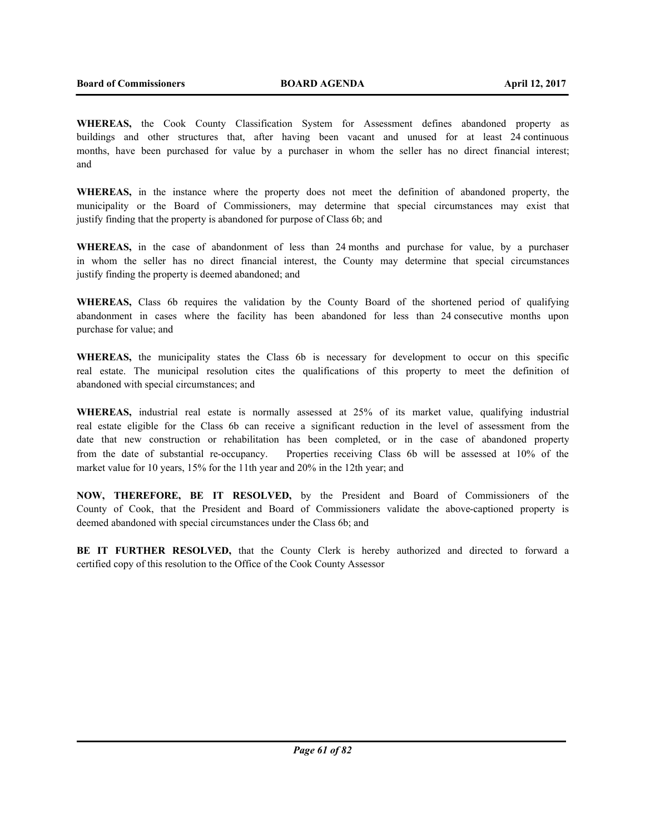**WHEREAS,** the Cook County Classification System for Assessment defines abandoned property as buildings and other structures that, after having been vacant and unused for at least 24 continuous months, have been purchased for value by a purchaser in whom the seller has no direct financial interest; and

**WHEREAS,** in the instance where the property does not meet the definition of abandoned property, the municipality or the Board of Commissioners, may determine that special circumstances may exist that justify finding that the property is abandoned for purpose of Class 6b; and

**WHEREAS,** in the case of abandonment of less than 24 months and purchase for value, by a purchaser in whom the seller has no direct financial interest, the County may determine that special circumstances justify finding the property is deemed abandoned; and

**WHEREAS,** Class 6b requires the validation by the County Board of the shortened period of qualifying abandonment in cases where the facility has been abandoned for less than 24 consecutive months upon purchase for value; and

**WHEREAS,** the municipality states the Class 6b is necessary for development to occur on this specific real estate. The municipal resolution cites the qualifications of this property to meet the definition of abandoned with special circumstances; and

**WHEREAS,** industrial real estate is normally assessed at 25% of its market value, qualifying industrial real estate eligible for the Class 6b can receive a significant reduction in the level of assessment from the date that new construction or rehabilitation has been completed, or in the case of abandoned property from the date of substantial re-occupancy. Properties receiving Class 6b will be assessed at 10% of the market value for 10 years, 15% for the 11th year and 20% in the 12th year; and

**NOW, THEREFORE, BE IT RESOLVED,** by the President and Board of Commissioners of the County of Cook, that the President and Board of Commissioners validate the above-captioned property is deemed abandoned with special circumstances under the Class 6b; and

**BE IT FURTHER RESOLVED,** that the County Clerk is hereby authorized and directed to forward a certified copy of this resolution to the Office of the Cook County Assessor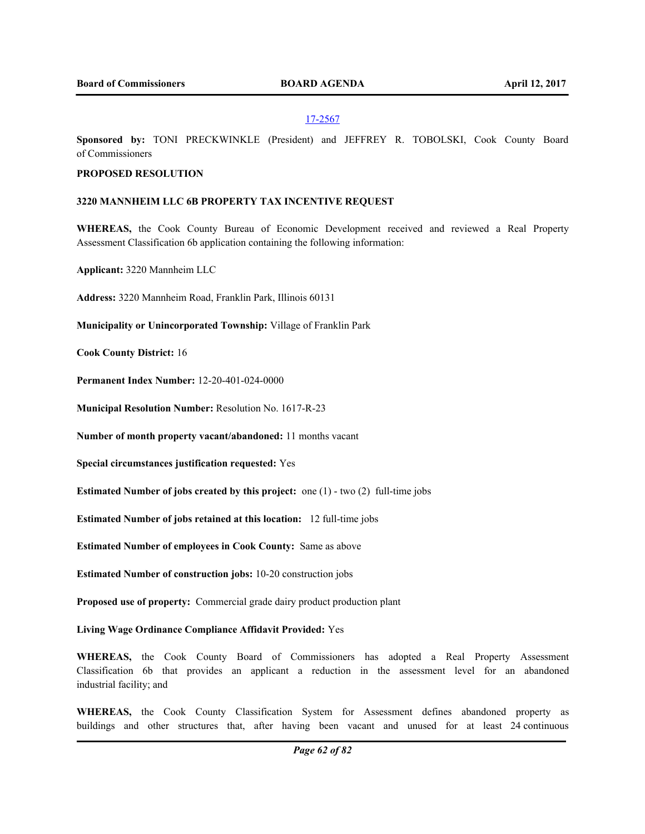**Sponsored by:** TONI PRECKWINKLE (President) and JEFFREY R. TOBOLSKI, Cook County Board of Commissioners

## **PROPOSED RESOLUTION**

### **3220 MANNHEIM LLC 6B PROPERTY TAX INCENTIVE REQUEST**

**WHEREAS,** the Cook County Bureau of Economic Development received and reviewed a Real Property Assessment Classification 6b application containing the following information:

**Applicant:** 3220 Mannheim LLC

**Address:** 3220 Mannheim Road, Franklin Park, Illinois 60131

**Municipality or Unincorporated Township:** Village of Franklin Park

**Cook County District:** 16

**Permanent Index Number:** 12-20-401-024-0000

**Municipal Resolution Number:** Resolution No. 1617-R-23

**Number of month property vacant/abandoned:** 11 months vacant

**Special circumstances justification requested:** Yes

**Estimated Number of jobs created by this project:** one (1) - two (2) full-time jobs

**Estimated Number of jobs retained at this location:** 12 full-time jobs

**Estimated Number of employees in Cook County:** Same as above

**Estimated Number of construction jobs:** 10-20 construction jobs

**Proposed use of property:** Commercial grade dairy product production plant

**Living Wage Ordinance Compliance Affidavit Provided:** Yes

**WHEREAS,** the Cook County Board of Commissioners has adopted a Real Property Assessment Classification 6b that provides an applicant a reduction in the assessment level for an abandoned industrial facility; and

**WHEREAS,** the Cook County Classification System for Assessment defines abandoned property as buildings and other structures that, after having been vacant and unused for at least 24 continuous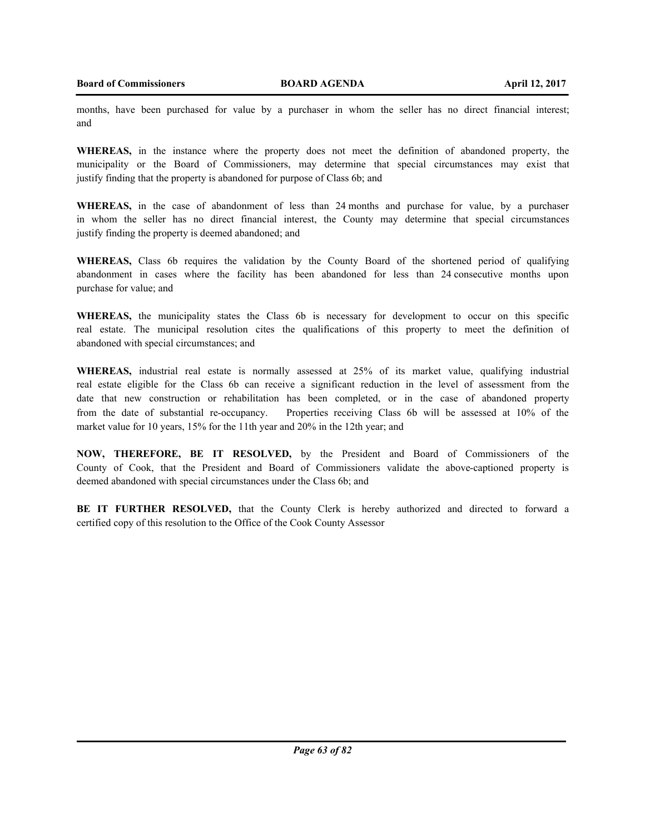months, have been purchased for value by a purchaser in whom the seller has no direct financial interest; and

**WHEREAS,** in the instance where the property does not meet the definition of abandoned property, the municipality or the Board of Commissioners, may determine that special circumstances may exist that justify finding that the property is abandoned for purpose of Class 6b; and

**WHEREAS,** in the case of abandonment of less than 24 months and purchase for value, by a purchaser in whom the seller has no direct financial interest, the County may determine that special circumstances justify finding the property is deemed abandoned; and

**WHEREAS,** Class 6b requires the validation by the County Board of the shortened period of qualifying abandonment in cases where the facility has been abandoned for less than 24 consecutive months upon purchase for value; and

**WHEREAS,** the municipality states the Class 6b is necessary for development to occur on this specific real estate. The municipal resolution cites the qualifications of this property to meet the definition of abandoned with special circumstances; and

**WHEREAS,** industrial real estate is normally assessed at 25% of its market value, qualifying industrial real estate eligible for the Class 6b can receive a significant reduction in the level of assessment from the date that new construction or rehabilitation has been completed, or in the case of abandoned property from the date of substantial re-occupancy. Properties receiving Class 6b will be assessed at 10% of the market value for 10 years, 15% for the 11th year and 20% in the 12th year; and

**NOW, THEREFORE, BE IT RESOLVED,** by the President and Board of Commissioners of the County of Cook, that the President and Board of Commissioners validate the above-captioned property is deemed abandoned with special circumstances under the Class 6b; and

**BE IT FURTHER RESOLVED,** that the County Clerk is hereby authorized and directed to forward a certified copy of this resolution to the Office of the Cook County Assessor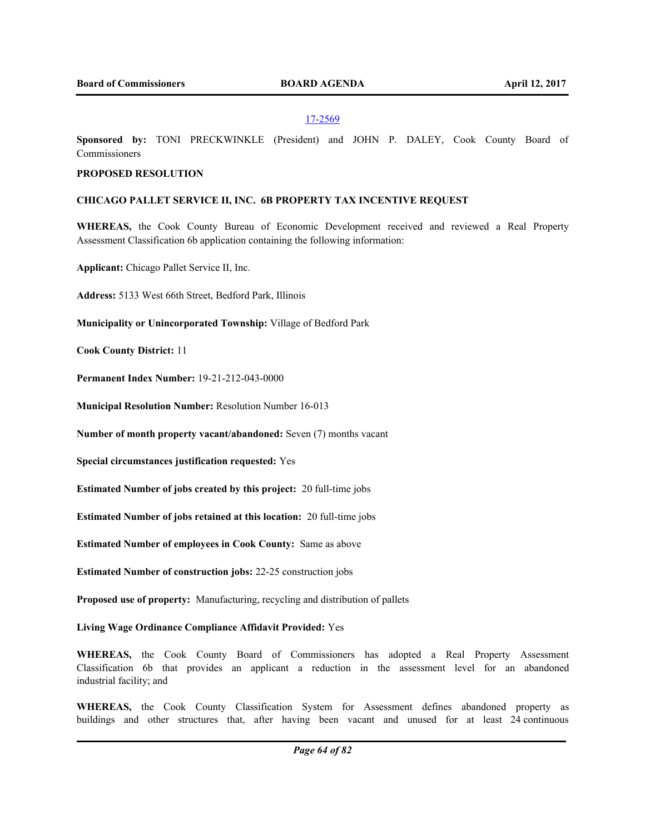**Sponsored by:** TONI PRECKWINKLE (President) and JOHN P. DALEY, Cook County Board of Commissioners

### **PROPOSED RESOLUTION**

#### **CHICAGO PALLET SERVICE II, INC. 6B PROPERTY TAX INCENTIVE REQUEST**

**WHEREAS,** the Cook County Bureau of Economic Development received and reviewed a Real Property Assessment Classification 6b application containing the following information:

**Applicant:** Chicago Pallet Service II, Inc.

**Address:** 5133 West 66th Street, Bedford Park, Illinois

**Municipality or Unincorporated Township:** Village of Bedford Park

**Cook County District:** 11

**Permanent Index Number:** 19-21-212-043-0000

**Municipal Resolution Number:** Resolution Number 16-013

**Number of month property vacant/abandoned:** Seven (7) months vacant

**Special circumstances justification requested:** Yes

**Estimated Number of jobs created by this project:** 20 full-time jobs

**Estimated Number of jobs retained at this location:** 20 full-time jobs

**Estimated Number of employees in Cook County:** Same as above

**Estimated Number of construction jobs:** 22-25 construction jobs

**Proposed use of property:** Manufacturing, recycling and distribution of pallets

**Living Wage Ordinance Compliance Affidavit Provided:** Yes

**WHEREAS,** the Cook County Board of Commissioners has adopted a Real Property Assessment Classification 6b that provides an applicant a reduction in the assessment level for an abandoned industrial facility; and

**WHEREAS,** the Cook County Classification System for Assessment defines abandoned property as buildings and other structures that, after having been vacant and unused for at least 24 continuous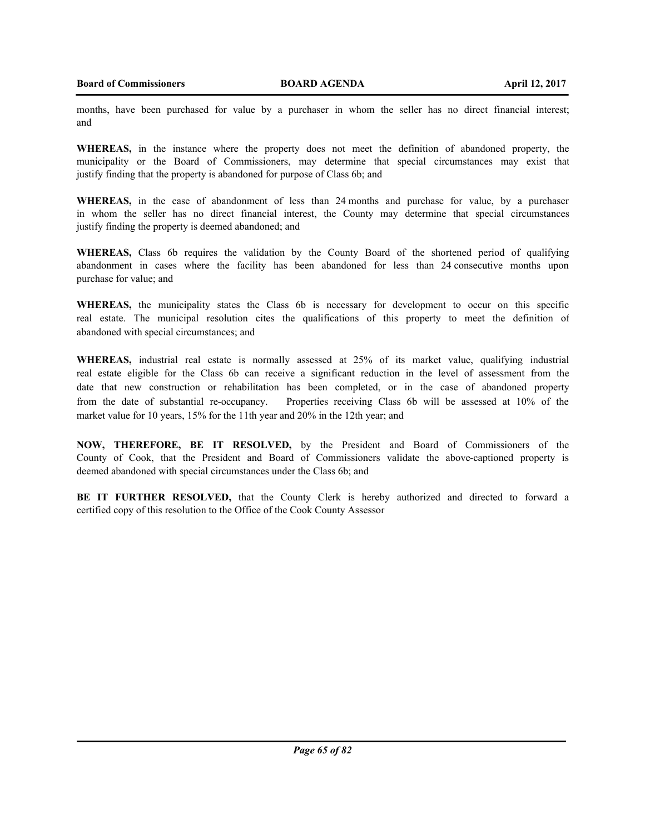months, have been purchased for value by a purchaser in whom the seller has no direct financial interest; and

**WHEREAS,** in the instance where the property does not meet the definition of abandoned property, the municipality or the Board of Commissioners, may determine that special circumstances may exist that justify finding that the property is abandoned for purpose of Class 6b; and

**WHEREAS,** in the case of abandonment of less than 24 months and purchase for value, by a purchaser in whom the seller has no direct financial interest, the County may determine that special circumstances justify finding the property is deemed abandoned; and

**WHEREAS,** Class 6b requires the validation by the County Board of the shortened period of qualifying abandonment in cases where the facility has been abandoned for less than 24 consecutive months upon purchase for value; and

**WHEREAS,** the municipality states the Class 6b is necessary for development to occur on this specific real estate. The municipal resolution cites the qualifications of this property to meet the definition of abandoned with special circumstances; and

**WHEREAS,** industrial real estate is normally assessed at 25% of its market value, qualifying industrial real estate eligible for the Class 6b can receive a significant reduction in the level of assessment from the date that new construction or rehabilitation has been completed, or in the case of abandoned property from the date of substantial re-occupancy. Properties receiving Class 6b will be assessed at 10% of the market value for 10 years, 15% for the 11th year and 20% in the 12th year; and

**NOW, THEREFORE, BE IT RESOLVED,** by the President and Board of Commissioners of the County of Cook, that the President and Board of Commissioners validate the above-captioned property is deemed abandoned with special circumstances under the Class 6b; and

**BE IT FURTHER RESOLVED,** that the County Clerk is hereby authorized and directed to forward a certified copy of this resolution to the Office of the Cook County Assessor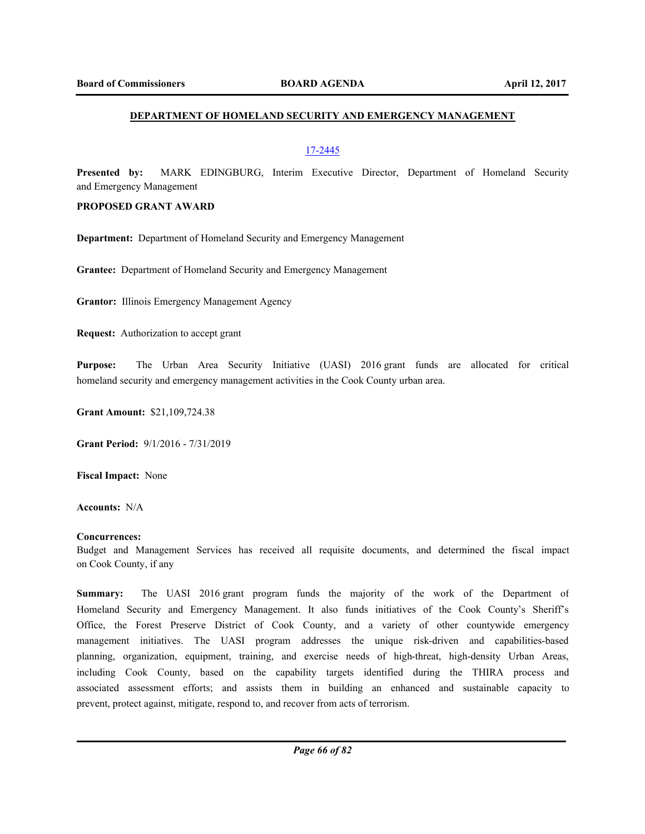## **DEPARTMENT OF HOMELAND SECURITY AND EMERGENCY MANAGEMENT**

## 17-2445

**Presented by:** MARK EDINGBURG, Interim Executive Director, Department of Homeland Security and Emergency Management

### **PROPOSED GRANT AWARD**

**Department:** Department of Homeland Security and Emergency Management

**Grantee:** Department of Homeland Security and Emergency Management

**Grantor:** Illinois Emergency Management Agency

**Request:** Authorization to accept grant

**Purpose:** The Urban Area Security Initiative (UASI) 2016 grant funds are allocated for critical homeland security and emergency management activities in the Cook County urban area.

**Grant Amount:** \$21,109,724.38

**Grant Period:** 9/1/2016 - 7/31/2019

**Fiscal Impact:** None

**Accounts:** N/A

#### **Concurrences:**

Budget and Management Services has received all requisite documents, and determined the fiscal impact on Cook County, if any

**Summary:** The UASI 2016 grant program funds the majority of the work of the Department of Homeland Security and Emergency Management. It also funds initiatives of the Cook County's Sheriff's Office, the Forest Preserve District of Cook County, and a variety of other countywide emergency management initiatives. The UASI program addresses the unique risk-driven and capabilities-based planning, organization, equipment, training, and exercise needs of high-threat, high-density Urban Areas, including Cook County, based on the capability targets identified during the THIRA process and associated assessment efforts; and assists them in building an enhanced and sustainable capacity to prevent, protect against, mitigate, respond to, and recover from acts of terrorism.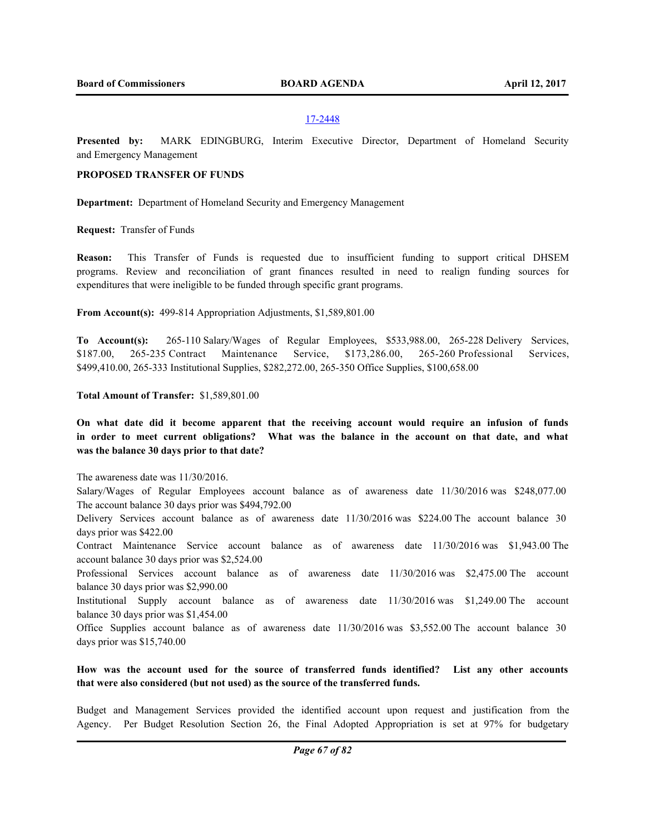**Presented by:** MARK EDINGBURG, Interim Executive Director, Department of Homeland Security and Emergency Management

# **PROPOSED TRANSFER OF FUNDS**

**Department:** Department of Homeland Security and Emergency Management

**Request:** Transfer of Funds

**Reason:** This Transfer of Funds is requested due to insufficient funding to support critical DHSEM programs. Review and reconciliation of grant finances resulted in need to realign funding sources for expenditures that were ineligible to be funded through specific grant programs.

**From Account(s):** 499-814 Appropriation Adjustments, \$1,589,801.00

**To Account(s):** 265-110 Salary/Wages of Regular Employees, \$533,988.00, 265-228 Delivery Services, \$187.00, 265-235 Contract Maintenance Service, \$173,286.00, 265-260 Professional Services, \$499,410.00, 265-333 Institutional Supplies, \$282,272.00, 265-350 Office Supplies, \$100,658.00

### **Total Amount of Transfer:** \$1,589,801.00

**On what date did it become apparent that the receiving account would require an infusion of funds in order to meet current obligations? What was the balance in the account on that date, and what was the balance 30 days prior to that date?**

The awareness date was 11/30/2016.

Salary/Wages of Regular Employees account balance as of awareness date 11/30/2016 was \$248,077.00 The account balance 30 days prior was \$494,792.00

Delivery Services account balance as of awareness date 11/30/2016 was \$224.00 The account balance 30 days prior was \$422.00

Contract Maintenance Service account balance as of awareness date 11/30/2016 was \$1,943.00 The account balance 30 days prior was \$2,524.00

Professional Services account balance as of awareness date 11/30/2016 was \$2,475.00 The account balance 30 days prior was \$2,990.00

Institutional Supply account balance as of awareness date 11/30/2016 was \$1,249.00 The account balance 30 days prior was \$1,454.00

Office Supplies account balance as of awareness date 11/30/2016 was \$3,552.00 The account balance 30 days prior was \$15,740.00

# **How was the account used for the source of transferred funds identified? List any other accounts that were also considered (but not used) as the source of the transferred funds.**

Budget and Management Services provided the identified account upon request and justification from the Agency. Per Budget Resolution Section 26, the Final Adopted Appropriation is set at 97% for budgetary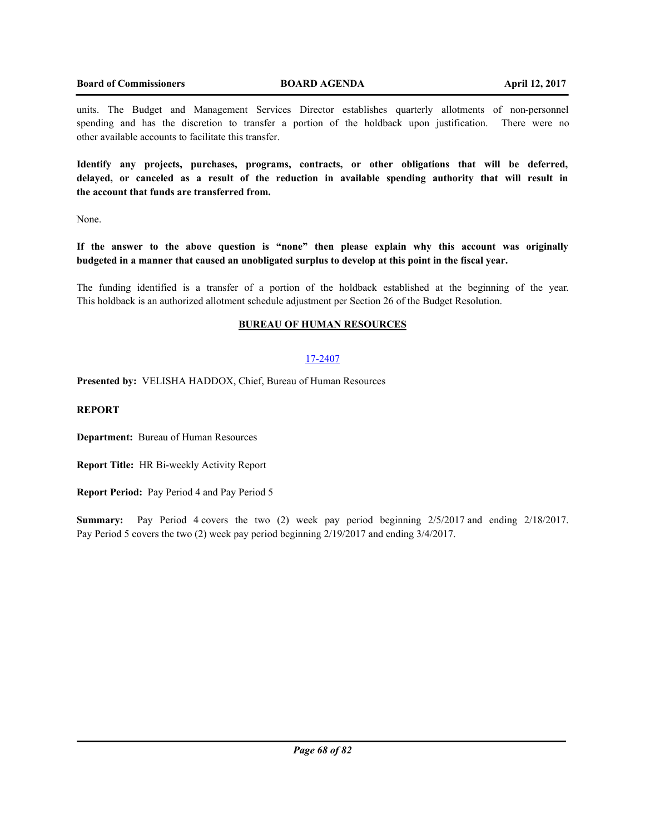## **Board of Commissioners BOARD AGENDA April 12, 2017**

units. The Budget and Management Services Director establishes quarterly allotments of non-personnel spending and has the discretion to transfer a portion of the holdback upon justification. There were no other available accounts to facilitate this transfer.

**Identify any projects, purchases, programs, contracts, or other obligations that will be deferred, delayed, or canceled as a result of the reduction in available spending authority that will result in the account that funds are transferred from.**

None.

**If the answer to the above question is "none" then please explain why this account was originally budgeted in a manner that caused an unobligated surplus to develop at this point in the fiscal year.**

The funding identified is a transfer of a portion of the holdback established at the beginning of the year. This holdback is an authorized allotment schedule adjustment per Section 26 of the Budget Resolution.

# **BUREAU OF HUMAN RESOURCES**

# 17-2407

**Presented by:** VELISHA HADDOX, Chief, Bureau of Human Resources

# **REPORT**

**Department:** Bureau of Human Resources

**Report Title:** HR Bi-weekly Activity Report

**Report Period:** Pay Period 4 and Pay Period 5

**Summary:** Pay Period 4 covers the two (2) week pay period beginning 2/5/2017 and ending 2/18/2017. Pay Period 5 covers the two (2) week pay period beginning 2/19/2017 and ending 3/4/2017.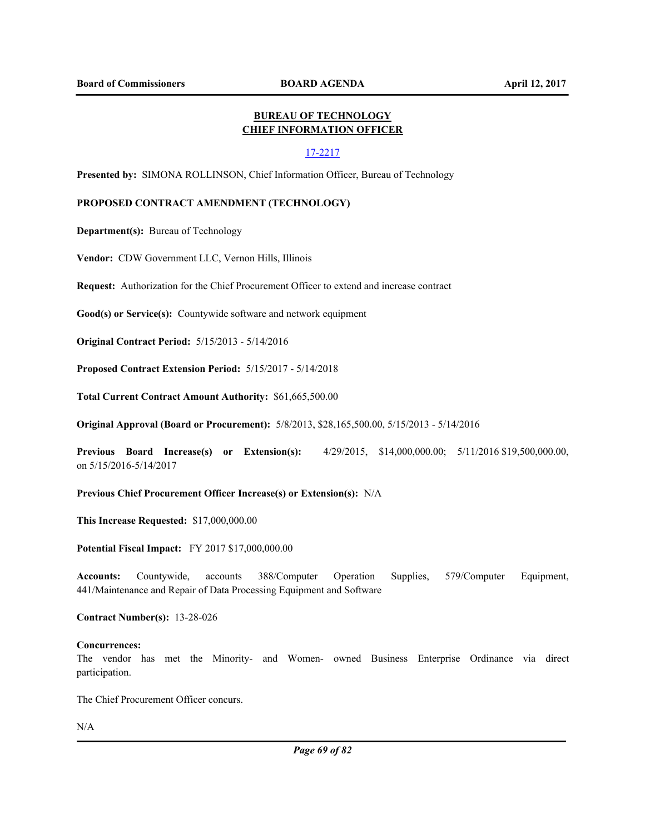# **BUREAU OF TECHNOLOGY CHIEF INFORMATION OFFICER**

### 17-2217

**Presented by:** SIMONA ROLLINSON, Chief Information Officer, Bureau of Technology

### **PROPOSED CONTRACT AMENDMENT (TECHNOLOGY)**

**Department(s):** Bureau of Technology

**Vendor:** CDW Government LLC, Vernon Hills, Illinois

**Request:** Authorization for the Chief Procurement Officer to extend and increase contract

**Good(s) or Service(s):** Countywide software and network equipment

**Original Contract Period:** 5/15/2013 - 5/14/2016

**Proposed Contract Extension Period:** 5/15/2017 - 5/14/2018

**Total Current Contract Amount Authority:** \$61,665,500.00

**Original Approval (Board or Procurement):** 5/8/2013, \$28,165,500.00, 5/15/2013 - 5/14/2016

**Previous Board Increase(s) or Extension(s):** 4/29/2015, \$14,000,000.00; 5/11/2016 \$19,500,000.00, on 5/15/2016-5/14/2017

### **Previous Chief Procurement Officer Increase(s) or Extension(s):** N/A

**This Increase Requested:** \$17,000,000.00

**Potential Fiscal Impact:** FY 2017 \$17,000,000.00

**Accounts:** Countywide, accounts 388/Computer Operation Supplies, 579/Computer Equipment, 441/Maintenance and Repair of Data Processing Equipment and Software

**Contract Number(s):** 13-28-026

#### **Concurrences:**

The vendor has met the Minority- and Women- owned Business Enterprise Ordinance via direct participation.

The Chief Procurement Officer concurs.

N/A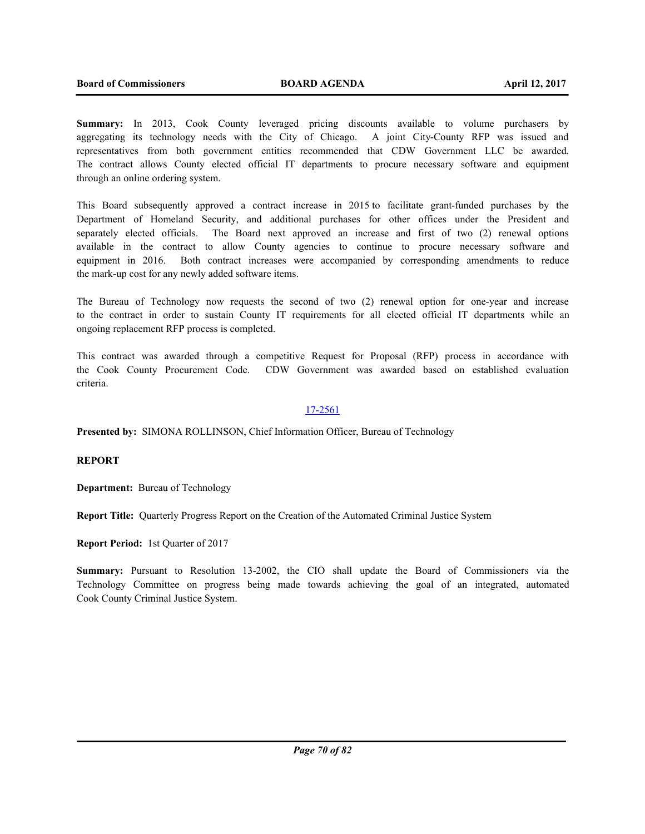**Summary:** In 2013, Cook County leveraged pricing discounts available to volume purchasers by aggregating its technology needs with the City of Chicago. A joint City-County RFP was issued and representatives from both government entities recommended that CDW Government LLC be awarded. The contract allows County elected official IT departments to procure necessary software and equipment through an online ordering system.

This Board subsequently approved a contract increase in 2015 to facilitate grant-funded purchases by the Department of Homeland Security, and additional purchases for other offices under the President and separately elected officials. The Board next approved an increase and first of two (2) renewal options available in the contract to allow County agencies to continue to procure necessary software and equipment in 2016. Both contract increases were accompanied by corresponding amendments to reduce the mark-up cost for any newly added software items.

The Bureau of Technology now requests the second of two (2) renewal option for one-year and increase to the contract in order to sustain County IT requirements for all elected official IT departments while an ongoing replacement RFP process is completed.

This contract was awarded through a competitive Request for Proposal (RFP) process in accordance with the Cook County Procurement Code. CDW Government was awarded based on established evaluation criteria.

# 17-2561

**Presented by:** SIMONA ROLLINSON, Chief Information Officer, Bureau of Technology

# **REPORT**

**Department:** Bureau of Technology

**Report Title:** Quarterly Progress Report on the Creation of the Automated Criminal Justice System

**Report Period:** 1st Quarter of 2017

**Summary:** Pursuant to Resolution 13-2002, the CIO shall update the Board of Commissioners via the Technology Committee on progress being made towards achieving the goal of an integrated, automated Cook County Criminal Justice System.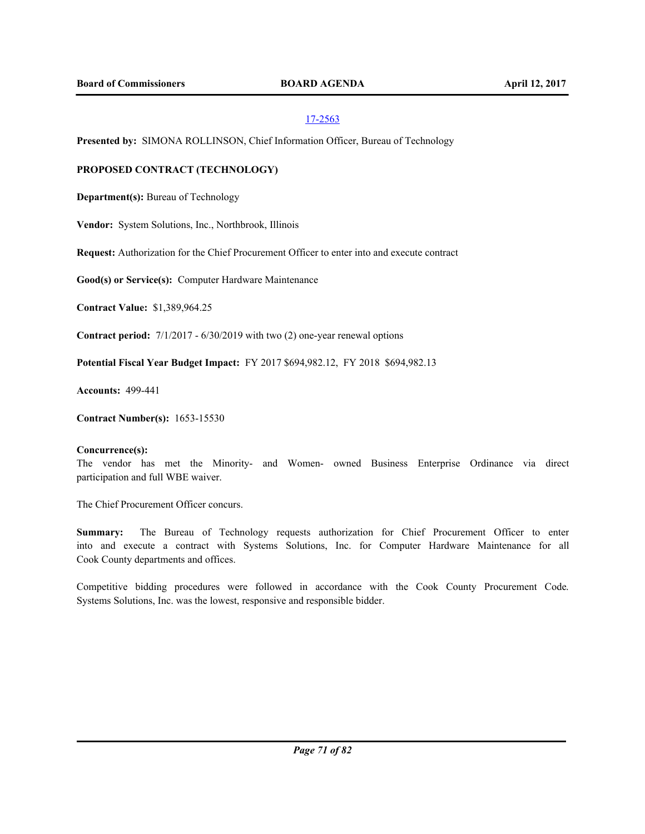**Presented by:** SIMONA ROLLINSON, Chief Information Officer, Bureau of Technology

# **PROPOSED CONTRACT (TECHNOLOGY)**

**Department(s):** Bureau of Technology

**Vendor:** System Solutions, Inc., Northbrook, Illinois

**Request:** Authorization for the Chief Procurement Officer to enter into and execute contract

**Good(s) or Service(s):** Computer Hardware Maintenance

**Contract Value:** \$1,389,964.25

**Contract period:** 7/1/2017 - 6/30/2019 with two (2) one-year renewal options

**Potential Fiscal Year Budget Impact:** FY 2017 \$694,982.12, FY 2018 \$694,982.13

**Accounts:** 499-441

**Contract Number(s):** 1653-15530

### **Concurrence(s):**

The vendor has met the Minority- and Women- owned Business Enterprise Ordinance via direct participation and full WBE waiver.

The Chief Procurement Officer concurs.

**Summary:** The Bureau of Technology requests authorization for Chief Procurement Officer to enter into and execute a contract with Systems Solutions, Inc. for Computer Hardware Maintenance for all Cook County departments and offices.

Competitive bidding procedures were followed in accordance with the Cook County Procurement Code. Systems Solutions, Inc. was the lowest, responsive and responsible bidder.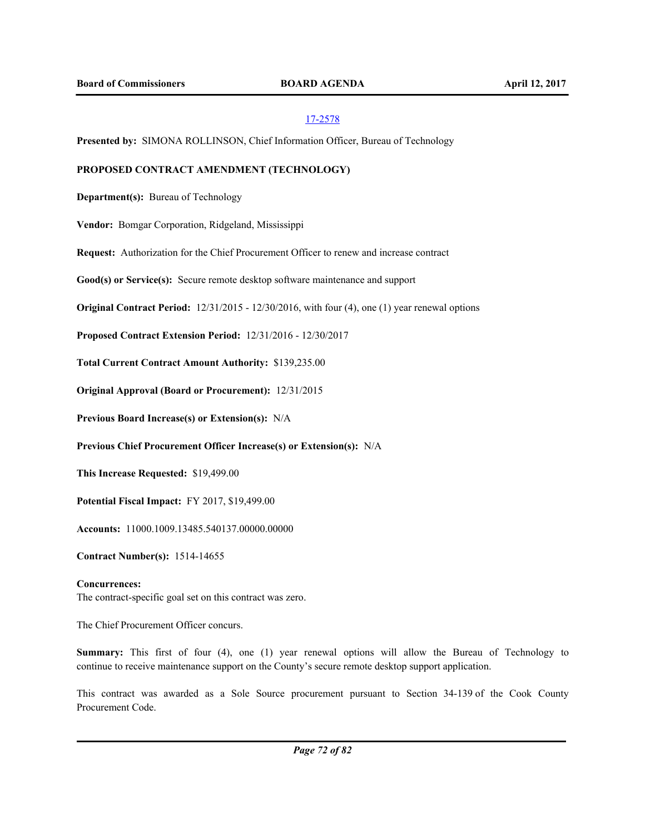**Presented by:** SIMONA ROLLINSON, Chief Information Officer, Bureau of Technology

### **PROPOSED CONTRACT AMENDMENT (TECHNOLOGY)**

**Department(s):** Bureau of Technology

**Vendor:** Bomgar Corporation, Ridgeland, Mississippi

**Request:** Authorization for the Chief Procurement Officer to renew and increase contract

**Good(s) or Service(s):** Secure remote desktop software maintenance and support

**Original Contract Period:** 12/31/2015 - 12/30/2016, with four (4), one (1) year renewal options

**Proposed Contract Extension Period:** 12/31/2016 - 12/30/2017

**Total Current Contract Amount Authority:** \$139,235.00

**Original Approval (Board or Procurement):** 12/31/2015

**Previous Board Increase(s) or Extension(s):** N/A

**Previous Chief Procurement Officer Increase(s) or Extension(s):** N/A

**This Increase Requested:** \$19,499.00

**Potential Fiscal Impact:** FY 2017, \$19,499.00

**Accounts:** 11000.1009.13485.540137.00000.00000

**Contract Number(s):** 1514-14655

#### **Concurrences:**

The contract-specific goal set on this contract was zero.

The Chief Procurement Officer concurs.

**Summary:** This first of four (4), one (1) year renewal options will allow the Bureau of Technology to continue to receive maintenance support on the County's secure remote desktop support application.

This contract was awarded as a Sole Source procurement pursuant to Section 34-139 of the Cook County Procurement Code.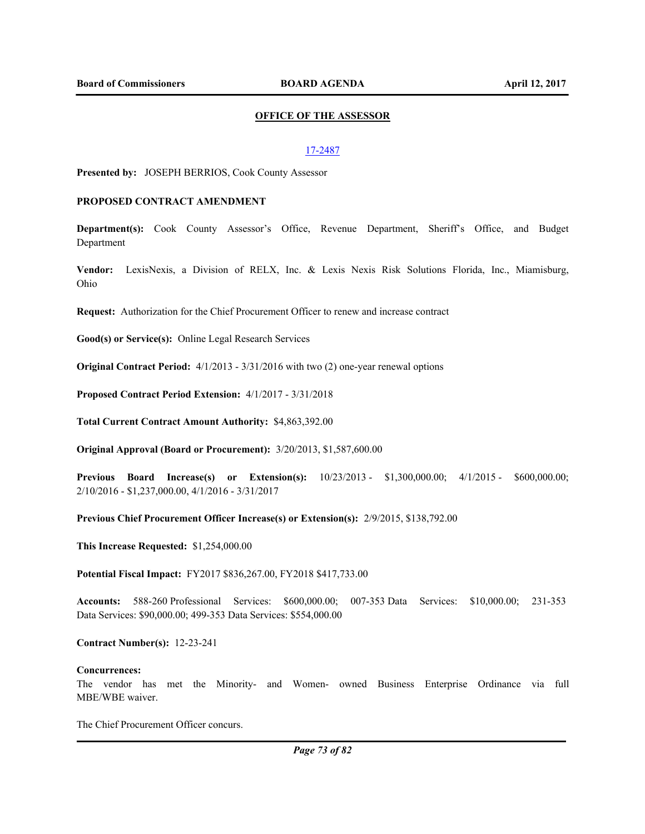## **OFFICE OF THE ASSESSOR**

### 17-2487

**Presented by:** JOSEPH BERRIOS, Cook County Assessor

### **PROPOSED CONTRACT AMENDMENT**

**Department(s):** Cook County Assessor's Office, Revenue Department, Sheriff's Office, and Budget Department

**Vendor:** LexisNexis, a Division of RELX, Inc. & Lexis Nexis Risk Solutions Florida, Inc., Miamisburg, Ohio

**Request:** Authorization for the Chief Procurement Officer to renew and increase contract

**Good(s) or Service(s):** Online Legal Research Services

**Original Contract Period:** 4/1/2013 - 3/31/2016 with two (2) one-year renewal options

**Proposed Contract Period Extension:** 4/1/2017 - 3/31/2018

**Total Current Contract Amount Authority:** \$4,863,392.00

**Original Approval (Board or Procurement):** 3/20/2013, \$1,587,600.00

**Previous Board Increase(s) or Extension(s):** 10/23/2013 - \$1,300,000.00; 4/1/2015 - \$600,000.00; 2/10/2016 - \$1,237,000.00, 4/1/2016 - 3/31/2017

**Previous Chief Procurement Officer Increase(s) or Extension(s):** 2/9/2015, \$138,792.00

**This Increase Requested:** \$1,254,000.00

**Potential Fiscal Impact:** FY2017 \$836,267.00, FY2018 \$417,733.00

**Accounts:** 588-260 Professional Services: \$600,000.00; 007-353 Data Services: \$10,000.00; 231-353 Data Services: \$90,000.00; 499-353 Data Services: \$554,000.00

**Contract Number(s):** 12-23-241

#### **Concurrences:**

The vendor has met the Minority- and Women- owned Business Enterprise Ordinance via full MBE/WBE waiver.

The Chief Procurement Officer concurs.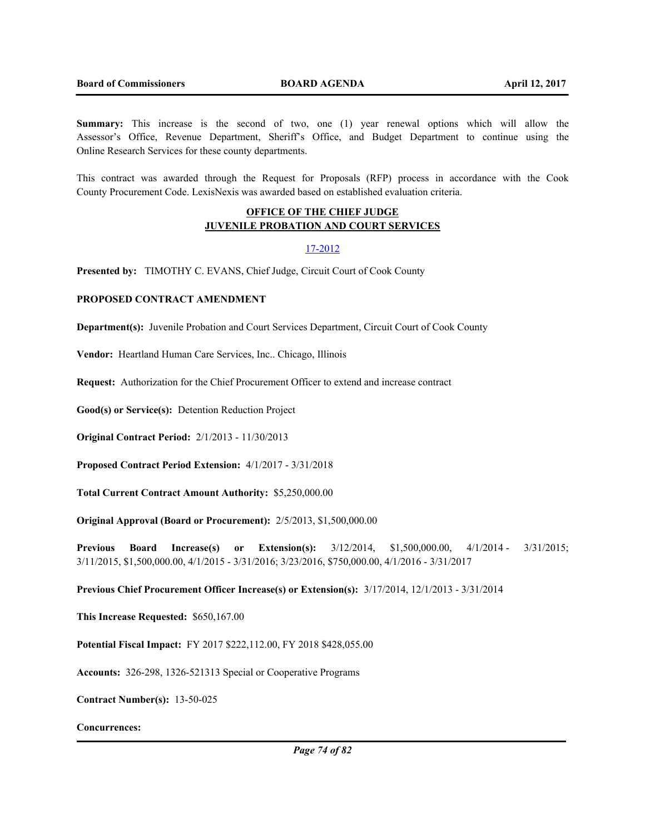**Summary:** This increase is the second of two, one (1) year renewal options which will allow the Assessor's Office, Revenue Department, Sheriff's Office, and Budget Department to continue using the Online Research Services for these county departments.

This contract was awarded through the Request for Proposals (RFP) process in accordance with the Cook County Procurement Code. LexisNexis was awarded based on established evaluation criteria.

## **OFFICE OF THE CHIEF JUDGE JUVENILE PROBATION AND COURT SERVICES**

## 17-2012

**Presented by:** TIMOTHY C. EVANS, Chief Judge, Circuit Court of Cook County

## **PROPOSED CONTRACT AMENDMENT**

**Department(s):** Juvenile Probation and Court Services Department, Circuit Court of Cook County

**Vendor:** Heartland Human Care Services, Inc.. Chicago, Illinois

**Request:** Authorization for the Chief Procurement Officer to extend and increase contract

**Good(s) or Service(s):** Detention Reduction Project

**Original Contract Period:** 2/1/2013 - 11/30/2013

**Proposed Contract Period Extension:** 4/1/2017 - 3/31/2018

**Total Current Contract Amount Authority:** \$5,250,000.00

**Original Approval (Board or Procurement):** 2/5/2013, \$1,500,000.00

**Previous Board Increase(s) or Extension(s):** 3/12/2014, \$1,500,000.00, 4/1/2014 - 3/31/2015; 3/11/2015, \$1,500,000.00, 4/1/2015 - 3/31/2016; 3/23/2016, \$750,000.00, 4/1/2016 - 3/31/2017

**Previous Chief Procurement Officer Increase(s) or Extension(s):** 3/17/2014, 12/1/2013 - 3/31/2014

**This Increase Requested:** \$650,167.00

**Potential Fiscal Impact:** FY 2017 \$222,112.00, FY 2018 \$428,055.00

**Accounts:** 326-298, 1326-521313 Special or Cooperative Programs

**Contract Number(s):** 13-50-025

**Concurrences:**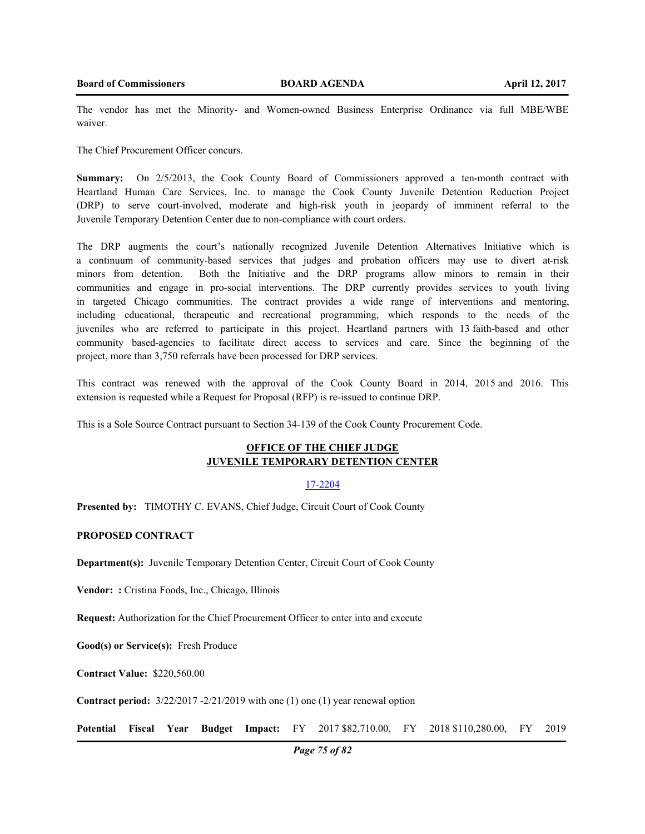The vendor has met the Minority- and Women-owned Business Enterprise Ordinance via full MBE/WBE waiver.

The Chief Procurement Officer concurs.

**Summary:** On 2/5/2013, the Cook County Board of Commissioners approved a ten-month contract with Heartland Human Care Services, Inc. to manage the Cook County Juvenile Detention Reduction Project (DRP) to serve court-involved, moderate and high-risk youth in jeopardy of imminent referral to the Juvenile Temporary Detention Center due to non-compliance with court orders.

The DRP augments the court's nationally recognized Juvenile Detention Alternatives Initiative which is a continuum of community-based services that judges and probation officers may use to divert at-risk minors from detention. Both the Initiative and the DRP programs allow minors to remain in their communities and engage in pro-social interventions. The DRP currently provides services to youth living in targeted Chicago communities. The contract provides a wide range of interventions and mentoring, including educational, therapeutic and recreational programming, which responds to the needs of the juveniles who are referred to participate in this project. Heartland partners with 13 faith-based and other community based-agencies to facilitate direct access to services and care. Since the beginning of the project, more than 3,750 referrals have been processed for DRP services.

This contract was renewed with the approval of the Cook County Board in 2014, 2015 and 2016. This extension is requested while a Request for Proposal (RFP) is re-issued to continue DRP.

This is a Sole Source Contract pursuant to Section 34-139 of the Cook County Procurement Code.

## **OFFICE OF THE CHIEF JUDGE JUVENILE TEMPORARY DETENTION CENTER**

#### 17-2204

**Presented by:** TIMOTHY C. EVANS, Chief Judge, Circuit Court of Cook County

### **PROPOSED CONTRACT**

**Department(s):** Juvenile Temporary Detention Center, Circuit Court of Cook County

Vendor: : Cristina Foods, Inc., Chicago, Illinois

**Request:** Authorization for the Chief Procurement Officer to enter into and execute

**Good(s) or Service(s):** Fresh Produce

**Contract Value:** \$220,560.00

**Contract period:** 3/22/2017 -2/21/2019 with one (1) one (1) year renewal option

**Potential Fiscal Year Budget Impact:** FY 2017 \$82,710.00, FY 2018 \$110,280.00, FY 2019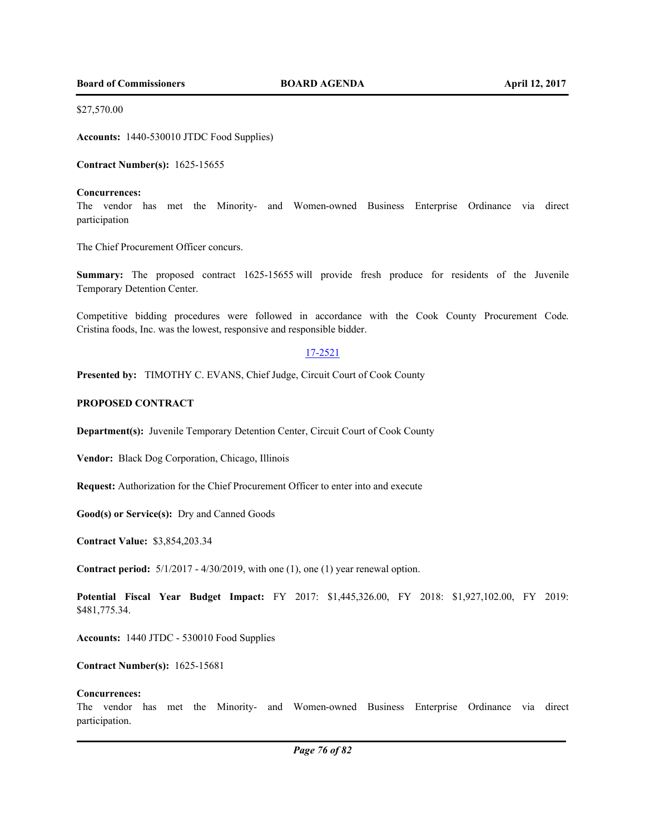**Board of Commissioners BOARD AGENDA April 12, 2017** 

\$27,570.00

**Accounts:** 1440-530010 JTDC Food Supplies)

**Contract Number(s):** 1625-15655

### **Concurrences:**

The vendor has met the Minority- and Women-owned Business Enterprise Ordinance via direct participation

The Chief Procurement Officer concurs.

**Summary:** The proposed contract 1625-15655 will provide fresh produce for residents of the Juvenile Temporary Detention Center.

Competitive bidding procedures were followed in accordance with the Cook County Procurement Code. Cristina foods, Inc. was the lowest, responsive and responsible bidder.

## 17-2521

Presented by: TIMOTHY C. EVANS, Chief Judge, Circuit Court of Cook County

### **PROPOSED CONTRACT**

**Department(s):** Juvenile Temporary Detention Center, Circuit Court of Cook County

**Vendor:** Black Dog Corporation, Chicago, Illinois

**Request:** Authorization for the Chief Procurement Officer to enter into and execute

**Good(s) or Service(s):** Dry and Canned Goods

**Contract Value:** \$3,854,203.34

**Contract period:** 5/1/2017 - 4/30/2019, with one (1), one (1) year renewal option.

**Potential Fiscal Year Budget Impact:** FY 2017: \$1,445,326.00, FY 2018: \$1,927,102.00, FY 2019: \$481,775.34.

**Accounts:** 1440 JTDC - 530010 Food Supplies

**Contract Number(s):** 1625-15681

#### **Concurrences:**

The vendor has met the Minority- and Women-owned Business Enterprise Ordinance via direct participation.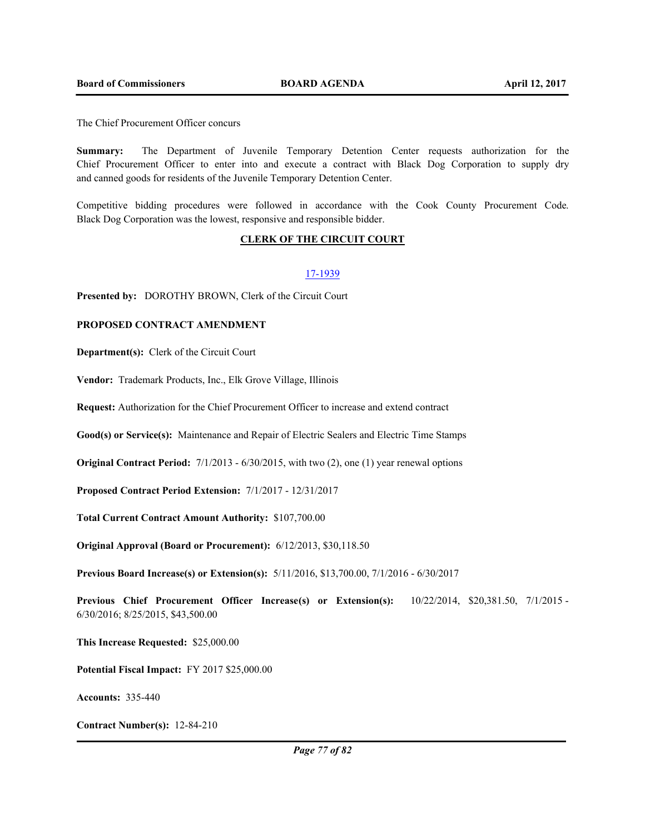The Chief Procurement Officer concurs

**Summary:** The Department of Juvenile Temporary Detention Center requests authorization for the Chief Procurement Officer to enter into and execute a contract with Black Dog Corporation to supply dry and canned goods for residents of the Juvenile Temporary Detention Center.

Competitive bidding procedures were followed in accordance with the Cook County Procurement Code. Black Dog Corporation was the lowest, responsive and responsible bidder.

### **CLERK OF THE CIRCUIT COURT**

#### 17-1939

**Presented by:** DOROTHY BROWN, Clerk of the Circuit Court

### **PROPOSED CONTRACT AMENDMENT**

**Department(s):** Clerk of the Circuit Court

**Vendor:** Trademark Products, Inc., Elk Grove Village, Illinois

**Request:** Authorization for the Chief Procurement Officer to increase and extend contract

**Good(s) or Service(s):** Maintenance and Repair of Electric Sealers and Electric Time Stamps

**Original Contract Period:** 7/1/2013 - 6/30/2015, with two (2), one (1) year renewal options

**Proposed Contract Period Extension:** 7/1/2017 - 12/31/2017

**Total Current Contract Amount Authority:** \$107,700.00

**Original Approval (Board or Procurement):** 6/12/2013, \$30,118.50

**Previous Board Increase(s) or Extension(s):** 5/11/2016, \$13,700.00, 7/1/2016 - 6/30/2017

**Previous Chief Procurement Officer Increase(s) or Extension(s):** 10/22/2014, \$20,381.50, 7/1/2015 - 6/30/2016; 8/25/2015, \$43,500.00

**This Increase Requested:** \$25,000.00

**Potential Fiscal Impact:** FY 2017 \$25,000.00

**Accounts:** 335-440

**Contract Number(s):** 12-84-210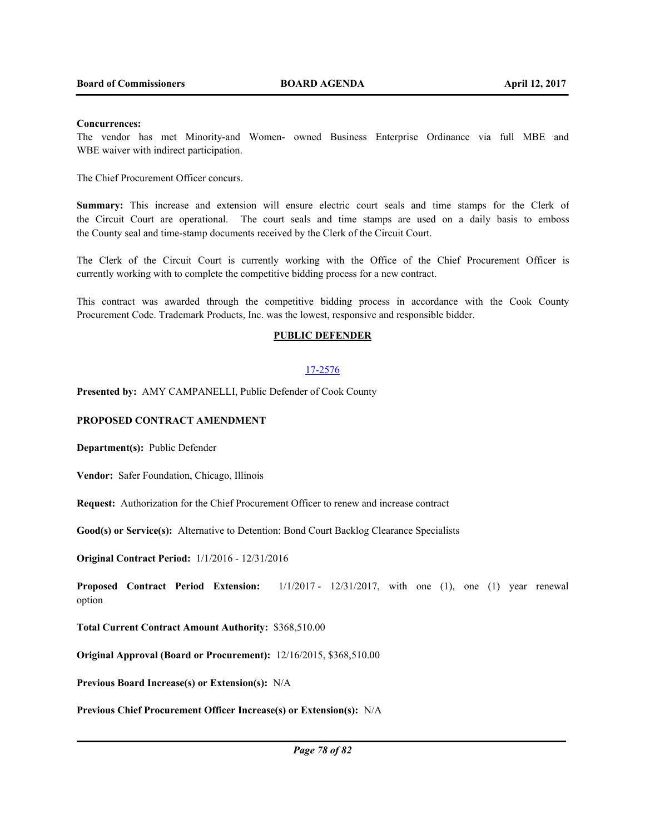## **Concurrences:**

The vendor has met Minority-and Women- owned Business Enterprise Ordinance via full MBE and WBE waiver with indirect participation.

The Chief Procurement Officer concurs.

**Summary:** This increase and extension will ensure electric court seals and time stamps for the Clerk of the Circuit Court are operational. The court seals and time stamps are used on a daily basis to emboss the County seal and time-stamp documents received by the Clerk of the Circuit Court.

The Clerk of the Circuit Court is currently working with the Office of the Chief Procurement Officer is currently working with to complete the competitive bidding process for a new contract.

This contract was awarded through the competitive bidding process in accordance with the Cook County Procurement Code. Trademark Products, Inc. was the lowest, responsive and responsible bidder.

## **PUBLIC DEFENDER**

#### 17-2576

**Presented by:** AMY CAMPANELLI, Public Defender of Cook County

### **PROPOSED CONTRACT AMENDMENT**

**Department(s):** Public Defender

**Vendor:** Safer Foundation, Chicago, Illinois

**Request:** Authorization for the Chief Procurement Officer to renew and increase contract

**Good(s) or Service(s):** Alternative to Detention: Bond Court Backlog Clearance Specialists

**Original Contract Period:** 1/1/2016 - 12/31/2016

**Proposed Contract Period Extension:** 1/1/2017 - 12/31/2017, with one (1), one (1) year renewal option

**Total Current Contract Amount Authority:** \$368,510.00

**Original Approval (Board or Procurement):** 12/16/2015, \$368,510.00

**Previous Board Increase(s) or Extension(s):** N/A

**Previous Chief Procurement Officer Increase(s) or Extension(s):** N/A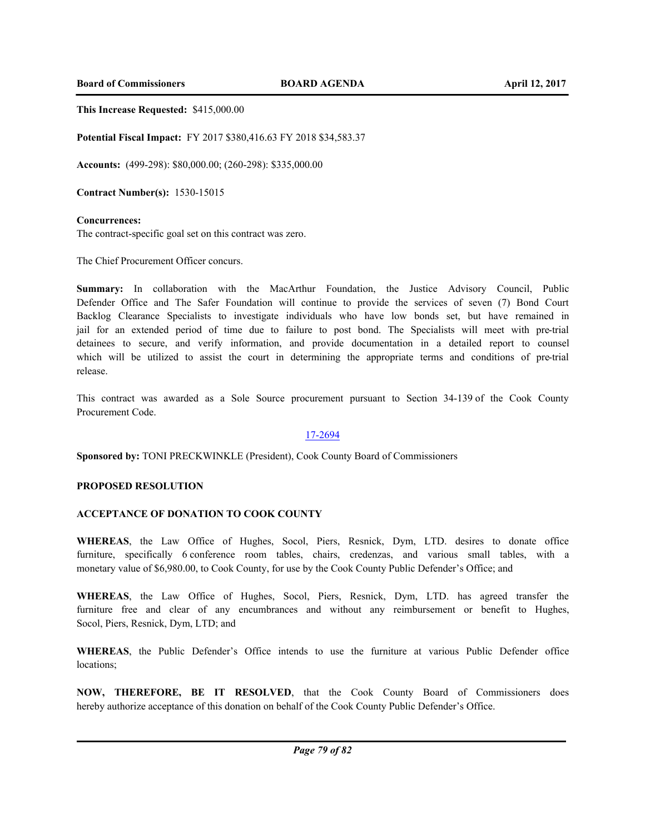**Board of Commissioners BOARD AGENDA April 12, 2017** 

**This Increase Requested:** \$415,000.00

**Potential Fiscal Impact:** FY 2017 \$380,416.63 FY 2018 \$34,583.37

**Accounts:** (499-298): \$80,000.00; (260-298): \$335,000.00

**Contract Number(s):** 1530-15015

#### **Concurrences:**

The contract-specific goal set on this contract was zero.

The Chief Procurement Officer concurs.

**Summary:** In collaboration with the MacArthur Foundation, the Justice Advisory Council, Public Defender Office and The Safer Foundation will continue to provide the services of seven (7) Bond Court Backlog Clearance Specialists to investigate individuals who have low bonds set, but have remained in jail for an extended period of time due to failure to post bond. The Specialists will meet with pre-trial detainees to secure, and verify information, and provide documentation in a detailed report to counsel which will be utilized to assist the court in determining the appropriate terms and conditions of pre-trial release.

This contract was awarded as a Sole Source procurement pursuant to Section 34-139 of the Cook County Procurement Code.

### 17-2694

**Sponsored by:** TONI PRECKWINKLE (President), Cook County Board of Commissioners

#### **PROPOSED RESOLUTION**

#### **ACCEPTANCE OF DONATION TO COOK COUNTY**

**WHEREAS**, the Law Office of Hughes, Socol, Piers, Resnick, Dym, LTD. desires to donate office furniture, specifically 6 conference room tables, chairs, credenzas, and various small tables, with a monetary value of \$6,980.00, to Cook County, for use by the Cook County Public Defender's Office; and

**WHEREAS**, the Law Office of Hughes, Socol, Piers, Resnick, Dym, LTD. has agreed transfer the furniture free and clear of any encumbrances and without any reimbursement or benefit to Hughes, Socol, Piers, Resnick, Dym, LTD; and

**WHEREAS**, the Public Defender's Office intends to use the furniture at various Public Defender office locations;

**NOW, THEREFORE, BE IT RESOLVED**, that the Cook County Board of Commissioners does hereby authorize acceptance of this donation on behalf of the Cook County Public Defender's Office.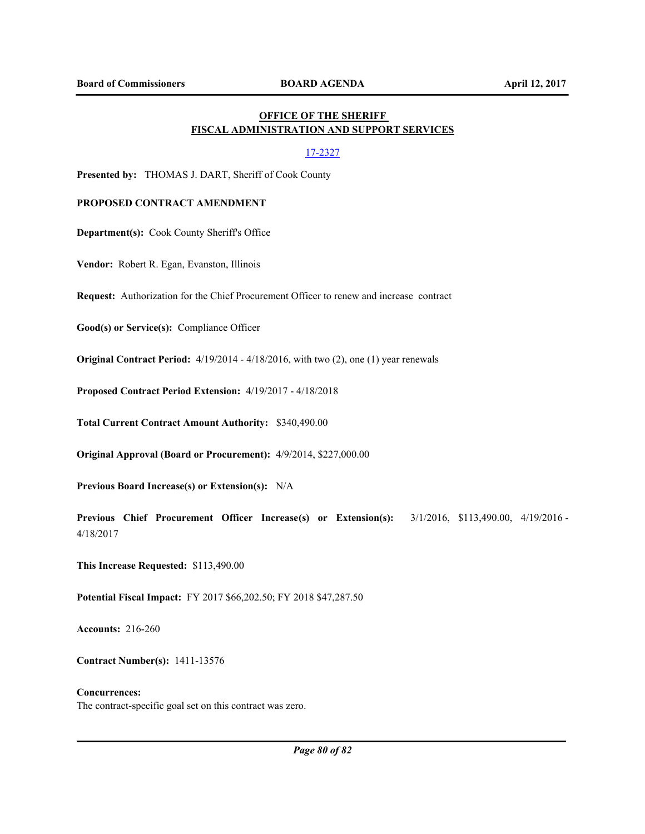# **OFFICE OF THE SHERIFF FISCAL ADMINISTRATION AND SUPPORT SERVICES**

## 17-2327

**Presented by:** THOMAS J. DART, Sheriff of Cook County

## **PROPOSED CONTRACT AMENDMENT**

**Department(s):** Cook County Sheriff's Office

**Vendor:** Robert R. Egan, Evanston, Illinois

**Request:** Authorization for the Chief Procurement Officer to renew and increase contract

**Good(s) or Service(s):** Compliance Officer

**Original Contract Period:** 4/19/2014 - 4/18/2016, with two (2), one (1) year renewals

**Proposed Contract Period Extension:** 4/19/2017 - 4/18/2018

**Total Current Contract Amount Authority:** \$340,490.00

**Original Approval (Board or Procurement):** 4/9/2014, \$227,000.00

**Previous Board Increase(s) or Extension(s):** N/A

**Previous Chief Procurement Officer Increase(s) or Extension(s):** 3/1/2016, \$113,490.00, 4/19/2016 - 4/18/2017

**This Increase Requested:** \$113,490.00

**Potential Fiscal Impact:** FY 2017 \$66,202.50; FY 2018 \$47,287.50

**Accounts:** 216-260

**Contract Number(s):** 1411-13576

## **Concurrences:** The contract-specific goal set on this contract was zero.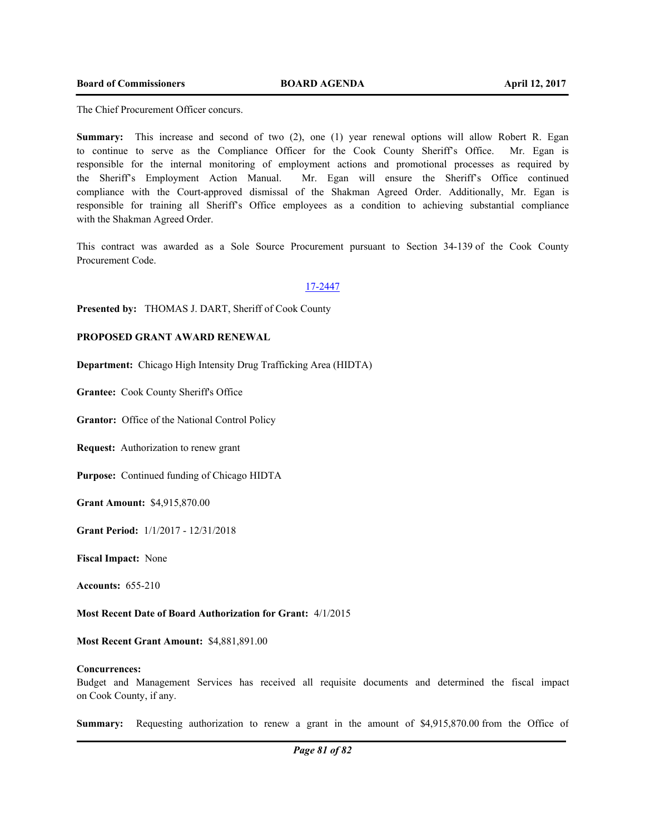The Chief Procurement Officer concurs.

**Summary:** This increase and second of two (2), one (1) year renewal options will allow Robert R. Egan to continue to serve as the Compliance Officer for the Cook County Sheriff's Office. Mr. Egan is responsible for the internal monitoring of employment actions and promotional processes as required by the Sheriff's Employment Action Manual. Mr. Egan will ensure the Sheriff's Office continued compliance with the Court-approved dismissal of the Shakman Agreed Order. Additionally, Mr. Egan is responsible for training all Sheriff's Office employees as a condition to achieving substantial compliance with the Shakman Agreed Order.

This contract was awarded as a Sole Source Procurement pursuant to Section 34-139 of the Cook County Procurement Code.

#### 17-2447

**Presented by:** THOMAS J. DART, Sheriff of Cook County

## **PROPOSED GRANT AWARD RENEWAL**

**Department:** Chicago High Intensity Drug Trafficking Area (HIDTA)

**Grantee:** Cook County Sheriff's Office

**Grantor:** Office of the National Control Policy

**Request:** Authorization to renew grant

**Purpose:** Continued funding of Chicago HIDTA

**Grant Amount:** \$4,915,870.00

**Grant Period:** 1/1/2017 - 12/31/2018

**Fiscal Impact:** None

**Accounts:** 655-210

**Most Recent Date of Board Authorization for Grant:** 4/1/2015

**Most Recent Grant Amount:** \$4,881,891.00

#### **Concurrences:**

Budget and Management Services has received all requisite documents and determined the fiscal impact on Cook County, if any.

**Summary:** Requesting authorization to renew a grant in the amount of \$4,915,870.00 from the Office of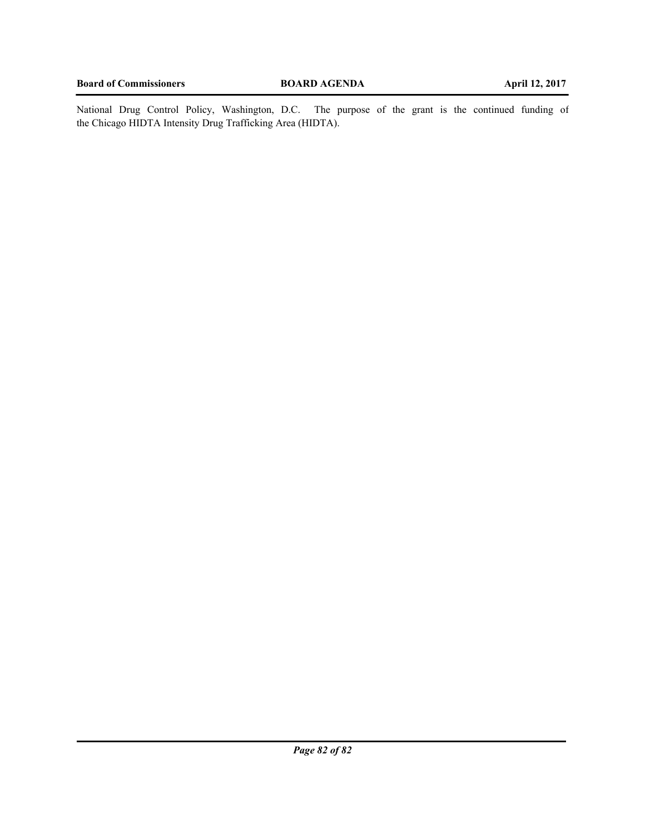National Drug Control Policy, Washington, D.C. The purpose of the grant is the continued funding of the Chicago HIDTA Intensity Drug Trafficking Area (HIDTA).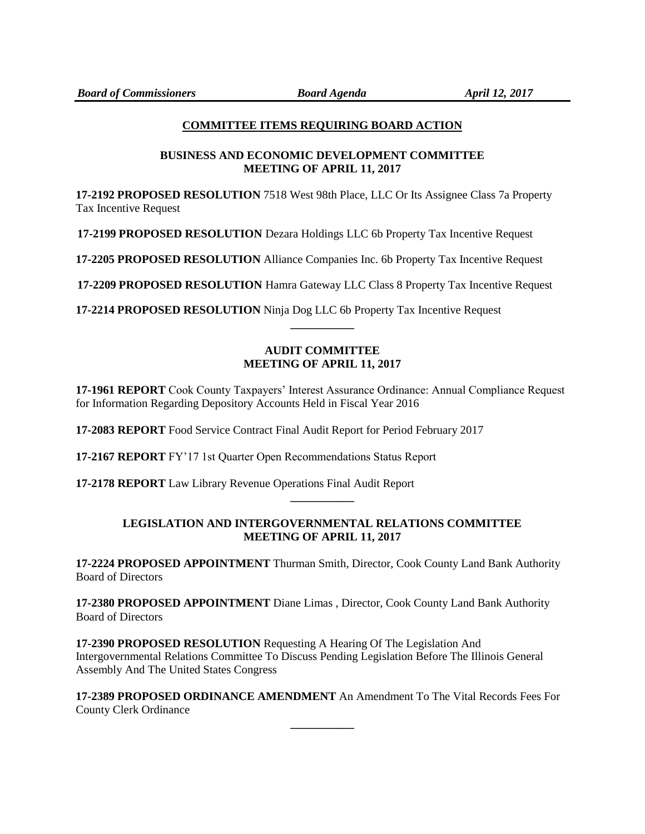## **COMMITTEE ITEMS REQUIRING BOARD ACTION**

# **BUSINESS AND ECONOMIC DEVELOPMENT COMMITTEE MEETING OF APRIL 11, 2017**

**17-2192 PROPOSED RESOLUTION** 7518 West 98th Place, LLC Or Its Assignee Class 7a Property Tax Incentive Request

**17-2199 PROPOSED RESOLUTION** Dezara Holdings LLC 6b Property Tax Incentive Request

**17-2205 PROPOSED RESOLUTION** Alliance Companies Inc. 6b Property Tax Incentive Request

**17-2209 PROPOSED RESOLUTION** Hamra Gateway LLC Class 8 Property Tax Incentive Request

**17-2214 PROPOSED RESOLUTION** Ninja Dog LLC 6b Property Tax Incentive Request

# **AUDIT COMMITTEE MEETING OF APRIL 11, 2017**

**\_\_\_\_\_\_\_\_\_\_\_**

**17-1961 REPORT** Cook County Taxpayers' Interest Assurance Ordinance: Annual Compliance Request for Information Regarding Depository Accounts Held in Fiscal Year 2016

**17-2083 REPORT** Food Service Contract Final Audit Report for Period February 2017

**17-2167 REPORT** FY'17 1st Quarter Open Recommendations Status Report

**17-2178 REPORT** Law Library Revenue Operations Final Audit Report

# **LEGISLATION AND INTERGOVERNMENTAL RELATIONS COMMITTEE MEETING OF APRIL 11, 2017**

**\_\_\_\_\_\_\_\_\_\_\_**

**17-2224 PROPOSED APPOINTMENT** Thurman Smith, Director, Cook County Land Bank Authority Board of Directors

**17-2380 PROPOSED APPOINTMENT** Diane Limas , Director, Cook County Land Bank Authority Board of Directors

**17-2390 PROPOSED RESOLUTION** Requesting A Hearing Of The Legislation And Intergovernmental Relations Committee To Discuss Pending Legislation Before The Illinois General Assembly And The United States Congress

**17-2389 PROPOSED ORDINANCE AMENDMENT** An Amendment To The Vital Records Fees For County Clerk Ordinance

**\_\_\_\_\_\_\_\_\_\_\_**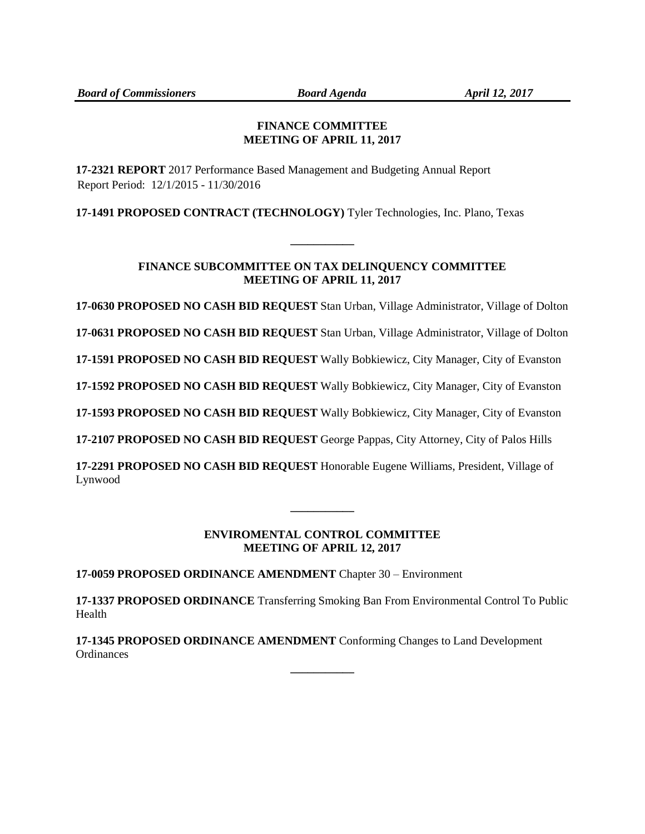## **FINANCE COMMITTEE MEETING OF APRIL 11, 2017**

**17-2321 REPORT** 2017 Performance Based Management and Budgeting Annual Report Report Period: 12/1/2015 - 11/30/2016

**17-1491 PROPOSED CONTRACT (TECHNOLOGY)** Tyler Technologies, Inc. Plano, Texas

# **FINANCE SUBCOMMITTEE ON TAX DELINQUENCY COMMITTEE MEETING OF APRIL 11, 2017**

**\_\_\_\_\_\_\_\_\_\_\_**

**17-0630 PROPOSED NO CASH BID REQUEST** Stan Urban, Village Administrator, Village of Dolton

**17-0631 PROPOSED NO CASH BID REQUEST** Stan Urban, Village Administrator, Village of Dolton

**17-1591 PROPOSED NO CASH BID REQUEST** Wally Bobkiewicz, City Manager, City of Evanston

**17-1592 PROPOSED NO CASH BID REQUEST** Wally Bobkiewicz, City Manager, City of Evanston

**17-1593 PROPOSED NO CASH BID REQUEST** Wally Bobkiewicz, City Manager, City of Evanston

**17-2107 PROPOSED NO CASH BID REQUEST** George Pappas, City Attorney, City of Palos Hills

**17-2291 PROPOSED NO CASH BID REQUEST** Honorable Eugene Williams, President, Village of Lynwood

# **ENVIROMENTAL CONTROL COMMITTEE MEETING OF APRIL 12, 2017**

**\_\_\_\_\_\_\_\_\_\_\_**

**17-0059 PROPOSED ORDINANCE AMENDMENT** Chapter 30 – Environment

**17-1337 PROPOSED ORDINANCE** Transferring Smoking Ban From Environmental Control To Public Health

**\_\_\_\_\_\_\_\_\_\_\_**

**17-1345 PROPOSED ORDINANCE AMENDMENT** Conforming Changes to Land Development **Ordinances**